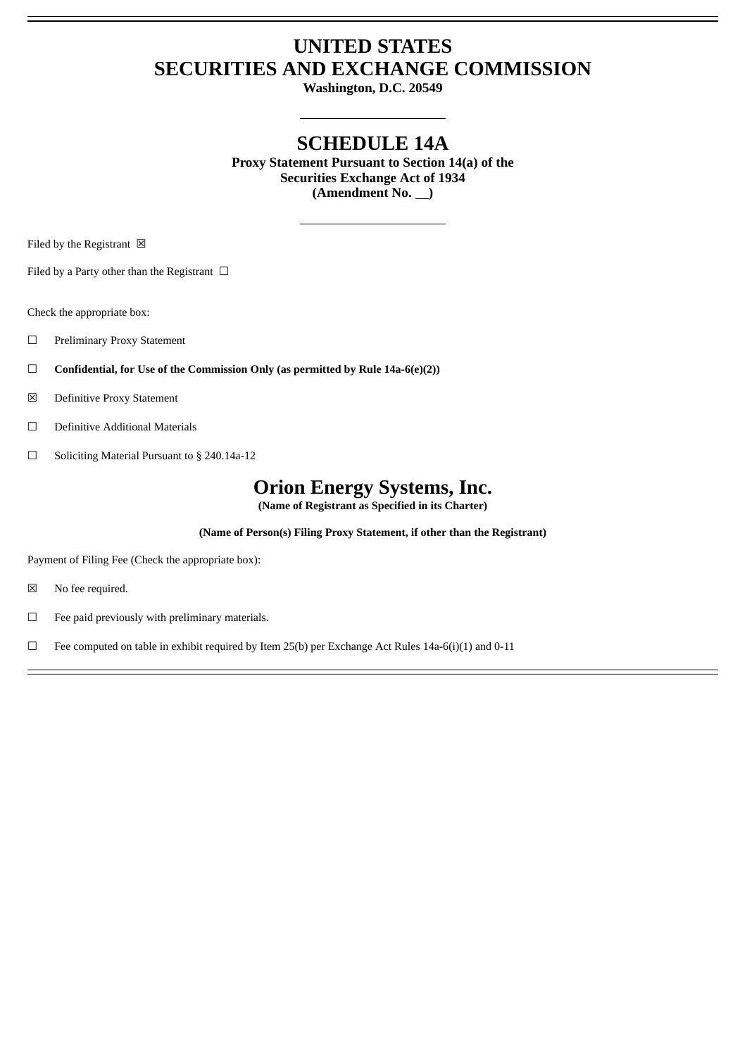## **UNITED STATES SECURITIES AND EXCHANGE COMMISSION**

**Washington, D.C. 20549**

## **SCHEDULE 14A**

**Proxy Statement Pursuant to Section 14(a) of the Securities Exchange Act of 1934** (Amendment No.  $\qquad$ )

Filed by the Registrant  $\boxtimes$ 

Filed by a Party other than the Registrant  $\Box$ 

Check the appropriate box:

- ☐ Preliminary Proxy Statement
- ☐ **Confidential, for Use of the Commission Only (as permitted by Rule 14a-6(e)(2))**
- ☒ Definitive Proxy Statement
- ☐ Definitive Additional Materials
- ☐ Soliciting Material Pursuant to § 240.14a-12

# **Orion Energy Systems, Inc.**

**(Name of Registrant as Specified in its Charter)**

**(Name of Person(s) Filing Proxy Statement, if other than the Registrant)**

Payment of Filing Fee (Check the appropriate box):

- ☒ No fee required.
- ☐ Fee paid previously with preliminary materials.

 $\Box$  Fee computed on table in exhibit required by Item 25(b) per Exchange Act Rules 14a-6(i)(1) and 0-11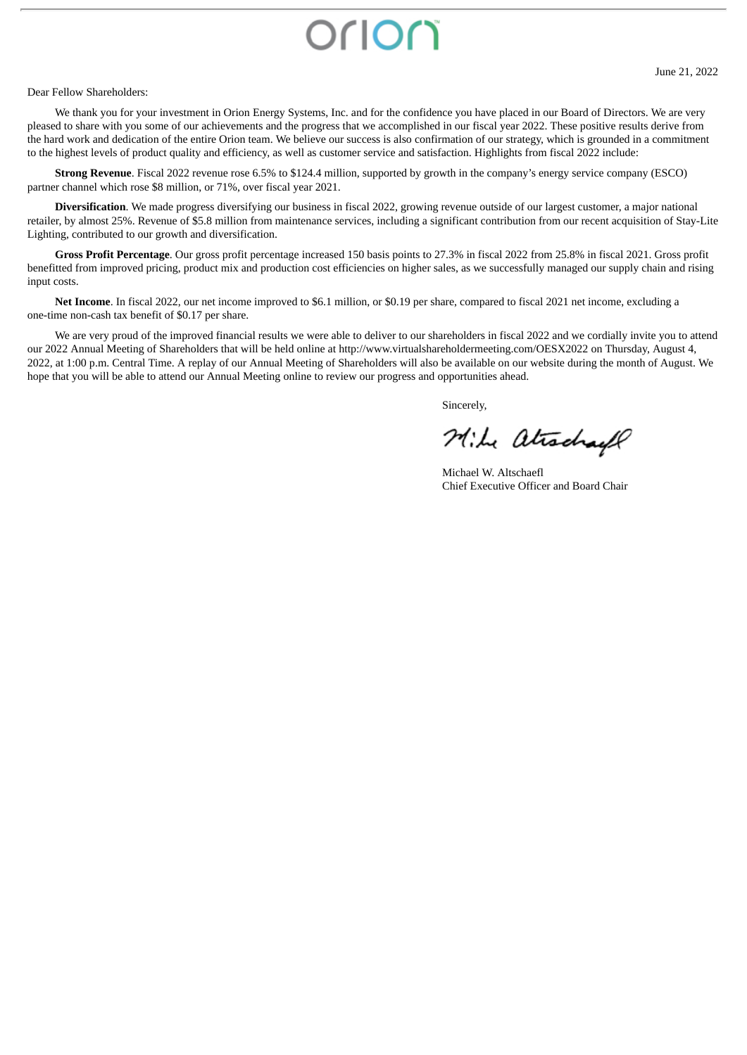# orion

#### Dear Fellow Shareholders:

We thank you for your investment in Orion Energy Systems, Inc. and for the confidence you have placed in our Board of Directors. We are very pleased to share with you some of our achievements and the progress that we accomplished in our fiscal year 2022. These positive results derive from the hard work and dedication of the entire Orion team. We believe our success is also confirmation of our strategy, which is grounded in a commitment to the highest levels of product quality and efficiency, as well as customer service and satisfaction. Highlights from fiscal 2022 include:

**Strong Revenue**. Fiscal 2022 revenue rose 6.5% to \$124.4 million, supported by growth in the company's energy service company (ESCO) partner channel which rose \$8 million, or 71%, over fiscal year 2021.

**Diversification**. We made progress diversifying our business in fiscal 2022, growing revenue outside of our largest customer, a major national retailer, by almost 25%. Revenue of \$5.8 million from maintenance services, including a significant contribution from our recent acquisition of Stay-Lite Lighting, contributed to our growth and diversification.

**Gross Profit Percentage**. Our gross profit percentage increased 150 basis points to 27.3% in fiscal 2022 from 25.8% in fiscal 2021. Gross profit benefitted from improved pricing, product mix and production cost efficiencies on higher sales, as we successfully managed our supply chain and rising input costs.

**Net Income**. In fiscal 2022, our net income improved to \$6.1 million, or \$0.19 per share, compared to fiscal 2021 net income, excluding a one-time non-cash tax benefit of \$0.17 per share.

We are very proud of the improved financial results we were able to deliver to our shareholders in fiscal 2022 and we cordially invite you to attend our 2022 Annual Meeting of Shareholders that will be held online at http://www.virtualshareholdermeeting.com/OESX2022 on Thursday, August 4, 2022, at 1:00 p.m. Central Time. A replay of our Annual Meeting of Shareholders will also be available on our website during the month of August. We hope that you will be able to attend our Annual Meeting online to review our progress and opportunities ahead.

Sincerely,

Mike atrachael

Michael W. Altschaefl Chief Executive Officer and Board Chair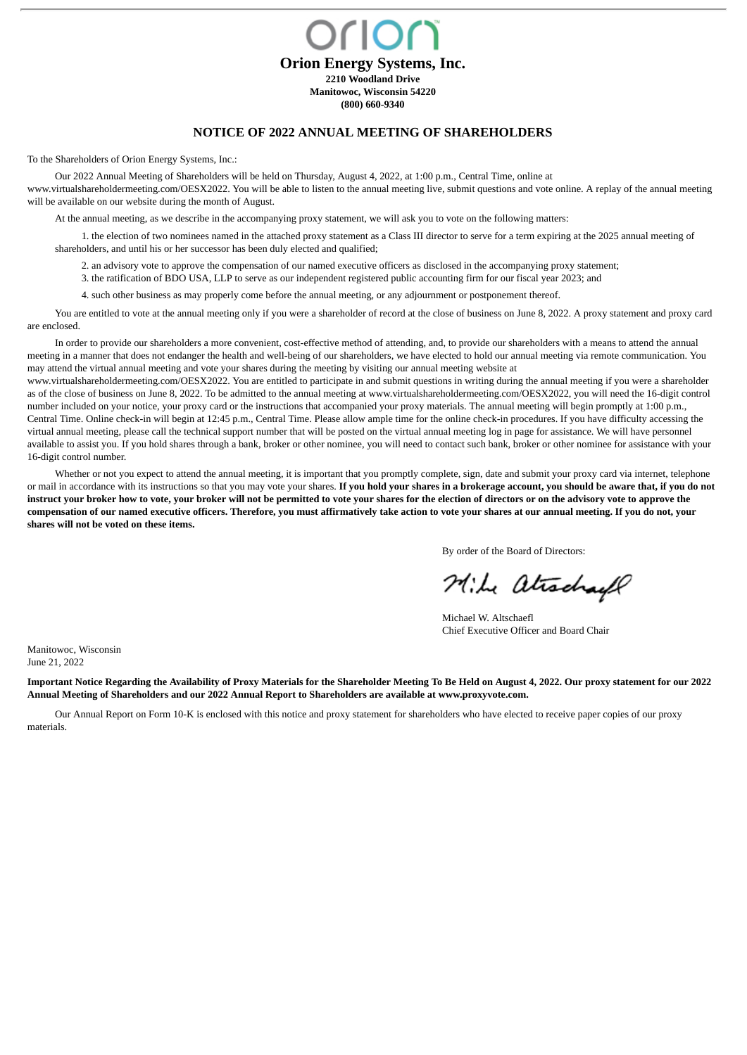**CIOC Orion Energy Systems, Inc. 2210 Woodland Drive Manitowoc, Wisconsin 54220 (800) 660-9340**

#### **NOTICE OF 2022 ANNUAL MEETING OF SHAREHOLDERS**

To the Shareholders of Orion Energy Systems, Inc.:

Our 2022 Annual Meeting of Shareholders will be held on Thursday, August 4, 2022, at 1:00 p.m., Central Time, online at www.virtualshareholdermeeting.com/OESX2022. You will be able to listen to the annual meeting live, submit questions and vote online. A replay of the annual meeting will be available on our website during the month of August.

At the annual meeting, as we describe in the accompanying proxy statement, we will ask you to vote on the following matters:

1. the election of two nominees named in the attached proxy statement as a Class III director to serve for a term expiring at the 2025 annual meeting of shareholders, and until his or her successor has been duly elected and qualified;

2. an advisory vote to approve the compensation of our named executive officers as disclosed in the accompanying proxy statement;

- 3. the ratification of BDO USA, LLP to serve as our independent registered public accounting firm for our fiscal year 2023; and
- 4. such other business as may properly come before the annual meeting, or any adjournment or postponement thereof.

You are entitled to vote at the annual meeting only if you were a shareholder of record at the close of business on June 8, 2022. A proxy statement and proxy card are enclosed.

In order to provide our shareholders a more convenient, cost-effective method of attending, and, to provide our shareholders with a means to attend the annual meeting in a manner that does not endanger the health and well-being of our shareholders, we have elected to hold our annual meeting via remote communication. You may attend the virtual annual meeting and vote your shares during the meeting by visiting our annual meeting website at

www.virtualshareholdermeeting.com/OESX2022. You are entitled to participate in and submit questions in writing during the annual meeting if you were a shareholder as of the close of business on June 8, 2022. To be admitted to the annual meeting at www.virtualshareholdermeeting.com/OESX2022, you will need the 16-digit control number included on your notice, your proxy card or the instructions that accompanied your proxy materials. The annual meeting will begin promptly at 1:00 p.m., Central Time. Online check-in will begin at 12:45 p.m., Central Time. Please allow ample time for the online check-in procedures. If you have difficulty accessing the virtual annual meeting, please call the technical support number that will be posted on the virtual annual meeting log in page for assistance. We will have personnel available to assist you. If you hold shares through a bank, broker or other nominee, you will need to contact such bank, broker or other nominee for assistance with your 16-digit control number.

Whether or not you expect to attend the annual meeting, it is important that you promptly complete, sign, date and submit your proxy card via internet, telephone or mail in accordance with its instructions so that you may vote your shares. **If you hold your shares in a brokerage account, you should be aware that, if you do not instruct your broker how to vote, your broker will not be permitted to vote your shares for the election of directors or on the advisory vote to approve the compensation of our named executive officers. Therefore, you must affirmatively take action to vote your shares at our annual meeting. If you do not, your shares will not be voted on these items.**

By order of the Board of Directors:

Mile atrachael

Michael W. Altschaefl Chief Executive Officer and Board Chair

Manitowoc, Wisconsin June 21, 2022

**Important Notice Regarding the Availability of Proxy Materials for the Shareholder Meeting To Be Held on August 4, 2022. Our proxy statement for our 2022 Annual Meeting of Shareholders and our 2022 Annual Report to Shareholders are available at www.proxyvote.com.**

Our Annual Report on Form 10-K is enclosed with this notice and proxy statement for shareholders who have elected to receive paper copies of our proxy materials.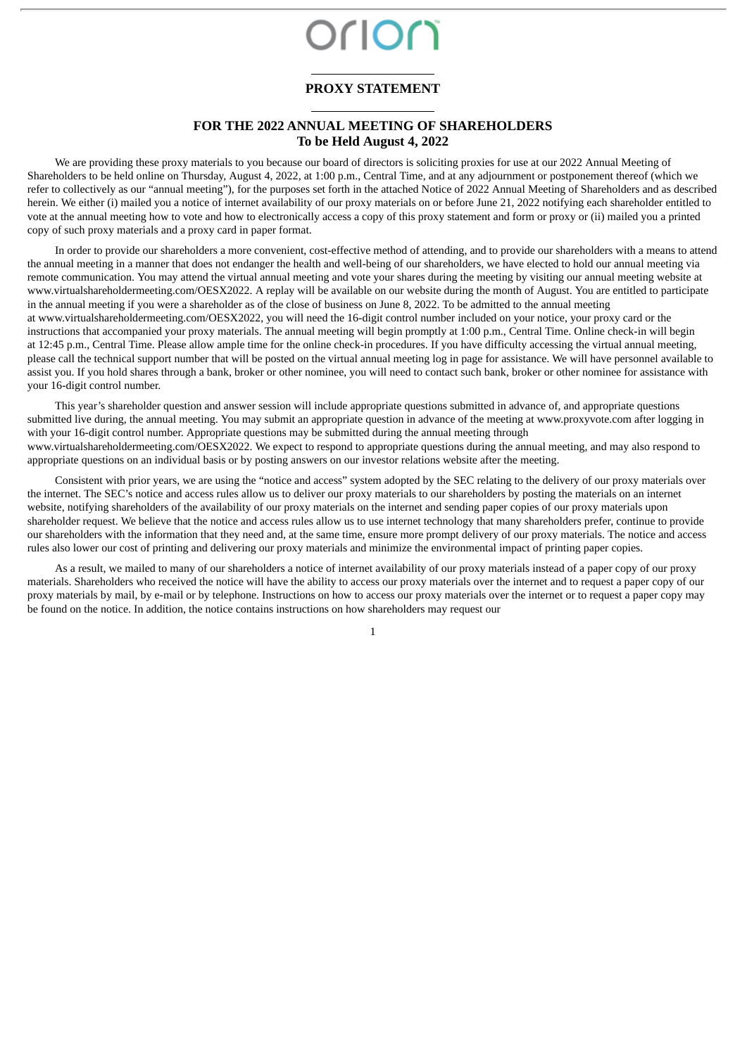# Drior

## **PROXY STATEMENT**

### **FOR THE 2022 ANNUAL MEETING OF SHAREHOLDERS To be Held August 4, 2022**

We are providing these proxy materials to you because our board of directors is soliciting proxies for use at our 2022 Annual Meeting of Shareholders to be held online on Thursday, August 4, 2022, at 1:00 p.m., Central Time, and at any adjournment or postponement thereof (which we refer to collectively as our "annual meeting"), for the purposes set forth in the attached Notice of 2022 Annual Meeting of Shareholders and as described herein. We either (i) mailed you a notice of internet availability of our proxy materials on or before June 21, 2022 notifying each shareholder entitled to vote at the annual meeting how to vote and how to electronically access a copy of this proxy statement and form or proxy or (ii) mailed you a printed copy of such proxy materials and a proxy card in paper format.

In order to provide our shareholders a more convenient, cost-effective method of attending, and to provide our shareholders with a means to attend the annual meeting in a manner that does not endanger the health and well-being of our shareholders, we have elected to hold our annual meeting via remote communication. You may attend the virtual annual meeting and vote your shares during the meeting by visiting our annual meeting website at www.virtualshareholdermeeting.com/OESX2022. A replay will be available on our website during the month of August. You are entitled to participate in the annual meeting if you were a shareholder as of the close of business on June 8, 2022. To be admitted to the annual meeting at www.virtualshareholdermeeting.com/OESX2022, you will need the 16-digit control number included on your notice, your proxy card or the instructions that accompanied your proxy materials. The annual meeting will begin promptly at 1:00 p.m., Central Time. Online check-in will begin at 12:45 p.m., Central Time. Please allow ample time for the online check-in procedures. If you have difficulty accessing the virtual annual meeting, please call the technical support number that will be posted on the virtual annual meeting log in page for assistance. We will have personnel available to assist you. If you hold shares through a bank, broker or other nominee, you will need to contact such bank, broker or other nominee for assistance with your 16-digit control number.

This year's shareholder question and answer session will include appropriate questions submitted in advance of, and appropriate questions submitted live during, the annual meeting. You may submit an appropriate question in advance of the meeting at www.proxyvote.com after logging in with your 16-digit control number. Appropriate questions may be submitted during the annual meeting through www.virtualshareholdermeeting.com/OESX2022. We expect to respond to appropriate questions during the annual meeting, and may also respond to appropriate questions on an individual basis or by posting answers on our investor relations website after the meeting.

Consistent with prior years, we are using the "notice and access" system adopted by the SEC relating to the delivery of our proxy materials over the internet. The SEC's notice and access rules allow us to deliver our proxy materials to our shareholders by posting the materials on an internet website, notifying shareholders of the availability of our proxy materials on the internet and sending paper copies of our proxy materials upon shareholder request. We believe that the notice and access rules allow us to use internet technology that many shareholders prefer, continue to provide our shareholders with the information that they need and, at the same time, ensure more prompt delivery of our proxy materials. The notice and access rules also lower our cost of printing and delivering our proxy materials and minimize the environmental impact of printing paper copies.

As a result, we mailed to many of our shareholders a notice of internet availability of our proxy materials instead of a paper copy of our proxy materials. Shareholders who received the notice will have the ability to access our proxy materials over the internet and to request a paper copy of our proxy materials by mail, by e-mail or by telephone. Instructions on how to access our proxy materials over the internet or to request a paper copy may be found on the notice. In addition, the notice contains instructions on how shareholders may request our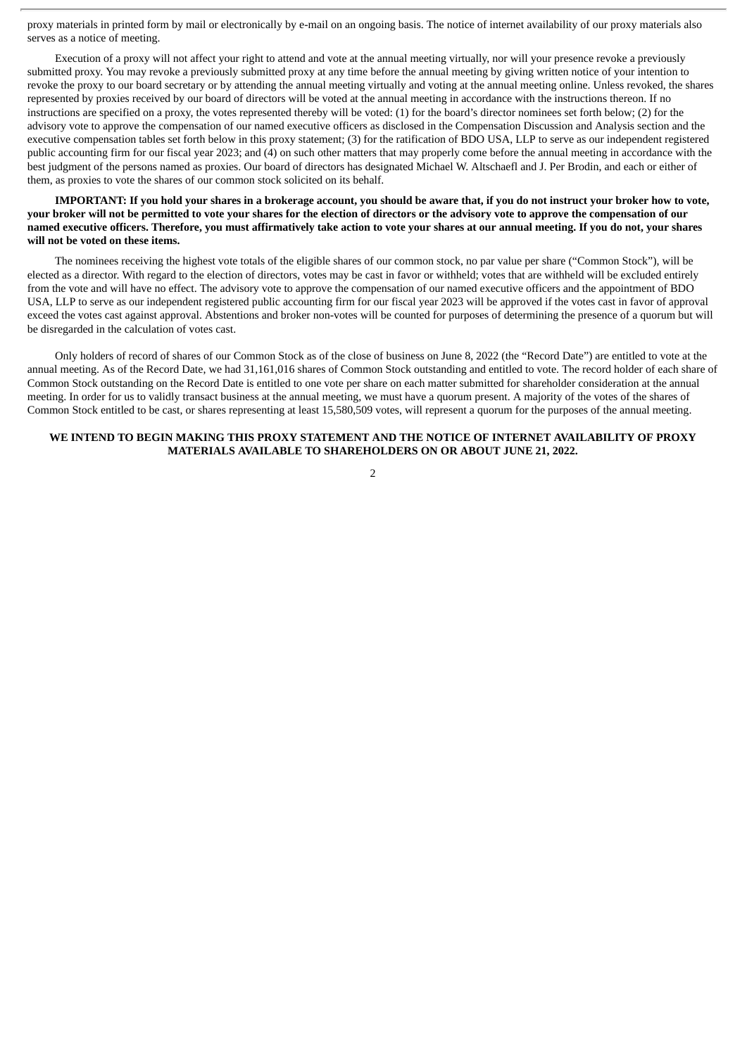proxy materials in printed form by mail or electronically by e-mail on an ongoing basis. The notice of internet availability of our proxy materials also serves as a notice of meeting.

Execution of a proxy will not affect your right to attend and vote at the annual meeting virtually, nor will your presence revoke a previously submitted proxy. You may revoke a previously submitted proxy at any time before the annual meeting by giving written notice of your intention to revoke the proxy to our board secretary or by attending the annual meeting virtually and voting at the annual meeting online. Unless revoked, the shares represented by proxies received by our board of directors will be voted at the annual meeting in accordance with the instructions thereon. If no instructions are specified on a proxy, the votes represented thereby will be voted: (1) for the board's director nominees set forth below; (2) for the advisory vote to approve the compensation of our named executive officers as disclosed in the Compensation Discussion and Analysis section and the executive compensation tables set forth below in this proxy statement; (3) for the ratification of BDO USA, LLP to serve as our independent registered public accounting firm for our fiscal year 2023; and (4) on such other matters that may properly come before the annual meeting in accordance with the best judgment of the persons named as proxies. Our board of directors has designated Michael W. Altschaefl and J. Per Brodin, and each or either of them, as proxies to vote the shares of our common stock solicited on its behalf.

IMPORTANT: If you hold your shares in a brokerage account, you should be aware that, if you do not instruct your broker how to vote, your broker will not be permitted to vote your shares for the election of directors or the advisory vote to approve the compensation of our named executive officers. Therefore, you must affirmatively take action to vote your shares at our annual meeting. If you do not, your shares **will not be voted on these items.**

The nominees receiving the highest vote totals of the eligible shares of our common stock, no par value per share ("Common Stock"), will be elected as a director. With regard to the election of directors, votes may be cast in favor or withheld; votes that are withheld will be excluded entirely from the vote and will have no effect. The advisory vote to approve the compensation of our named executive officers and the appointment of BDO USA, LLP to serve as our independent registered public accounting firm for our fiscal year 2023 will be approved if the votes cast in favor of approval exceed the votes cast against approval. Abstentions and broker non-votes will be counted for purposes of determining the presence of a quorum but will be disregarded in the calculation of votes cast.

Only holders of record of shares of our Common Stock as of the close of business on June 8, 2022 (the "Record Date") are entitled to vote at the annual meeting. As of the Record Date, we had 31,161,016 shares of Common Stock outstanding and entitled to vote. The record holder of each share of Common Stock outstanding on the Record Date is entitled to one vote per share on each matter submitted for shareholder consideration at the annual meeting. In order for us to validly transact business at the annual meeting, we must have a quorum present. A majority of the votes of the shares of Common Stock entitled to be cast, or shares representing at least 15,580,509 votes, will represent a quorum for the purposes of the annual meeting.

#### **WE INTEND TO BEGIN MAKING THIS PROXY STATEMENT AND THE NOTICE OF INTERNET AVAILABILITY OF PROXY MATERIALS AVAILABLE TO SHAREHOLDERS ON OR ABOUT JUNE 21, 2022.**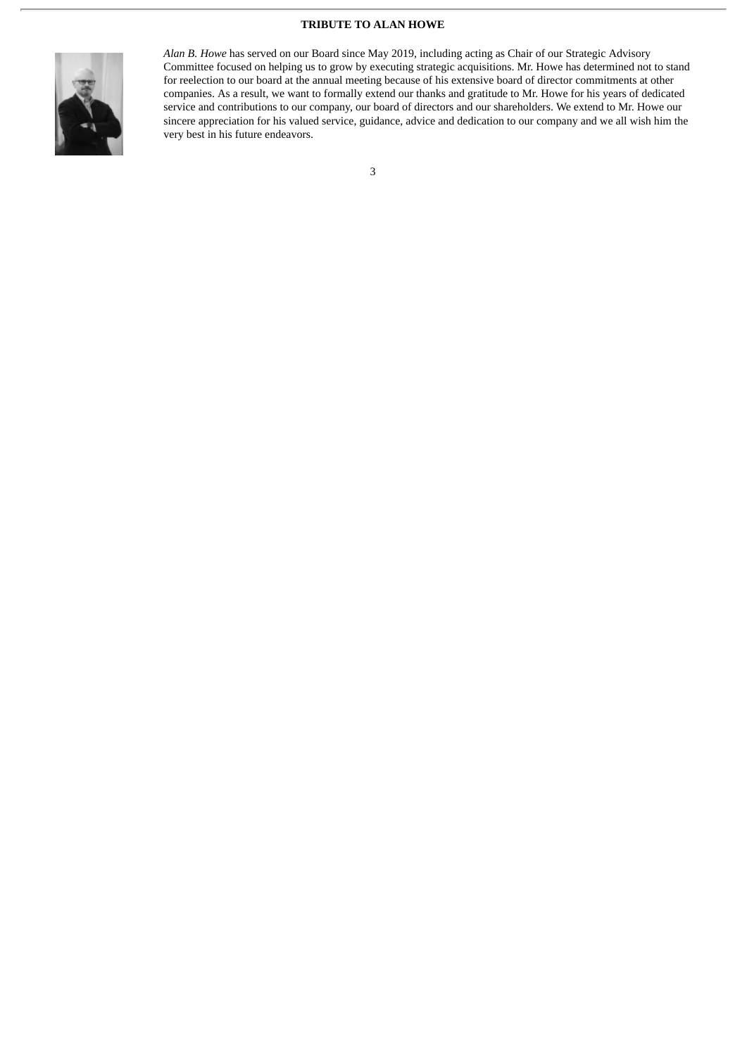#### **TRIBUTE TO ALAN HOWE**



*Alan B. Howe* has served on our Board since May 2019, including acting as Chair of our Strategic Advisory Committee focused on helping us to grow by executing strategic acquisitions. Mr. Howe has determined not to stand for reelection to our board at the annual meeting because of his extensive board of director commitments at other companies. As a result, we want to formally extend our thanks and gratitude to Mr. Howe for his years of dedicated service and contributions to our company, our board of directors and our shareholders. We extend to Mr. Howe our sincere appreciation for his valued service, guidance, advice and dedication to our company and we all wish him the very best in his future endeavors.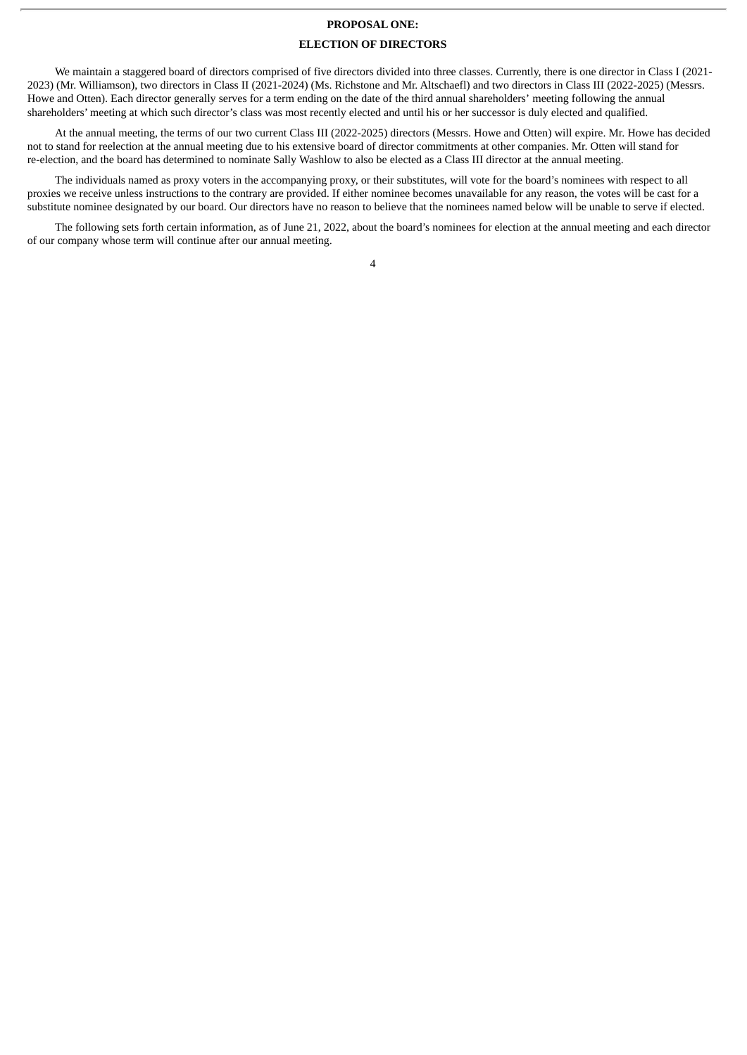#### **PROPOSAL ONE:**

#### **ELECTION OF DIRECTORS**

We maintain a staggered board of directors comprised of five directors divided into three classes. Currently, there is one director in Class I (2021- 2023) (Mr. Williamson), two directors in Class II (2021-2024) (Ms. Richstone and Mr. Altschaefl) and two directors in Class III (2022-2025) (Messrs. Howe and Otten). Each director generally serves for a term ending on the date of the third annual shareholders' meeting following the annual shareholders' meeting at which such director's class was most recently elected and until his or her successor is duly elected and qualified.

At the annual meeting, the terms of our two current Class III (2022-2025) directors (Messrs. Howe and Otten) will expire. Mr. Howe has decided not to stand for reelection at the annual meeting due to his extensive board of director commitments at other companies. Mr. Otten will stand for re-election, and the board has determined to nominate Sally Washlow to also be elected as a Class III director at the annual meeting.

The individuals named as proxy voters in the accompanying proxy, or their substitutes, will vote for the board's nominees with respect to all proxies we receive unless instructions to the contrary are provided. If either nominee becomes unavailable for any reason, the votes will be cast for a substitute nominee designated by our board. Our directors have no reason to believe that the nominees named below will be unable to serve if elected.

The following sets forth certain information, as of June 21, 2022, about the board's nominees for election at the annual meeting and each director of our company whose term will continue after our annual meeting.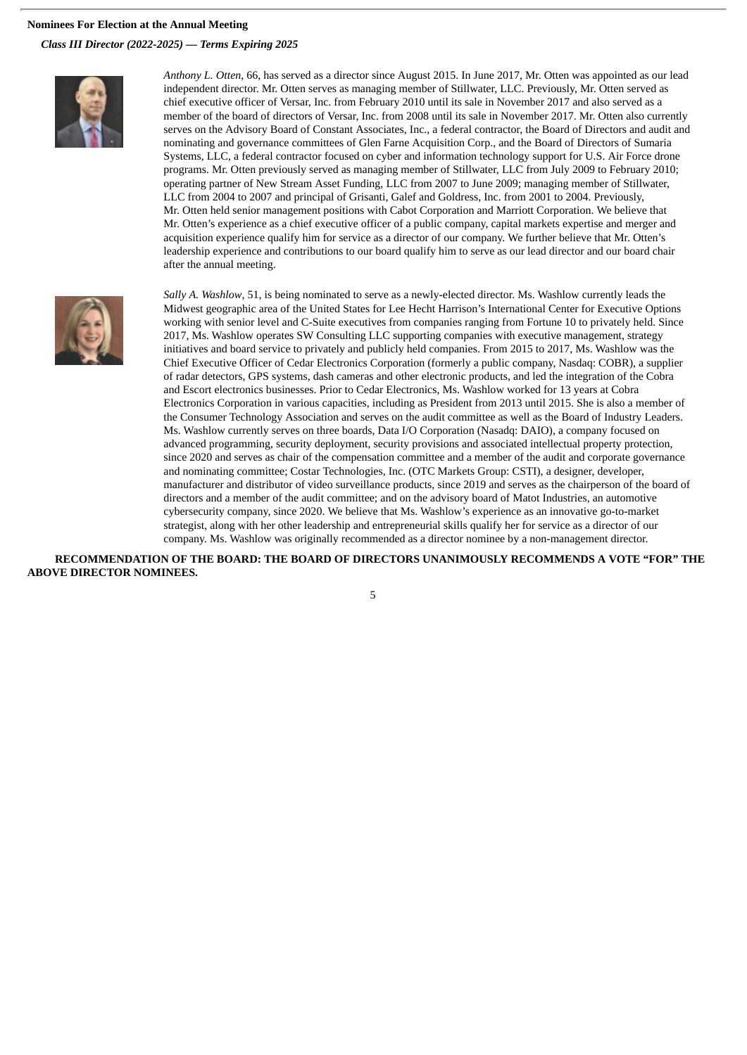#### **Nominees For Election at the Annual Meeting**

*Class III Director (2022-2025) — Terms Expiring 2025*



*Anthony L. Otten*, 66, has served as a director since August 2015. In June 2017, Mr. Otten was appointed as our lead independent director. Mr. Otten serves as managing member of Stillwater, LLC. Previously, Mr. Otten served as chief executive officer of Versar, Inc. from February 2010 until its sale in November 2017 and also served as a member of the board of directors of Versar, Inc. from 2008 until its sale in November 2017. Mr. Otten also currently serves on the Advisory Board of Constant Associates, Inc., a federal contractor, the Board of Directors and audit and nominating and governance committees of Glen Farne Acquisition Corp., and the Board of Directors of Sumaria Systems, LLC, a federal contractor focused on cyber and information technology support for U.S. Air Force drone programs. Mr. Otten previously served as managing member of Stillwater, LLC from July 2009 to February 2010; operating partner of New Stream Asset Funding, LLC from 2007 to June 2009; managing member of Stillwater, LLC from 2004 to 2007 and principal of Grisanti, Galef and Goldress, Inc. from 2001 to 2004. Previously, Mr. Otten held senior management positions with Cabot Corporation and Marriott Corporation. We believe that Mr. Otten's experience as a chief executive officer of a public company, capital markets expertise and merger and acquisition experience qualify him for service as a director of our company. We further believe that Mr. Otten's leadership experience and contributions to our board qualify him to serve as our lead director and our board chair after the annual meeting.



*Sally A. Washlow*, 51, is being nominated to serve as a newly-elected director. Ms. Washlow currently leads the Midwest geographic area of the United States for Lee Hecht Harrison's International Center for Executive Options working with senior level and C-Suite executives from companies ranging from Fortune 10 to privately held. Since 2017, Ms. Washlow operates SW Consulting LLC supporting companies with executive management, strategy initiatives and board service to privately and publicly held companies. From 2015 to 2017, Ms. Washlow was the Chief Executive Officer of Cedar Electronics Corporation (formerly a public company, Nasdaq: COBR), a supplier of radar detectors, GPS systems, dash cameras and other electronic products, and led the integration of the Cobra and Escort electronics businesses. Prior to Cedar Electronics, Ms. Washlow worked for 13 years at Cobra Electronics Corporation in various capacities, including as President from 2013 until 2015. She is also a member of the Consumer Technology Association and serves on the audit committee as well as the Board of Industry Leaders. Ms. Washlow currently serves on three boards, Data I/O Corporation (Nasadq: DAIO), a company focused on advanced programming, security deployment, security provisions and associated intellectual property protection, since 2020 and serves as chair of the compensation committee and a member of the audit and corporate governance and nominating committee; Costar Technologies, Inc. (OTC Markets Group: CSTI), a designer, developer, manufacturer and distributor of video surveillance products, since 2019 and serves as the chairperson of the board of directors and a member of the audit committee; and on the advisory board of Matot Industries, an automotive cybersecurity company, since 2020. We believe that Ms. Washlow's experience as an innovative go-to-market strategist, along with her other leadership and entrepreneurial skills qualify her for service as a director of our company. Ms. Washlow was originally recommended as a director nominee by a non-management director.

**RECOMMENDATION OF THE BOARD: THE BOARD OF DIRECTORS UNANIMOUSLY RECOMMENDS A VOTE "FOR" THE ABOVE DIRECTOR NOMINEES.**

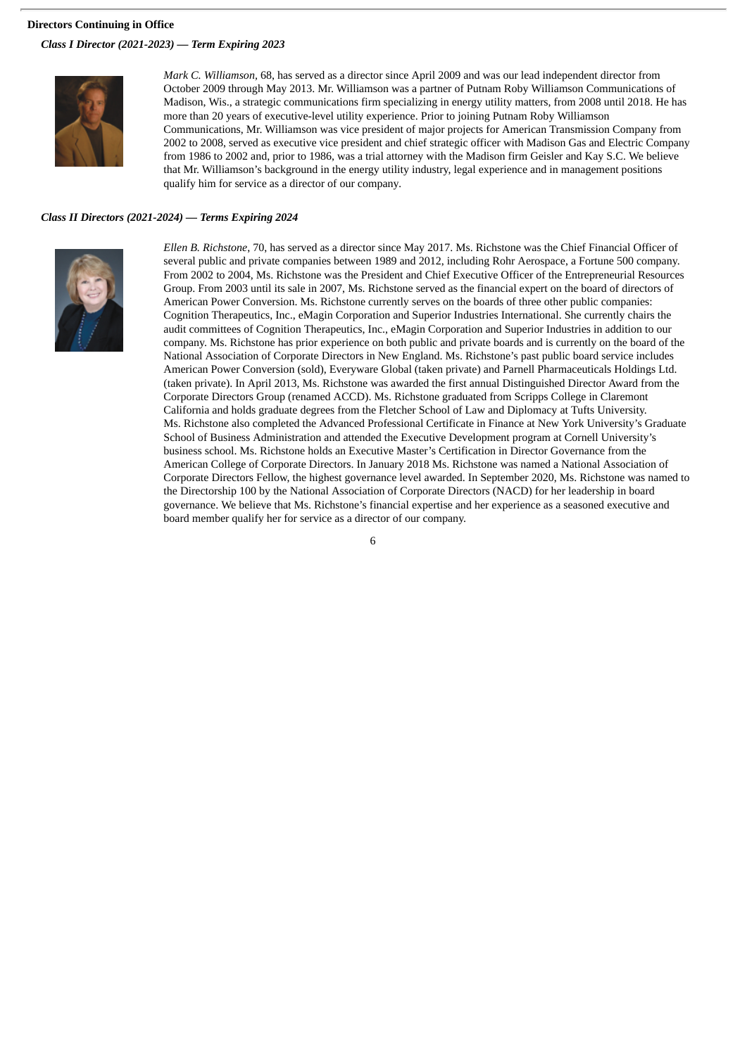#### **Directors Continuing in Office**

*Class I Director (2021-2023) — Term Expiring 2023*



*Mark C. Williamson,* 68, has served as a director since April 2009 and was our lead independent director from October 2009 through May 2013. Mr. Williamson was a partner of Putnam Roby Williamson Communications of Madison, Wis., a strategic communications firm specializing in energy utility matters, from 2008 until 2018. He has more than 20 years of executive-level utility experience. Prior to joining Putnam Roby Williamson Communications, Mr. Williamson was vice president of major projects for American Transmission Company from 2002 to 2008, served as executive vice president and chief strategic officer with Madison Gas and Electric Company from 1986 to 2002 and, prior to 1986, was a trial attorney with the Madison firm Geisler and Kay S.C. We believe that Mr. Williamson's background in the energy utility industry, legal experience and in management positions qualify him for service as a director of our company*.*

#### *Class II Directors (2021-2024) — Terms Expiring 2024*



*Ellen B. Richstone*, 70, has served as a director since May 2017. Ms. Richstone was the Chief Financial Officer of several public and private companies between 1989 and 2012, including Rohr Aerospace, a Fortune 500 company. From 2002 to 2004, Ms. Richstone was the President and Chief Executive Officer of the Entrepreneurial Resources Group. From 2003 until its sale in 2007, Ms. Richstone served as the financial expert on the board of directors of American Power Conversion. Ms. Richstone currently serves on the boards of three other public companies: Cognition Therapeutics, Inc., eMagin Corporation and Superior Industries International. She currently chairs the audit committees of Cognition Therapeutics, Inc., eMagin Corporation and Superior Industries in addition to our company. Ms. Richstone has prior experience on both public and private boards and is currently on the board of the National Association of Corporate Directors in New England. Ms. Richstone's past public board service includes American Power Conversion (sold), Everyware Global (taken private) and Parnell Pharmaceuticals Holdings Ltd. (taken private). In April 2013, Ms. Richstone was awarded the first annual Distinguished Director Award from the Corporate Directors Group (renamed ACCD). Ms. Richstone graduated from Scripps College in Claremont California and holds graduate degrees from the Fletcher School of Law and Diplomacy at Tufts University. Ms. Richstone also completed the Advanced Professional Certificate in Finance at New York University's Graduate School of Business Administration and attended the Executive Development program at Cornell University's business school. Ms. Richstone holds an Executive Master's Certification in Director Governance from the American College of Corporate Directors. In January 2018 Ms. Richstone was named a National Association of Corporate Directors Fellow, the highest governance level awarded. In September 2020, Ms. Richstone was named to the Directorship 100 by the National Association of Corporate Directors (NACD) for her leadership in board governance. We believe that Ms. Richstone's financial expertise and her experience as a seasoned executive and board member qualify her for service as a director of our company.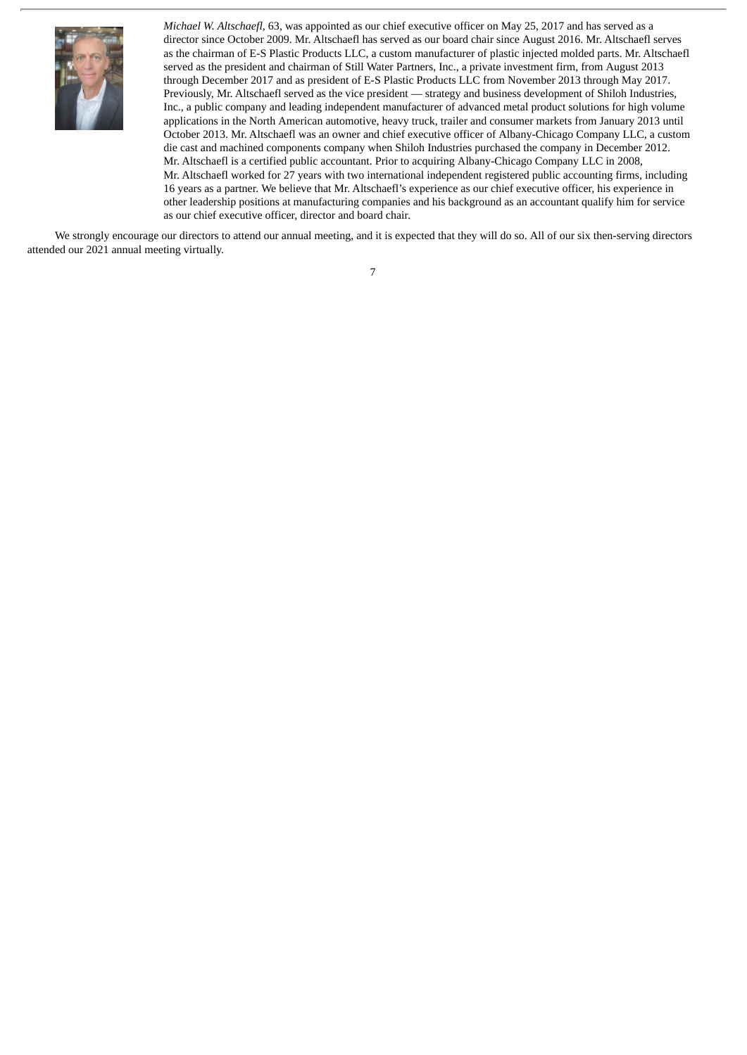

*Michael W. Altschaefl*, 63, was appointed as our chief executive officer on May 25, 2017 and has served as a director since October 2009. Mr. Altschaefl has served as our board chair since August 2016. Mr. Altschaefl serves as the chairman of E-S Plastic Products LLC, a custom manufacturer of plastic injected molded parts. Mr. Altschaefl served as the president and chairman of Still Water Partners, Inc., a private investment firm, from August 2013 through December 2017 and as president of E-S Plastic Products LLC from November 2013 through May 2017. Previously, Mr. Altschaefl served as the vice president — strategy and business development of Shiloh Industries, Inc., a public company and leading independent manufacturer of advanced metal product solutions for high volume applications in the North American automotive, heavy truck, trailer and consumer markets from January 2013 until October 2013. Mr. Altschaefl was an owner and chief executive officer of Albany-Chicago Company LLC, a custom die cast and machined components company when Shiloh Industries purchased the company in December 2012. Mr. Altschaefl is a certified public accountant. Prior to acquiring Albany-Chicago Company LLC in 2008, Mr. Altschaefl worked for 27 years with two international independent registered public accounting firms, including 16 years as a partner. We believe that Mr. Altschaefl's experience as our chief executive officer, his experience in other leadership positions at manufacturing companies and his background as an accountant qualify him for service as our chief executive officer, director and board chair.

We strongly encourage our directors to attend our annual meeting, and it is expected that they will do so. All of our six then-serving directors attended our 2021 annual meeting virtually.

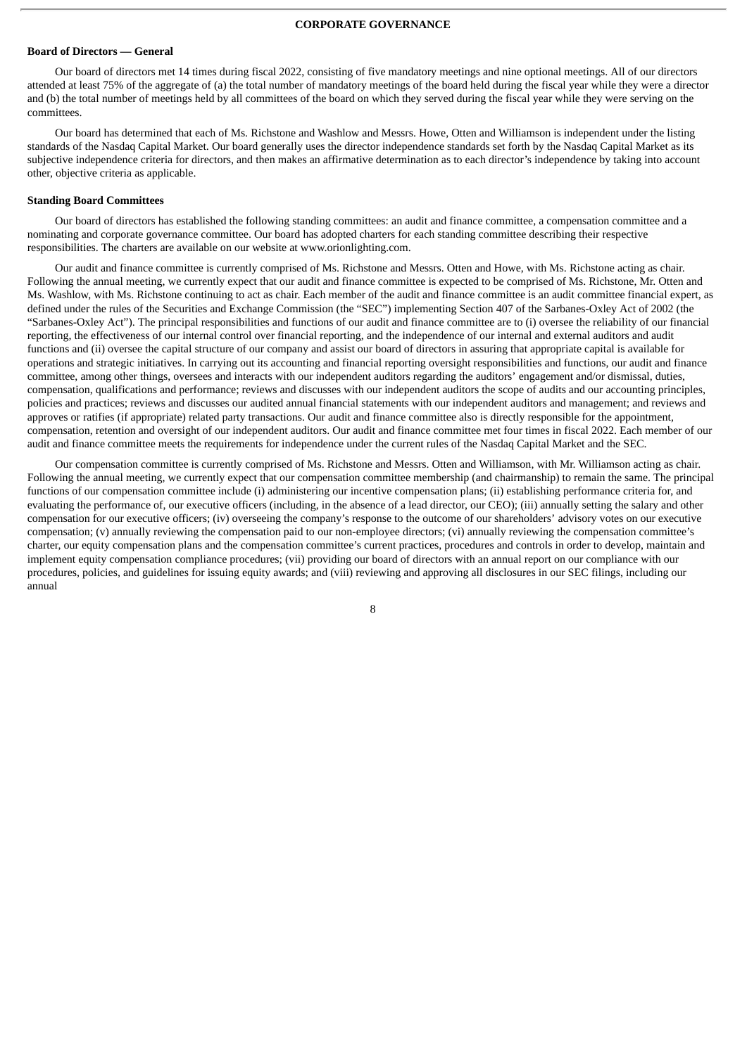#### **CORPORATE GOVERNANCE**

#### **Board of Directors — General**

Our board of directors met 14 times during fiscal 2022, consisting of five mandatory meetings and nine optional meetings. All of our directors attended at least 75% of the aggregate of (a) the total number of mandatory meetings of the board held during the fiscal year while they were a director and (b) the total number of meetings held by all committees of the board on which they served during the fiscal year while they were serving on the committees.

Our board has determined that each of Ms. Richstone and Washlow and Messrs. Howe, Otten and Williamson is independent under the listing standards of the Nasdaq Capital Market. Our board generally uses the director independence standards set forth by the Nasdaq Capital Market as its subjective independence criteria for directors, and then makes an affirmative determination as to each director's independence by taking into account other, objective criteria as applicable.

#### **Standing Board Committees**

Our board of directors has established the following standing committees: an audit and finance committee, a compensation committee and a nominating and corporate governance committee. Our board has adopted charters for each standing committee describing their respective responsibilities. The charters are available on our website at www.orionlighting.com.

Our audit and finance committee is currently comprised of Ms. Richstone and Messrs. Otten and Howe, with Ms. Richstone acting as chair. Following the annual meeting, we currently expect that our audit and finance committee is expected to be comprised of Ms. Richstone, Mr. Otten and Ms. Washlow, with Ms. Richstone continuing to act as chair. Each member of the audit and finance committee is an audit committee financial expert, as defined under the rules of the Securities and Exchange Commission (the "SEC") implementing Section 407 of the Sarbanes-Oxley Act of 2002 (the "Sarbanes-Oxley Act"). The principal responsibilities and functions of our audit and finance committee are to (i) oversee the reliability of our financial reporting, the effectiveness of our internal control over financial reporting, and the independence of our internal and external auditors and audit functions and (ii) oversee the capital structure of our company and assist our board of directors in assuring that appropriate capital is available for operations and strategic initiatives. In carrying out its accounting and financial reporting oversight responsibilities and functions, our audit and finance committee, among other things, oversees and interacts with our independent auditors regarding the auditors' engagement and/or dismissal, duties, compensation, qualifications and performance; reviews and discusses with our independent auditors the scope of audits and our accounting principles, policies and practices; reviews and discusses our audited annual financial statements with our independent auditors and management; and reviews and approves or ratifies (if appropriate) related party transactions. Our audit and finance committee also is directly responsible for the appointment, compensation, retention and oversight of our independent auditors. Our audit and finance committee met four times in fiscal 2022. Each member of our audit and finance committee meets the requirements for independence under the current rules of the Nasdaq Capital Market and the SEC.

Our compensation committee is currently comprised of Ms. Richstone and Messrs. Otten and Williamson, with Mr. Williamson acting as chair. Following the annual meeting, we currently expect that our compensation committee membership (and chairmanship) to remain the same. The principal functions of our compensation committee include (i) administering our incentive compensation plans; (ii) establishing performance criteria for, and evaluating the performance of, our executive officers (including, in the absence of a lead director, our CEO); (iii) annually setting the salary and other compensation for our executive officers; (iv) overseeing the company's response to the outcome of our shareholders' advisory votes on our executive compensation; (v) annually reviewing the compensation paid to our non-employee directors; (vi) annually reviewing the compensation committee's charter, our equity compensation plans and the compensation committee's current practices, procedures and controls in order to develop, maintain and implement equity compensation compliance procedures; (vii) providing our board of directors with an annual report on our compliance with our procedures, policies, and guidelines for issuing equity awards; and (viii) reviewing and approving all disclosures in our SEC filings, including our annual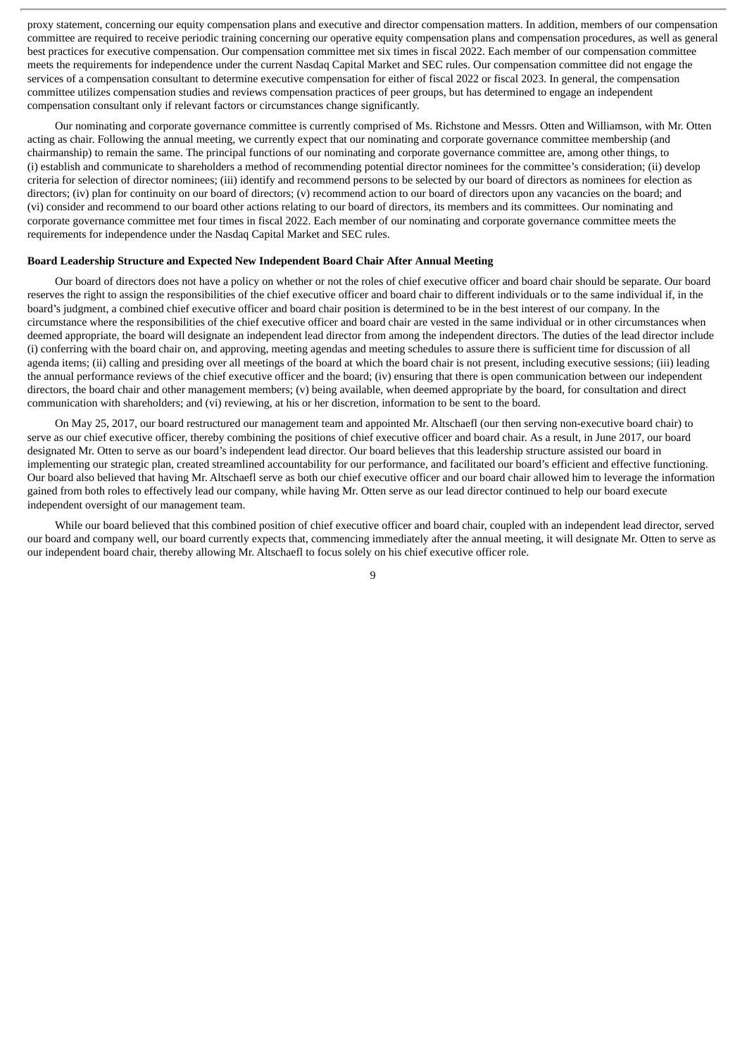proxy statement, concerning our equity compensation plans and executive and director compensation matters. In addition, members of our compensation committee are required to receive periodic training concerning our operative equity compensation plans and compensation procedures, as well as general best practices for executive compensation. Our compensation committee met six times in fiscal 2022. Each member of our compensation committee meets the requirements for independence under the current Nasdaq Capital Market and SEC rules. Our compensation committee did not engage the services of a compensation consultant to determine executive compensation for either of fiscal 2022 or fiscal 2023. In general, the compensation committee utilizes compensation studies and reviews compensation practices of peer groups, but has determined to engage an independent compensation consultant only if relevant factors or circumstances change significantly.

Our nominating and corporate governance committee is currently comprised of Ms. Richstone and Messrs. Otten and Williamson, with Mr. Otten acting as chair. Following the annual meeting, we currently expect that our nominating and corporate governance committee membership (and chairmanship) to remain the same. The principal functions of our nominating and corporate governance committee are, among other things, to (i) establish and communicate to shareholders a method of recommending potential director nominees for the committee's consideration; (ii) develop criteria for selection of director nominees; (iii) identify and recommend persons to be selected by our board of directors as nominees for election as directors; (iv) plan for continuity on our board of directors; (v) recommend action to our board of directors upon any vacancies on the board; and (vi) consider and recommend to our board other actions relating to our board of directors, its members and its committees. Our nominating and corporate governance committee met four times in fiscal 2022. Each member of our nominating and corporate governance committee meets the requirements for independence under the Nasdaq Capital Market and SEC rules.

#### **Board Leadership Structure and Expected New Independent Board Chair After Annual Meeting**

Our board of directors does not have a policy on whether or not the roles of chief executive officer and board chair should be separate. Our board reserves the right to assign the responsibilities of the chief executive officer and board chair to different individuals or to the same individual if, in the board's judgment, a combined chief executive officer and board chair position is determined to be in the best interest of our company. In the circumstance where the responsibilities of the chief executive officer and board chair are vested in the same individual or in other circumstances when deemed appropriate, the board will designate an independent lead director from among the independent directors. The duties of the lead director include (i) conferring with the board chair on, and approving, meeting agendas and meeting schedules to assure there is sufficient time for discussion of all agenda items; (ii) calling and presiding over all meetings of the board at which the board chair is not present, including executive sessions; (iii) leading the annual performance reviews of the chief executive officer and the board; (iv) ensuring that there is open communication between our independent directors, the board chair and other management members; (v) being available, when deemed appropriate by the board, for consultation and direct communication with shareholders; and (vi) reviewing, at his or her discretion, information to be sent to the board.

On May 25, 2017, our board restructured our management team and appointed Mr. Altschaefl (our then serving non-executive board chair) to serve as our chief executive officer, thereby combining the positions of chief executive officer and board chair. As a result, in June 2017, our board designated Mr. Otten to serve as our board's independent lead director. Our board believes that this leadership structure assisted our board in implementing our strategic plan, created streamlined accountability for our performance, and facilitated our board's efficient and effective functioning. Our board also believed that having Mr. Altschaefl serve as both our chief executive officer and our board chair allowed him to leverage the information gained from both roles to effectively lead our company, while having Mr. Otten serve as our lead director continued to help our board execute independent oversight of our management team.

While our board believed that this combined position of chief executive officer and board chair, coupled with an independent lead director, served our board and company well, our board currently expects that, commencing immediately after the annual meeting, it will designate Mr. Otten to serve as our independent board chair, thereby allowing Mr. Altschaefl to focus solely on his chief executive officer role.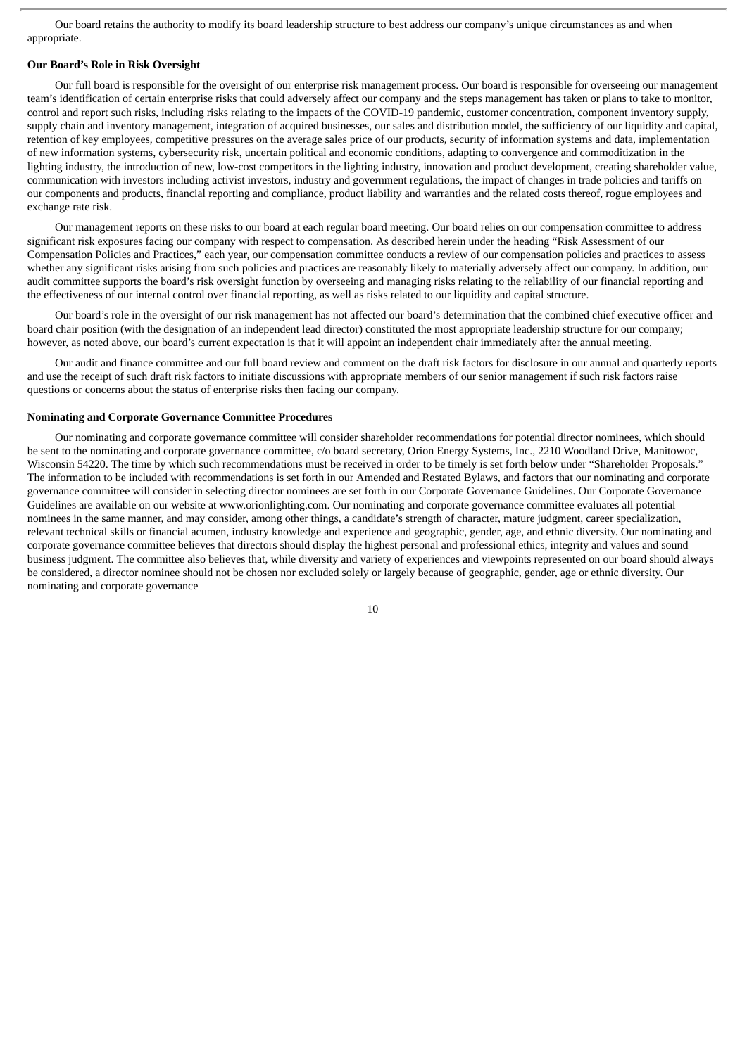Our board retains the authority to modify its board leadership structure to best address our company's unique circumstances as and when appropriate.

#### **Our Board's Role in Risk Oversight**

Our full board is responsible for the oversight of our enterprise risk management process. Our board is responsible for overseeing our management team's identification of certain enterprise risks that could adversely affect our company and the steps management has taken or plans to take to monitor, control and report such risks, including risks relating to the impacts of the COVID-19 pandemic, customer concentration, component inventory supply, supply chain and inventory management, integration of acquired businesses, our sales and distribution model, the sufficiency of our liquidity and capital, retention of key employees, competitive pressures on the average sales price of our products, security of information systems and data, implementation of new information systems, cybersecurity risk, uncertain political and economic conditions, adapting to convergence and commoditization in the lighting industry, the introduction of new, low-cost competitors in the lighting industry, innovation and product development, creating shareholder value, communication with investors including activist investors, industry and government regulations, the impact of changes in trade policies and tariffs on our components and products, financial reporting and compliance, product liability and warranties and the related costs thereof, rogue employees and exchange rate risk.

Our management reports on these risks to our board at each regular board meeting. Our board relies on our compensation committee to address significant risk exposures facing our company with respect to compensation. As described herein under the heading "Risk Assessment of our Compensation Policies and Practices," each year, our compensation committee conducts a review of our compensation policies and practices to assess whether any significant risks arising from such policies and practices are reasonably likely to materially adversely affect our company. In addition, our audit committee supports the board's risk oversight function by overseeing and managing risks relating to the reliability of our financial reporting and the effectiveness of our internal control over financial reporting, as well as risks related to our liquidity and capital structure.

Our board's role in the oversight of our risk management has not affected our board's determination that the combined chief executive officer and board chair position (with the designation of an independent lead director) constituted the most appropriate leadership structure for our company; however, as noted above, our board's current expectation is that it will appoint an independent chair immediately after the annual meeting.

Our audit and finance committee and our full board review and comment on the draft risk factors for disclosure in our annual and quarterly reports and use the receipt of such draft risk factors to initiate discussions with appropriate members of our senior management if such risk factors raise questions or concerns about the status of enterprise risks then facing our company.

#### **Nominating and Corporate Governance Committee Procedures**

Our nominating and corporate governance committee will consider shareholder recommendations for potential director nominees, which should be sent to the nominating and corporate governance committee, c/o board secretary, Orion Energy Systems, Inc., 2210 Woodland Drive, Manitowoc, Wisconsin 54220. The time by which such recommendations must be received in order to be timely is set forth below under "Shareholder Proposals." The information to be included with recommendations is set forth in our Amended and Restated Bylaws, and factors that our nominating and corporate governance committee will consider in selecting director nominees are set forth in our Corporate Governance Guidelines. Our Corporate Governance Guidelines are available on our website at www.orionlighting.com. Our nominating and corporate governance committee evaluates all potential nominees in the same manner, and may consider, among other things, a candidate's strength of character, mature judgment, career specialization, relevant technical skills or financial acumen, industry knowledge and experience and geographic, gender, age, and ethnic diversity. Our nominating and corporate governance committee believes that directors should display the highest personal and professional ethics, integrity and values and sound business judgment. The committee also believes that, while diversity and variety of experiences and viewpoints represented on our board should always be considered, a director nominee should not be chosen nor excluded solely or largely because of geographic, gender, age or ethnic diversity. Our nominating and corporate governance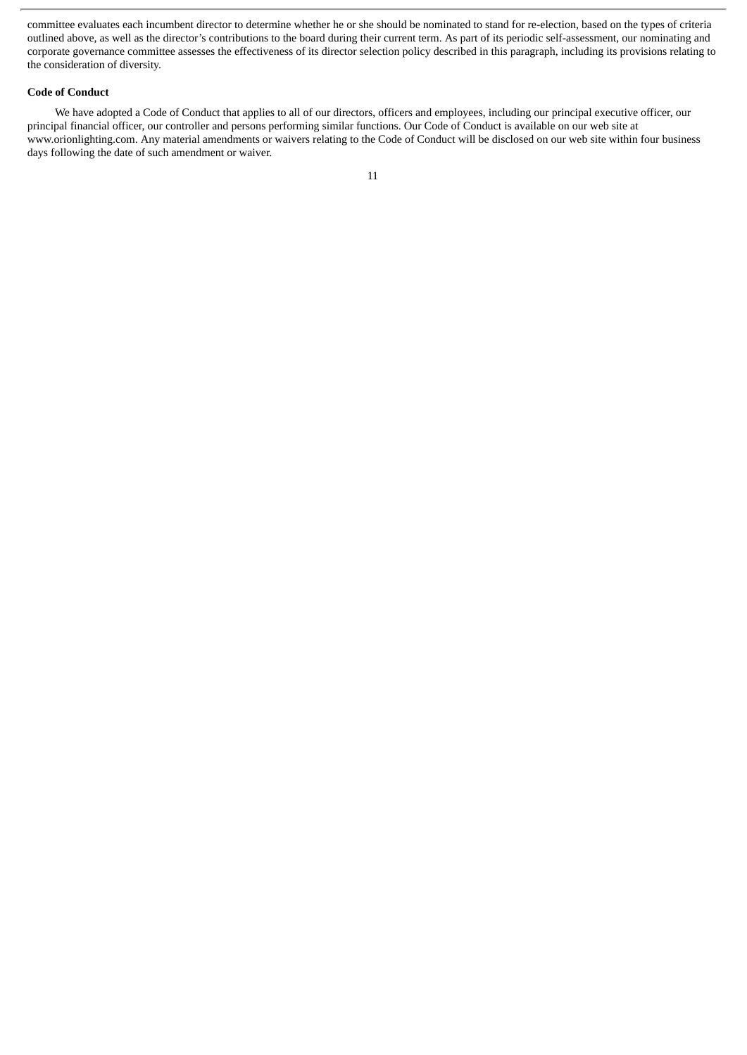committee evaluates each incumbent director to determine whether he or she should be nominated to stand for re-election, based on the types of criteria outlined above, as well as the director's contributions to the board during their current term. As part of its periodic self-assessment, our nominating and corporate governance committee assesses the effectiveness of its director selection policy described in this paragraph, including its provisions relating to the consideration of diversity.

#### **Code of Conduct**

We have adopted a Code of Conduct that applies to all of our directors, officers and employees, including our principal executive officer, our principal financial officer, our controller and persons performing similar functions. Our Code of Conduct is available on our web site at www.orionlighting.com. Any material amendments or waivers relating to the Code of Conduct will be disclosed on our web site within four business days following the date of such amendment or waiver.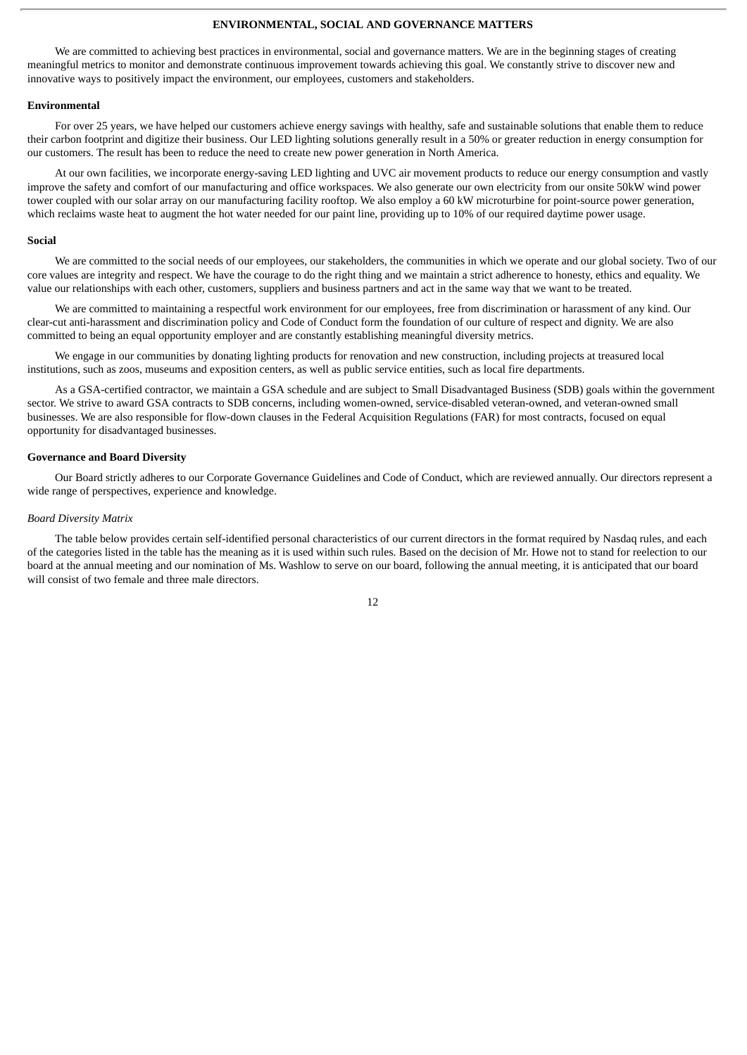#### **ENVIRONMENTAL, SOCIAL AND GOVERNANCE MATTERS**

We are committed to achieving best practices in environmental, social and governance matters. We are in the beginning stages of creating meaningful metrics to monitor and demonstrate continuous improvement towards achieving this goal. We constantly strive to discover new and innovative ways to positively impact the environment, our employees, customers and stakeholders.

#### **Environmental**

For over 25 years, we have helped our customers achieve energy savings with healthy, safe and sustainable solutions that enable them to reduce their carbon footprint and digitize their business. Our LED lighting solutions generally result in a 50% or greater reduction in energy consumption for our customers. The result has been to reduce the need to create new power generation in North America.

At our own facilities, we incorporate energy-saving LED lighting and UVC air movement products to reduce our energy consumption and vastly improve the safety and comfort of our manufacturing and office workspaces. We also generate our own electricity from our onsite 50kW wind power tower coupled with our solar array on our manufacturing facility rooftop. We also employ a 60 kW microturbine for point-source power generation, which reclaims waste heat to augment the hot water needed for our paint line, providing up to 10% of our required daytime power usage.

#### **Social**

We are committed to the social needs of our employees, our stakeholders, the communities in which we operate and our global society. Two of our core values are integrity and respect. We have the courage to do the right thing and we maintain a strict adherence to honesty, ethics and equality. We value our relationships with each other, customers, suppliers and business partners and act in the same way that we want to be treated.

We are committed to maintaining a respectful work environment for our employees, free from discrimination or harassment of any kind. Our clear-cut anti-harassment and discrimination policy and Code of Conduct form the foundation of our culture of respect and dignity. We are also committed to being an equal opportunity employer and are constantly establishing meaningful diversity metrics.

We engage in our communities by donating lighting products for renovation and new construction, including projects at treasured local institutions, such as zoos, museums and exposition centers, as well as public service entities, such as local fire departments.

As a GSA-certified contractor, we maintain a GSA schedule and are subject to Small Disadvantaged Business (SDB) goals within the government sector. We strive to award GSA contracts to SDB concerns, including women-owned, service-disabled veteran-owned, and veteran-owned small businesses. We are also responsible for flow-down clauses in the Federal Acquisition Regulations (FAR) for most contracts, focused on equal opportunity for disadvantaged businesses.

#### **Governance and Board Diversity**

Our Board strictly adheres to our Corporate Governance Guidelines and Code of Conduct, which are reviewed annually. Our directors represent a wide range of perspectives, experience and knowledge.

#### *Board Diversity Matrix*

The table below provides certain self-identified personal characteristics of our current directors in the format required by Nasdaq rules, and each of the categories listed in the table has the meaning as it is used within such rules. Based on the decision of Mr. Howe not to stand for reelection to our board at the annual meeting and our nomination of Ms. Washlow to serve on our board, following the annual meeting, it is anticipated that our board will consist of two female and three male directors.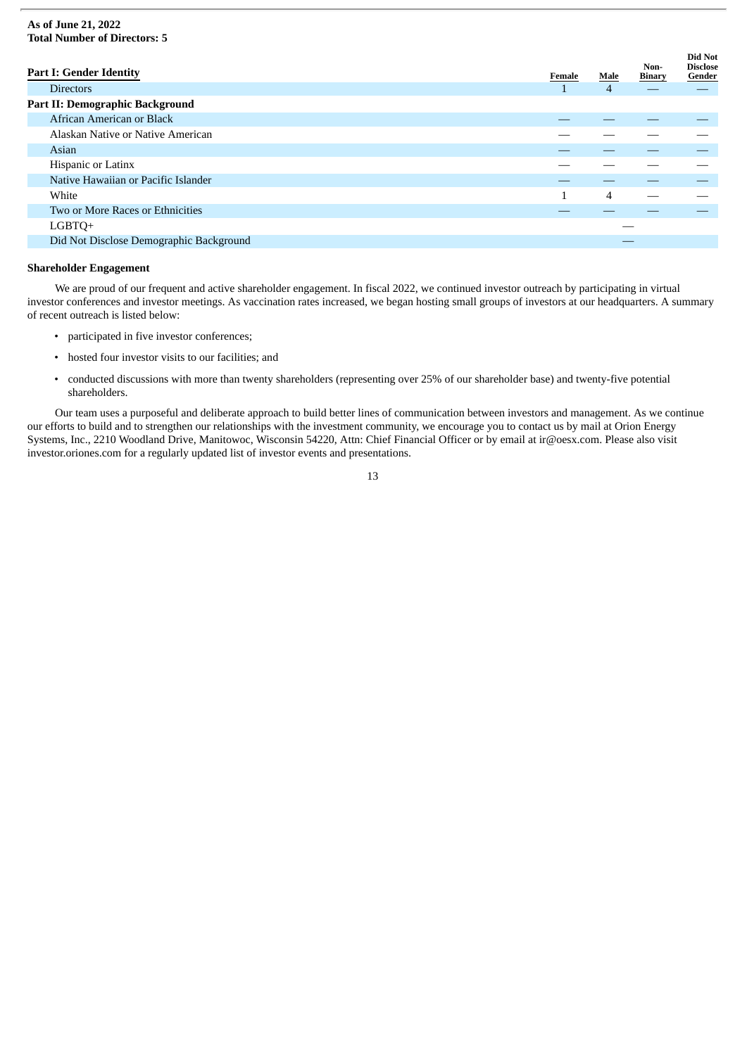#### **As of June 21, 2022 Total Number of Directors: 5**

| <b>Part I: Gender Identity</b>          | Female | Male | Non-<br>Binary | Did Not<br><b>Disclose</b><br>Gender |
|-----------------------------------------|--------|------|----------------|--------------------------------------|
| <b>Directors</b>                        |        | 4    |                |                                      |
| <b>Part II: Demographic Background</b>  |        |      |                |                                      |
| African American or Black               |        |      |                |                                      |
| Alaskan Native or Native American       |        |      |                |                                      |
| Asian                                   |        |      |                |                                      |
| Hispanic or Latinx                      |        |      |                |                                      |
| Native Hawaiian or Pacific Islander     |        |      |                |                                      |
| White                                   | 1      | 4    |                |                                      |
| Two or More Races or Ethnicities        |        |      |                |                                      |
| LGBTQ+                                  |        |      |                |                                      |
| Did Not Disclose Demographic Background |        |      |                |                                      |

### **Shareholder Engagement**

We are proud of our frequent and active shareholder engagement. In fiscal 2022, we continued investor outreach by participating in virtual investor conferences and investor meetings. As vaccination rates increased, we began hosting small groups of investors at our headquarters. A summary of recent outreach is listed below:

- participated in five investor conferences;
- hosted four investor visits to our facilities; and
- conducted discussions with more than twenty shareholders (representing over 25% of our shareholder base) and twenty-five potential shareholders.

Our team uses a purposeful and deliberate approach to build better lines of communication between investors and management. As we continue our efforts to build and to strengthen our relationships with the investment community, we encourage you to contact us by mail at Orion Energy Systems, Inc., 2210 Woodland Drive, Manitowoc, Wisconsin 54220, Attn: Chief Financial Officer or by email at ir@oesx.com. Please also visit investor.oriones.com for a regularly updated list of investor events and presentations.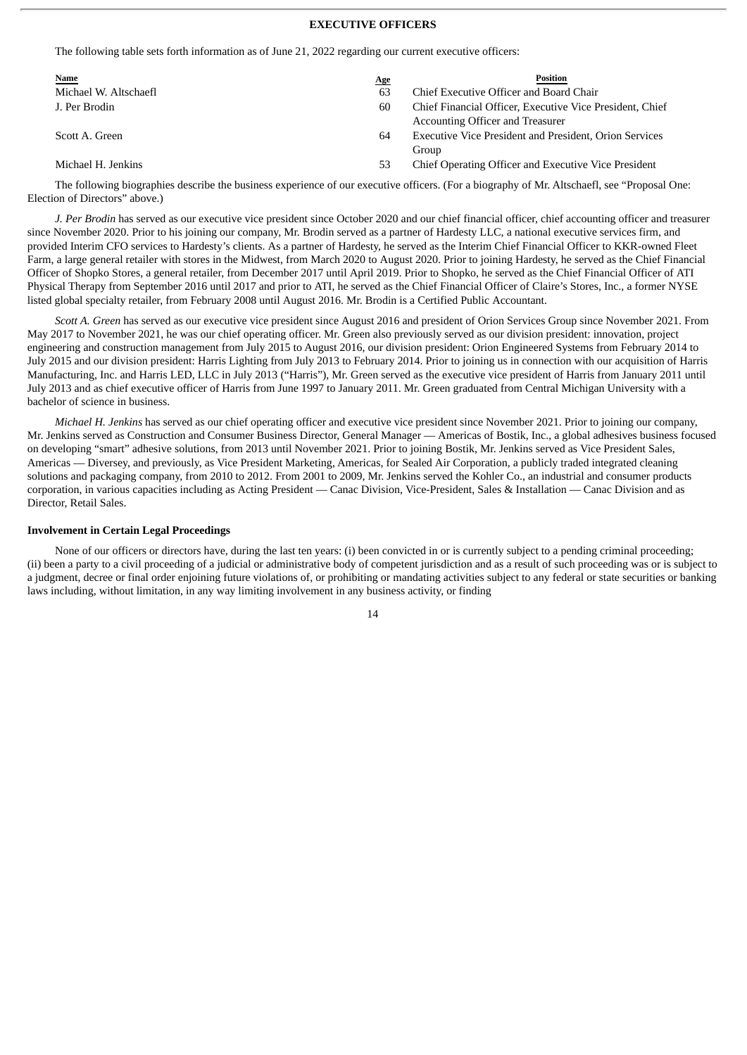#### **EXECUTIVE OFFICERS**

The following table sets forth information as of June 21, 2022 regarding our current executive officers:

| <b>Name</b>           | Position<br><u>Age</u>                                                                             |  |
|-----------------------|----------------------------------------------------------------------------------------------------|--|
| Michael W. Altschaefl | Chief Executive Officer and Board Chair<br>63                                                      |  |
| J. Per Brodin         | Chief Financial Officer, Executive Vice President, Chief<br>60<br>Accounting Officer and Treasurer |  |
| Scott A. Green        | <b>Executive Vice President and President, Orion Services</b><br>64<br>Group                       |  |
| Michael H. Jenkins    | Chief Operating Officer and Executive Vice President<br>53                                         |  |

The following biographies describe the business experience of our executive officers. (For a biography of Mr. Altschaefl, see "Proposal One: Election of Directors" above.)

*J. Per Brodin* has served as our executive vice president since October 2020 and our chief financial officer, chief accounting officer and treasurer since November 2020. Prior to his joining our company, Mr. Brodin served as a partner of Hardesty LLC, a national executive services firm, and provided Interim CFO services to Hardesty's clients. As a partner of Hardesty, he served as the Interim Chief Financial Officer to KKR-owned Fleet Farm, a large general retailer with stores in the Midwest, from March 2020 to August 2020. Prior to joining Hardesty, he served as the Chief Financial Officer of Shopko Stores, a general retailer, from December 2017 until April 2019. Prior to Shopko, he served as the Chief Financial Officer of ATI Physical Therapy from September 2016 until 2017 and prior to ATI, he served as the Chief Financial Officer of Claire's Stores, Inc., a former NYSE listed global specialty retailer, from February 2008 until August 2016. Mr. Brodin is a Certified Public Accountant.

*Scott A. Green* has served as our executive vice president since August 2016 and president of Orion Services Group since November 2021. From May 2017 to November 2021, he was our chief operating officer. Mr. Green also previously served as our division president: innovation, project engineering and construction management from July 2015 to August 2016, our division president: Orion Engineered Systems from February 2014 to July 2015 and our division president: Harris Lighting from July 2013 to February 2014. Prior to joining us in connection with our acquisition of Harris Manufacturing, Inc. and Harris LED, LLC in July 2013 ("Harris"), Mr. Green served as the executive vice president of Harris from January 2011 until July 2013 and as chief executive officer of Harris from June 1997 to January 2011. Mr. Green graduated from Central Michigan University with a bachelor of science in business.

*Michael H. Jenkins* has served as our chief operating officer and executive vice president since November 2021. Prior to joining our company, Mr. Jenkins served as Construction and Consumer Business Director, General Manager — Americas of Bostik, Inc., a global adhesives business focused on developing "smart" adhesive solutions, from 2013 until November 2021. Prior to joining Bostik, Mr. Jenkins served as Vice President Sales, Americas — Diversey, and previously, as Vice President Marketing, Americas, for Sealed Air Corporation, a publicly traded integrated cleaning solutions and packaging company, from 2010 to 2012. From 2001 to 2009, Mr. Jenkins served the Kohler Co., an industrial and consumer products corporation, in various capacities including as Acting President — Canac Division, Vice-President, Sales & Installation — Canac Division and as Director, Retail Sales.

#### **Involvement in Certain Legal Proceedings**

None of our officers or directors have, during the last ten years: (i) been convicted in or is currently subject to a pending criminal proceeding; (ii) been a party to a civil proceeding of a judicial or administrative body of competent jurisdiction and as a result of such proceeding was or is subject to a judgment, decree or final order enjoining future violations of, or prohibiting or mandating activities subject to any federal or state securities or banking laws including, without limitation, in any way limiting involvement in any business activity, or finding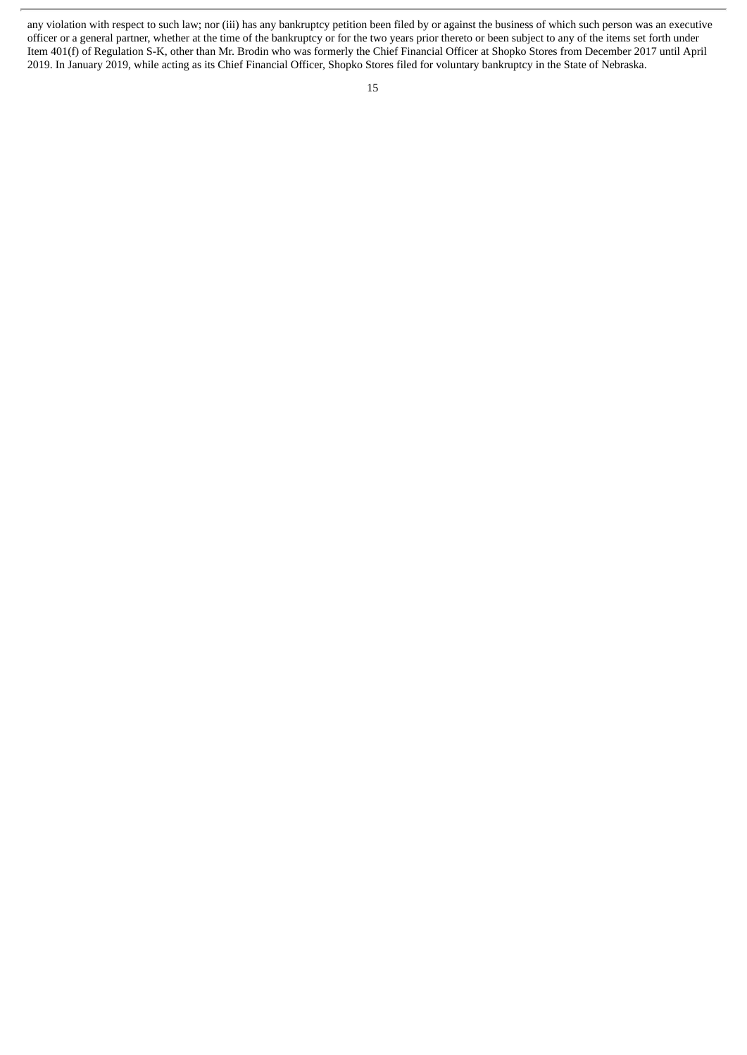any violation with respect to such law; nor (iii) has any bankruptcy petition been filed by or against the business of which such person was an executive officer or a general partner, whether at the time of the bankruptcy or for the two years prior thereto or been subject to any of the items set forth under Item 401(f) of Regulation S-K, other than Mr. Brodin who was formerly the Chief Financial Officer at Shopko Stores from December 2017 until April 2019. In January 2019, while acting as its Chief Financial Officer, Shopko Stores filed for voluntary bankruptcy in the State of Nebraska.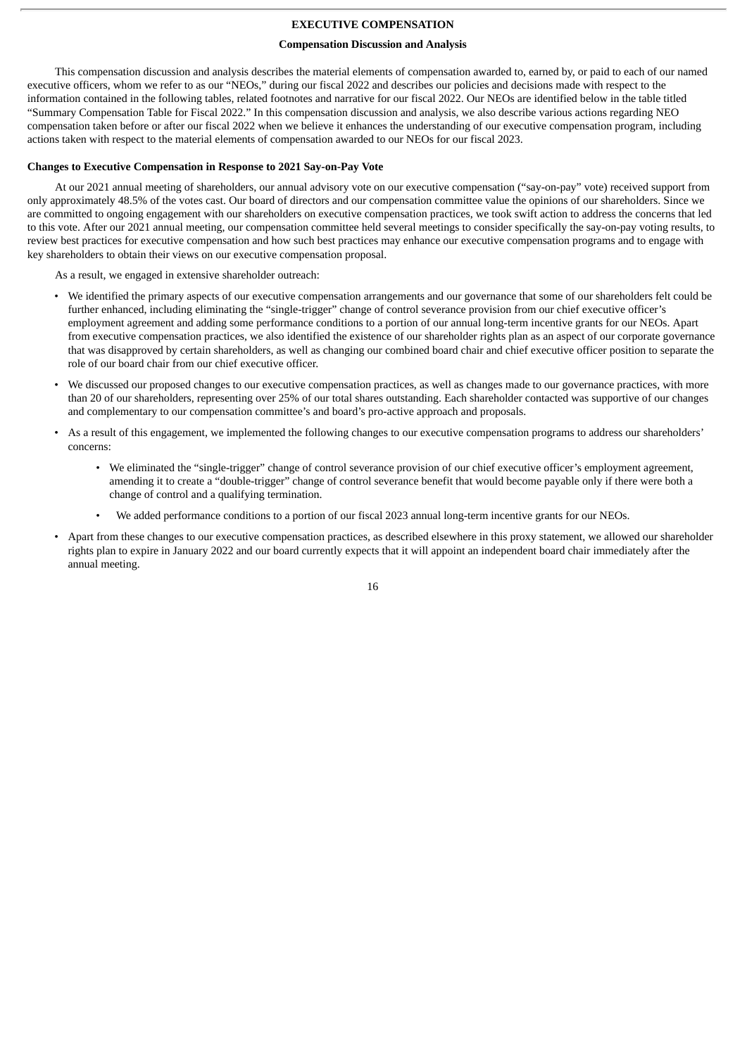#### **EXECUTIVE COMPENSATION**

#### **Compensation Discussion and Analysis**

This compensation discussion and analysis describes the material elements of compensation awarded to, earned by, or paid to each of our named executive officers, whom we refer to as our "NEOs," during our fiscal 2022 and describes our policies and decisions made with respect to the information contained in the following tables, related footnotes and narrative for our fiscal 2022. Our NEOs are identified below in the table titled "Summary Compensation Table for Fiscal 2022." In this compensation discussion and analysis, we also describe various actions regarding NEO compensation taken before or after our fiscal 2022 when we believe it enhances the understanding of our executive compensation program, including actions taken with respect to the material elements of compensation awarded to our NEOs for our fiscal 2023.

#### **Changes to Executive Compensation in Response to 2021 Say-on-Pay Vote**

At our 2021 annual meeting of shareholders, our annual advisory vote on our executive compensation ("say-on-pay" vote) received support from only approximately 48.5% of the votes cast. Our board of directors and our compensation committee value the opinions of our shareholders. Since we are committed to ongoing engagement with our shareholders on executive compensation practices, we took swift action to address the concerns that led to this vote. After our 2021 annual meeting, our compensation committee held several meetings to consider specifically the say-on-pay voting results, to review best practices for executive compensation and how such best practices may enhance our executive compensation programs and to engage with key shareholders to obtain their views on our executive compensation proposal.

As a result, we engaged in extensive shareholder outreach:

- We identified the primary aspects of our executive compensation arrangements and our governance that some of our shareholders felt could be further enhanced, including eliminating the "single-trigger" change of control severance provision from our chief executive officer's employment agreement and adding some performance conditions to a portion of our annual long-term incentive grants for our NEOs. Apart from executive compensation practices, we also identified the existence of our shareholder rights plan as an aspect of our corporate governance that was disapproved by certain shareholders, as well as changing our combined board chair and chief executive officer position to separate the role of our board chair from our chief executive officer.
- We discussed our proposed changes to our executive compensation practices, as well as changes made to our governance practices, with more than 20 of our shareholders, representing over 25% of our total shares outstanding. Each shareholder contacted was supportive of our changes and complementary to our compensation committee's and board's pro-active approach and proposals.
- As a result of this engagement, we implemented the following changes to our executive compensation programs to address our shareholders' concerns:
	- We eliminated the "single-trigger" change of control severance provision of our chief executive officer's employment agreement, amending it to create a "double-trigger" change of control severance benefit that would become payable only if there were both a change of control and a qualifying termination.
	- We added performance conditions to a portion of our fiscal 2023 annual long-term incentive grants for our NEOs.
- Apart from these changes to our executive compensation practices, as described elsewhere in this proxy statement, we allowed our shareholder rights plan to expire in January 2022 and our board currently expects that it will appoint an independent board chair immediately after the annual meeting.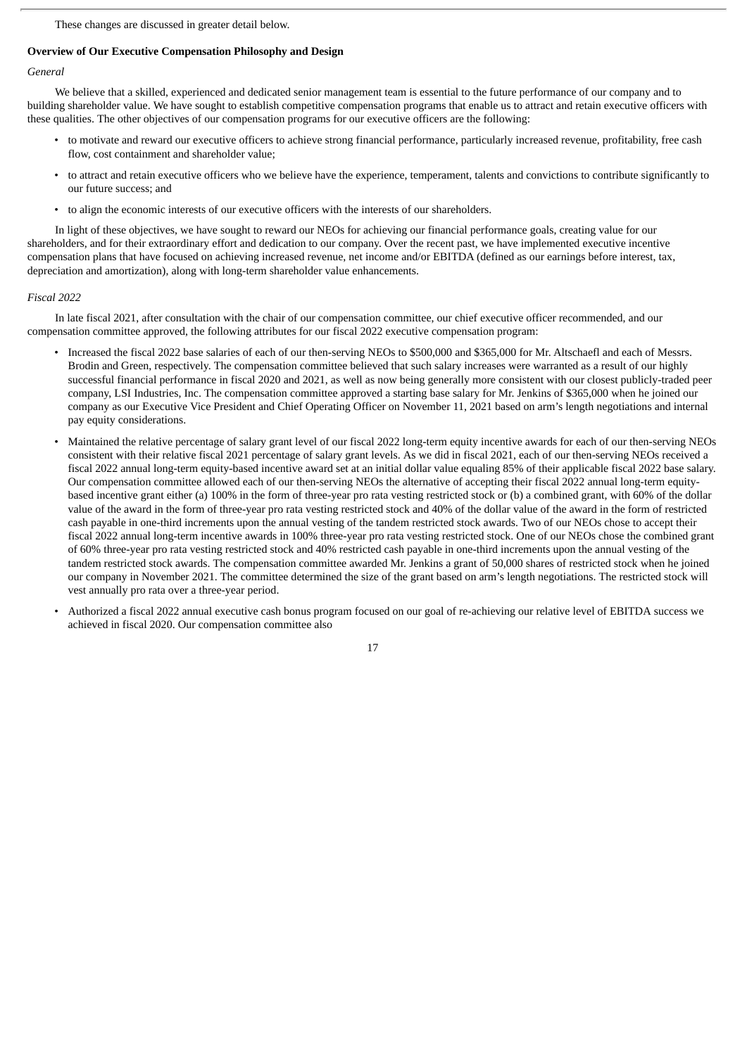These changes are discussed in greater detail below.

#### **Overview of Our Executive Compensation Philosophy and Design**

#### *General*

We believe that a skilled, experienced and dedicated senior management team is essential to the future performance of our company and to building shareholder value. We have sought to establish competitive compensation programs that enable us to attract and retain executive officers with these qualities. The other objectives of our compensation programs for our executive officers are the following:

- to motivate and reward our executive officers to achieve strong financial performance, particularly increased revenue, profitability, free cash flow, cost containment and shareholder value;
- to attract and retain executive officers who we believe have the experience, temperament, talents and convictions to contribute significantly to our future success; and
- to align the economic interests of our executive officers with the interests of our shareholders.

In light of these objectives, we have sought to reward our NEOs for achieving our financial performance goals, creating value for our shareholders, and for their extraordinary effort and dedication to our company. Over the recent past, we have implemented executive incentive compensation plans that have focused on achieving increased revenue, net income and/or EBITDA (defined as our earnings before interest, tax, depreciation and amortization), along with long-term shareholder value enhancements.

#### *Fiscal 2022*

In late fiscal 2021, after consultation with the chair of our compensation committee, our chief executive officer recommended, and our compensation committee approved, the following attributes for our fiscal 2022 executive compensation program:

- Increased the fiscal 2022 base salaries of each of our then-serving NEOs to \$500,000 and \$365,000 for Mr. Altschaefl and each of Messrs. Brodin and Green, respectively. The compensation committee believed that such salary increases were warranted as a result of our highly successful financial performance in fiscal 2020 and 2021, as well as now being generally more consistent with our closest publicly-traded peer company, LSI Industries, Inc. The compensation committee approved a starting base salary for Mr. Jenkins of \$365,000 when he joined our company as our Executive Vice President and Chief Operating Officer on November 11, 2021 based on arm's length negotiations and internal pay equity considerations.
- Maintained the relative percentage of salary grant level of our fiscal 2022 long-term equity incentive awards for each of our then-serving NEOs consistent with their relative fiscal 2021 percentage of salary grant levels. As we did in fiscal 2021, each of our then-serving NEOs received a fiscal 2022 annual long-term equity-based incentive award set at an initial dollar value equaling 85% of their applicable fiscal 2022 base salary. Our compensation committee allowed each of our then-serving NEOs the alternative of accepting their fiscal 2022 annual long-term equitybased incentive grant either (a) 100% in the form of three-year pro rata vesting restricted stock or (b) a combined grant, with 60% of the dollar value of the award in the form of three-year pro rata vesting restricted stock and 40% of the dollar value of the award in the form of restricted cash payable in one-third increments upon the annual vesting of the tandem restricted stock awards. Two of our NEOs chose to accept their fiscal 2022 annual long-term incentive awards in 100% three-year pro rata vesting restricted stock. One of our NEOs chose the combined grant of 60% three-year pro rata vesting restricted stock and 40% restricted cash payable in one-third increments upon the annual vesting of the tandem restricted stock awards. The compensation committee awarded Mr. Jenkins a grant of 50,000 shares of restricted stock when he joined our company in November 2021. The committee determined the size of the grant based on arm's length negotiations. The restricted stock will vest annually pro rata over a three-year period.
- Authorized a fiscal 2022 annual executive cash bonus program focused on our goal of re-achieving our relative level of EBITDA success we achieved in fiscal 2020. Our compensation committee also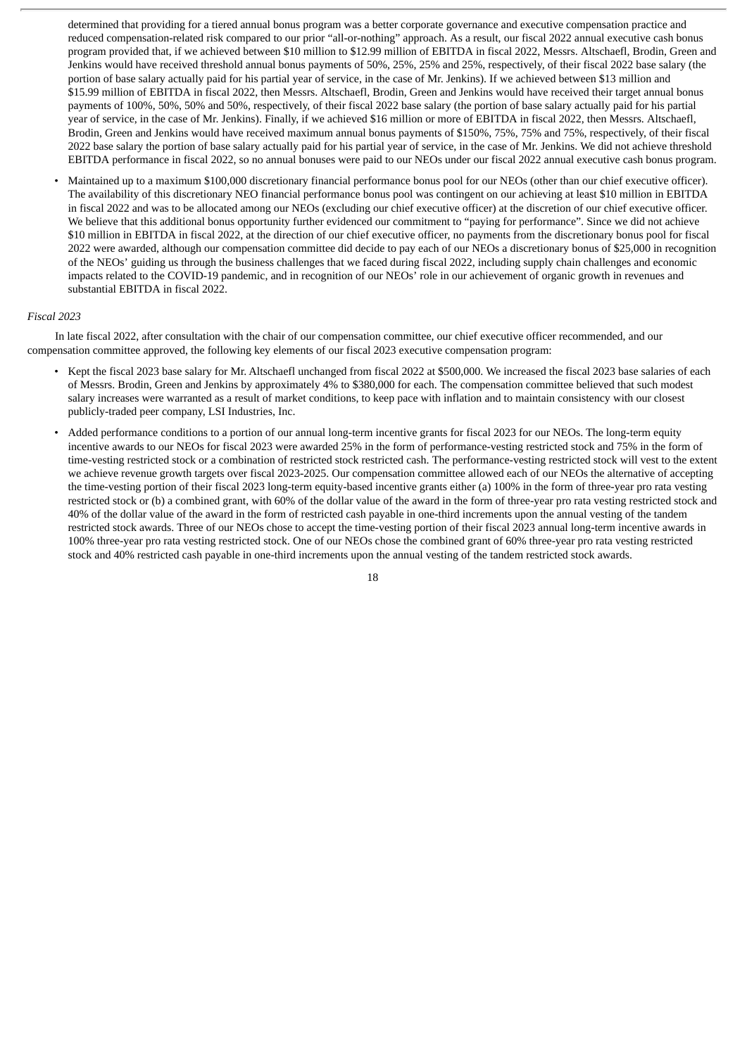determined that providing for a tiered annual bonus program was a better corporate governance and executive compensation practice and reduced compensation-related risk compared to our prior "all-or-nothing" approach. As a result, our fiscal 2022 annual executive cash bonus program provided that, if we achieved between \$10 million to \$12.99 million of EBITDA in fiscal 2022, Messrs. Altschaefl, Brodin, Green and Jenkins would have received threshold annual bonus payments of 50%, 25%, 25% and 25%, respectively, of their fiscal 2022 base salary (the portion of base salary actually paid for his partial year of service, in the case of Mr. Jenkins). If we achieved between \$13 million and \$15.99 million of EBITDA in fiscal 2022, then Messrs. Altschaefl, Brodin, Green and Jenkins would have received their target annual bonus payments of 100%, 50%, 50% and 50%, respectively, of their fiscal 2022 base salary (the portion of base salary actually paid for his partial year of service, in the case of Mr. Jenkins). Finally, if we achieved \$16 million or more of EBITDA in fiscal 2022, then Messrs. Altschaefl, Brodin, Green and Jenkins would have received maximum annual bonus payments of \$150%, 75%, 75% and 75%, respectively, of their fiscal 2022 base salary the portion of base salary actually paid for his partial year of service, in the case of Mr. Jenkins. We did not achieve threshold EBITDA performance in fiscal 2022, so no annual bonuses were paid to our NEOs under our fiscal 2022 annual executive cash bonus program.

• Maintained up to a maximum \$100,000 discretionary financial performance bonus pool for our NEOs (other than our chief executive officer). The availability of this discretionary NEO financial performance bonus pool was contingent on our achieving at least \$10 million in EBITDA in fiscal 2022 and was to be allocated among our NEOs (excluding our chief executive officer) at the discretion of our chief executive officer. We believe that this additional bonus opportunity further evidenced our commitment to "paying for performance". Since we did not achieve \$10 million in EBITDA in fiscal 2022, at the direction of our chief executive officer, no payments from the discretionary bonus pool for fiscal 2022 were awarded, although our compensation committee did decide to pay each of our NEOs a discretionary bonus of \$25,000 in recognition of the NEOs' guiding us through the business challenges that we faced during fiscal 2022, including supply chain challenges and economic impacts related to the COVID-19 pandemic, and in recognition of our NEOs' role in our achievement of organic growth in revenues and substantial EBITDA in fiscal 2022.

#### *Fiscal 2023*

In late fiscal 2022, after consultation with the chair of our compensation committee, our chief executive officer recommended, and our compensation committee approved, the following key elements of our fiscal 2023 executive compensation program:

- Kept the fiscal 2023 base salary for Mr. Altschaefl unchanged from fiscal 2022 at \$500,000. We increased the fiscal 2023 base salaries of each of Messrs. Brodin, Green and Jenkins by approximately 4% to \$380,000 for each. The compensation committee believed that such modest salary increases were warranted as a result of market conditions, to keep pace with inflation and to maintain consistency with our closest publicly-traded peer company, LSI Industries, Inc.
- Added performance conditions to a portion of our annual long-term incentive grants for fiscal 2023 for our NEOs. The long-term equity incentive awards to our NEOs for fiscal 2023 were awarded 25% in the form of performance-vesting restricted stock and 75% in the form of time-vesting restricted stock or a combination of restricted stock restricted cash. The performance-vesting restricted stock will vest to the extent we achieve revenue growth targets over fiscal 2023-2025. Our compensation committee allowed each of our NEOs the alternative of accepting the time-vesting portion of their fiscal 2023 long-term equity-based incentive grants either (a) 100% in the form of three-year pro rata vesting restricted stock or (b) a combined grant, with 60% of the dollar value of the award in the form of three-year pro rata vesting restricted stock and 40% of the dollar value of the award in the form of restricted cash payable in one-third increments upon the annual vesting of the tandem restricted stock awards. Three of our NEOs chose to accept the time-vesting portion of their fiscal 2023 annual long-term incentive awards in 100% three-year pro rata vesting restricted stock. One of our NEOs chose the combined grant of 60% three-year pro rata vesting restricted stock and 40% restricted cash payable in one-third increments upon the annual vesting of the tandem restricted stock awards.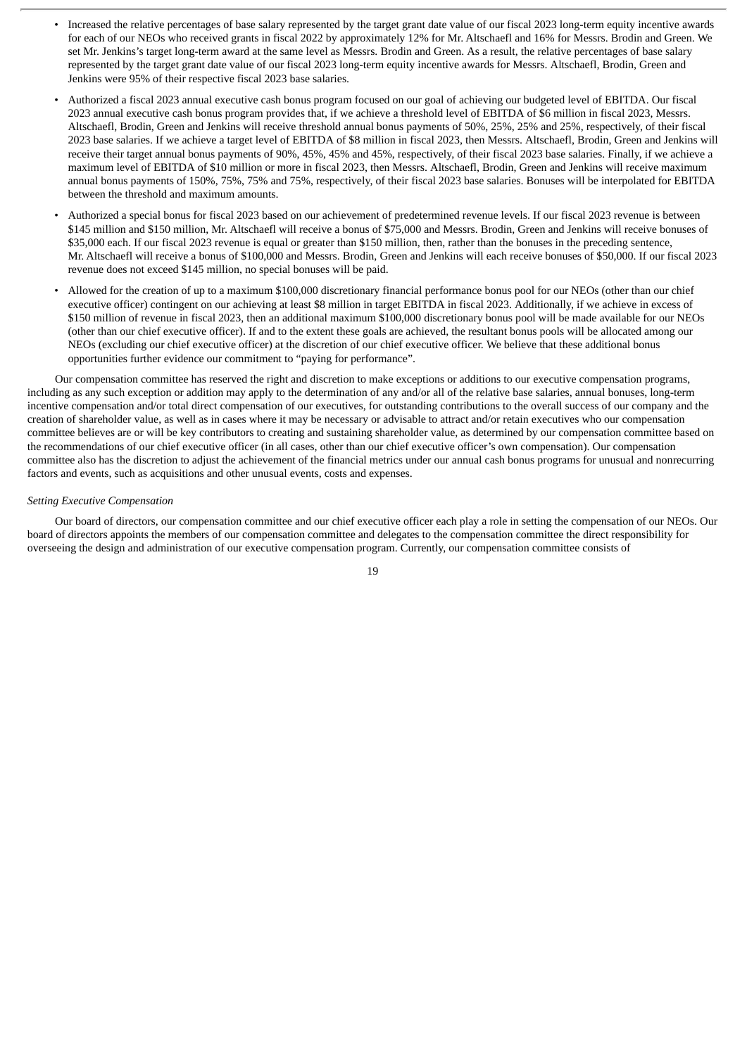- Increased the relative percentages of base salary represented by the target grant date value of our fiscal 2023 long-term equity incentive awards for each of our NEOs who received grants in fiscal 2022 by approximately 12% for Mr. Altschaefl and 16% for Messrs. Brodin and Green. We set Mr. Jenkins's target long-term award at the same level as Messrs. Brodin and Green. As a result, the relative percentages of base salary represented by the target grant date value of our fiscal 2023 long-term equity incentive awards for Messrs. Altschaefl, Brodin, Green and Jenkins were 95% of their respective fiscal 2023 base salaries.
- Authorized a fiscal 2023 annual executive cash bonus program focused on our goal of achieving our budgeted level of EBITDA. Our fiscal 2023 annual executive cash bonus program provides that, if we achieve a threshold level of EBITDA of \$6 million in fiscal 2023, Messrs. Altschaefl, Brodin, Green and Jenkins will receive threshold annual bonus payments of 50%, 25%, 25% and 25%, respectively, of their fiscal 2023 base salaries. If we achieve a target level of EBITDA of \$8 million in fiscal 2023, then Messrs. Altschaefl, Brodin, Green and Jenkins will receive their target annual bonus payments of 90%, 45%, 45% and 45%, respectively, of their fiscal 2023 base salaries. Finally, if we achieve a maximum level of EBITDA of \$10 million or more in fiscal 2023, then Messrs. Altschaefl, Brodin, Green and Jenkins will receive maximum annual bonus payments of 150%, 75%, 75% and 75%, respectively, of their fiscal 2023 base salaries. Bonuses will be interpolated for EBITDA between the threshold and maximum amounts.
- Authorized a special bonus for fiscal 2023 based on our achievement of predetermined revenue levels. If our fiscal 2023 revenue is between \$145 million and \$150 million, Mr. Altschaefl will receive a bonus of \$75,000 and Messrs. Brodin, Green and Jenkins will receive bonuses of \$35,000 each. If our fiscal 2023 revenue is equal or greater than \$150 million, then, rather than the bonuses in the preceding sentence, Mr. Altschaefl will receive a bonus of \$100,000 and Messrs. Brodin, Green and Jenkins will each receive bonuses of \$50,000. If our fiscal 2023 revenue does not exceed \$145 million, no special bonuses will be paid.
- Allowed for the creation of up to a maximum \$100,000 discretionary financial performance bonus pool for our NEOs (other than our chief executive officer) contingent on our achieving at least \$8 million in target EBITDA in fiscal 2023. Additionally, if we achieve in excess of \$150 million of revenue in fiscal 2023, then an additional maximum \$100,000 discretionary bonus pool will be made available for our NEOs (other than our chief executive officer). If and to the extent these goals are achieved, the resultant bonus pools will be allocated among our NEOs (excluding our chief executive officer) at the discretion of our chief executive officer. We believe that these additional bonus opportunities further evidence our commitment to "paying for performance".

Our compensation committee has reserved the right and discretion to make exceptions or additions to our executive compensation programs, including as any such exception or addition may apply to the determination of any and/or all of the relative base salaries, annual bonuses, long-term incentive compensation and/or total direct compensation of our executives, for outstanding contributions to the overall success of our company and the creation of shareholder value, as well as in cases where it may be necessary or advisable to attract and/or retain executives who our compensation committee believes are or will be key contributors to creating and sustaining shareholder value, as determined by our compensation committee based on the recommendations of our chief executive officer (in all cases, other than our chief executive officer's own compensation). Our compensation committee also has the discretion to adjust the achievement of the financial metrics under our annual cash bonus programs for unusual and nonrecurring factors and events, such as acquisitions and other unusual events, costs and expenses.

#### *Setting Executive Compensation*

Our board of directors, our compensation committee and our chief executive officer each play a role in setting the compensation of our NEOs. Our board of directors appoints the members of our compensation committee and delegates to the compensation committee the direct responsibility for overseeing the design and administration of our executive compensation program. Currently, our compensation committee consists of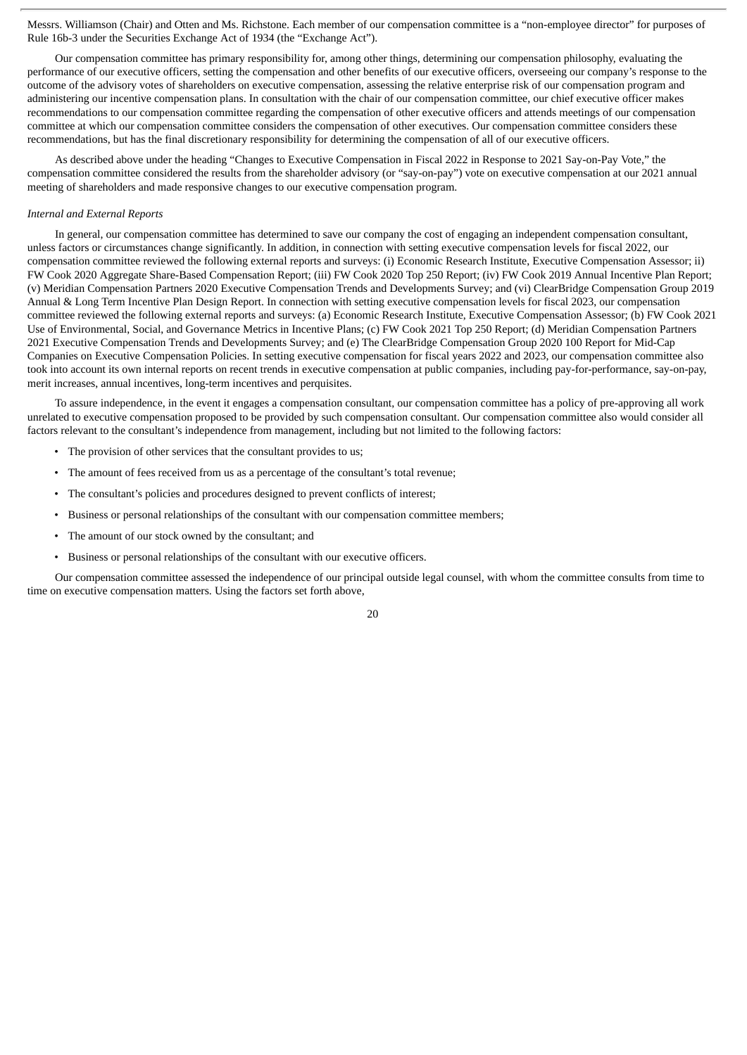Messrs. Williamson (Chair) and Otten and Ms. Richstone. Each member of our compensation committee is a "non-employee director" for purposes of Rule 16b-3 under the Securities Exchange Act of 1934 (the "Exchange Act").

Our compensation committee has primary responsibility for, among other things, determining our compensation philosophy, evaluating the performance of our executive officers, setting the compensation and other benefits of our executive officers, overseeing our company's response to the outcome of the advisory votes of shareholders on executive compensation, assessing the relative enterprise risk of our compensation program and administering our incentive compensation plans. In consultation with the chair of our compensation committee, our chief executive officer makes recommendations to our compensation committee regarding the compensation of other executive officers and attends meetings of our compensation committee at which our compensation committee considers the compensation of other executives. Our compensation committee considers these recommendations, but has the final discretionary responsibility for determining the compensation of all of our executive officers.

As described above under the heading "Changes to Executive Compensation in Fiscal 2022 in Response to 2021 Say-on-Pay Vote," the compensation committee considered the results from the shareholder advisory (or "say-on-pay") vote on executive compensation at our 2021 annual meeting of shareholders and made responsive changes to our executive compensation program.

#### *Internal and External Reports*

In general, our compensation committee has determined to save our company the cost of engaging an independent compensation consultant, unless factors or circumstances change significantly. In addition, in connection with setting executive compensation levels for fiscal 2022, our compensation committee reviewed the following external reports and surveys: (i) Economic Research Institute, Executive Compensation Assessor; ii) FW Cook 2020 Aggregate Share-Based Compensation Report; (iii) FW Cook 2020 Top 250 Report; (iv) FW Cook 2019 Annual Incentive Plan Report; (v) Meridian Compensation Partners 2020 Executive Compensation Trends and Developments Survey; and (vi) ClearBridge Compensation Group 2019 Annual & Long Term Incentive Plan Design Report. In connection with setting executive compensation levels for fiscal 2023, our compensation committee reviewed the following external reports and surveys: (a) Economic Research Institute, Executive Compensation Assessor; (b) FW Cook 2021 Use of Environmental, Social, and Governance Metrics in Incentive Plans; (c) FW Cook 2021 Top 250 Report; (d) Meridian Compensation Partners 2021 Executive Compensation Trends and Developments Survey; and (e) The ClearBridge Compensation Group 2020 100 Report for Mid-Cap Companies on Executive Compensation Policies. In setting executive compensation for fiscal years 2022 and 2023, our compensation committee also took into account its own internal reports on recent trends in executive compensation at public companies, including pay-for-performance, say-on-pay, merit increases, annual incentives, long-term incentives and perquisites.

To assure independence, in the event it engages a compensation consultant, our compensation committee has a policy of pre-approving all work unrelated to executive compensation proposed to be provided by such compensation consultant. Our compensation committee also would consider all factors relevant to the consultant's independence from management, including but not limited to the following factors:

- The provision of other services that the consultant provides to us;
- The amount of fees received from us as a percentage of the consultant's total revenue;
- The consultant's policies and procedures designed to prevent conflicts of interest;
- Business or personal relationships of the consultant with our compensation committee members;
- The amount of our stock owned by the consultant; and
- Business or personal relationships of the consultant with our executive officers.

Our compensation committee assessed the independence of our principal outside legal counsel, with whom the committee consults from time to time on executive compensation matters. Using the factors set forth above,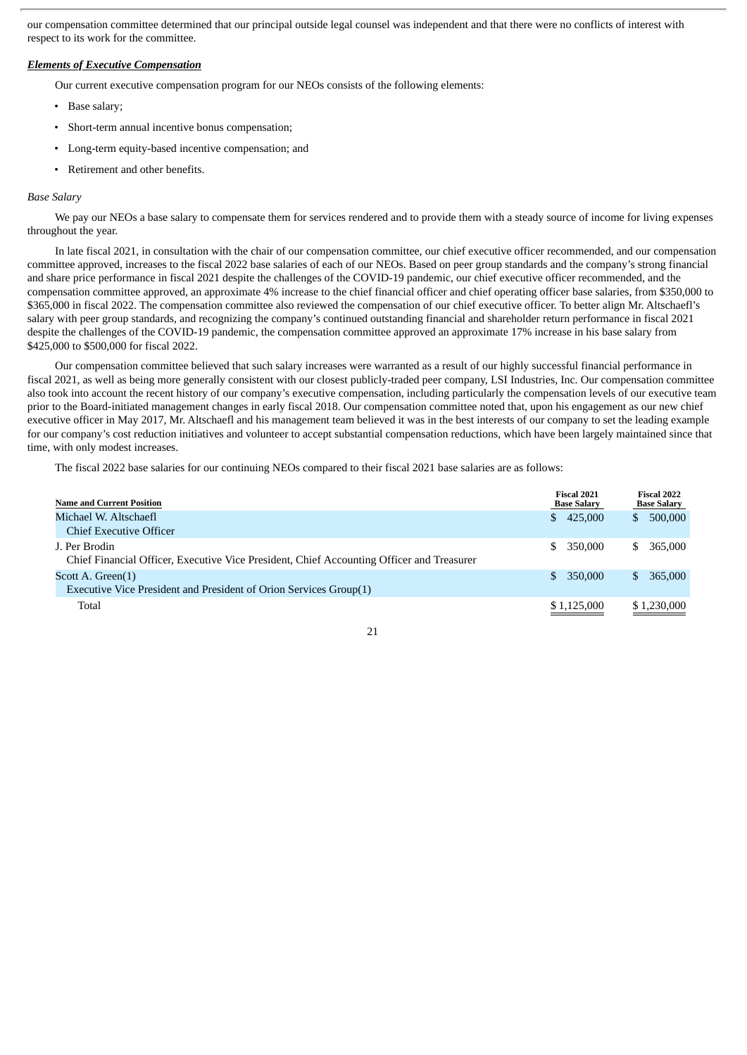our compensation committee determined that our principal outside legal counsel was independent and that there were no conflicts of interest with respect to its work for the committee.

#### *Elements of Executive Compensation*

Our current executive compensation program for our NEOs consists of the following elements:

- Base salary;
- Short-term annual incentive bonus compensation;
- Long-term equity-based incentive compensation; and
- Retirement and other benefits.

#### *Base Salary*

We pay our NEOs a base salary to compensate them for services rendered and to provide them with a steady source of income for living expenses throughout the year.

In late fiscal 2021, in consultation with the chair of our compensation committee, our chief executive officer recommended, and our compensation committee approved, increases to the fiscal 2022 base salaries of each of our NEOs. Based on peer group standards and the company's strong financial and share price performance in fiscal 2021 despite the challenges of the COVID-19 pandemic, our chief executive officer recommended, and the compensation committee approved, an approximate 4% increase to the chief financial officer and chief operating officer base salaries, from \$350,000 to \$365,000 in fiscal 2022. The compensation committee also reviewed the compensation of our chief executive officer. To better align Mr. Altschaefl's salary with peer group standards, and recognizing the company's continued outstanding financial and shareholder return performance in fiscal 2021 despite the challenges of the COVID-19 pandemic, the compensation committee approved an approximate 17% increase in his base salary from \$425,000 to \$500,000 for fiscal 2022.

Our compensation committee believed that such salary increases were warranted as a result of our highly successful financial performance in fiscal 2021, as well as being more generally consistent with our closest publicly-traded peer company, LSI Industries, Inc. Our compensation committee also took into account the recent history of our company's executive compensation, including particularly the compensation levels of our executive team prior to the Board-initiated management changes in early fiscal 2018. Our compensation committee noted that, upon his engagement as our new chief executive officer in May 2017, Mr. Altschaefl and his management team believed it was in the best interests of our company to set the leading example for our company's cost reduction initiatives and volunteer to accept substantial compensation reductions, which have been largely maintained since that time, with only modest increases.

The fiscal 2022 base salaries for our continuing NEOs compared to their fiscal 2021 base salaries are as follows:

|     |                                                                                          | <b>Fiscal 2022</b><br><b>Base Salary</b> |
|-----|------------------------------------------------------------------------------------------|------------------------------------------|
| S.  | S                                                                                        | 500,000                                  |
|     |                                                                                          |                                          |
| \$. | S                                                                                        | 365,000                                  |
|     |                                                                                          |                                          |
| \$. |                                                                                          | 365,000                                  |
|     |                                                                                          |                                          |
|     |                                                                                          | \$1,230,000                              |
|     | <b>Fiscal 2021</b><br><b>Base Salary</b><br>425,000<br>350,000<br>350,000<br>\$1,125,000 |                                          |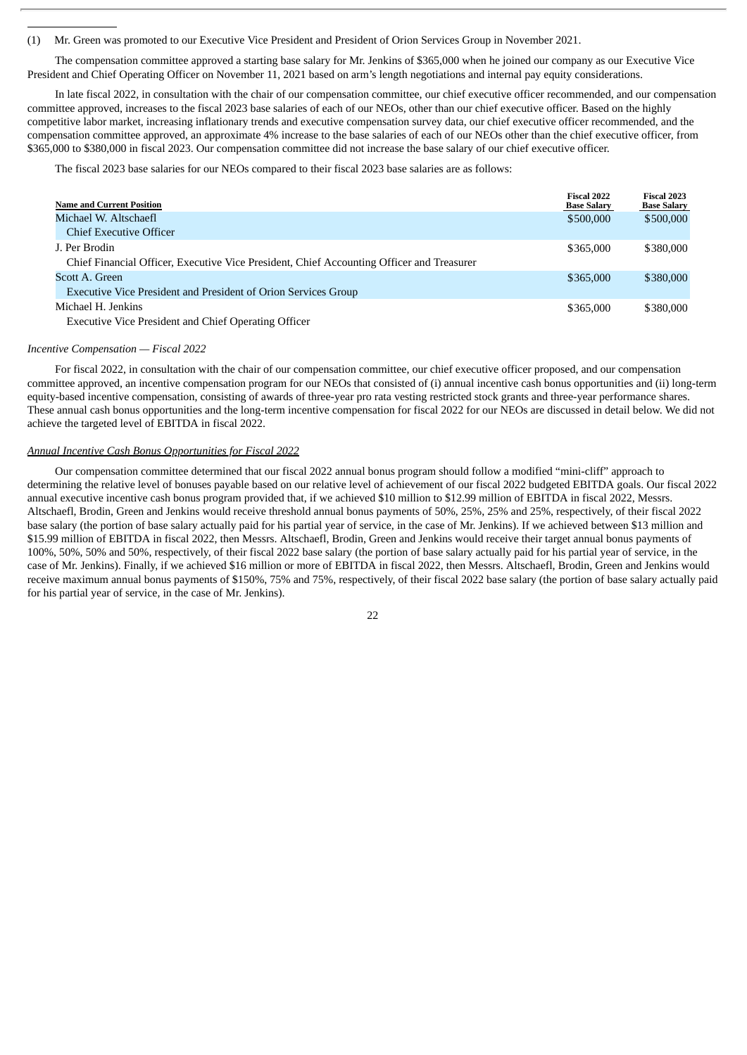(1) Mr. Green was promoted to our Executive Vice President and President of Orion Services Group in November 2021.

The compensation committee approved a starting base salary for Mr. Jenkins of \$365,000 when he joined our company as our Executive Vice President and Chief Operating Officer on November 11, 2021 based on arm's length negotiations and internal pay equity considerations.

In late fiscal 2022, in consultation with the chair of our compensation committee, our chief executive officer recommended, and our compensation committee approved, increases to the fiscal 2023 base salaries of each of our NEOs, other than our chief executive officer. Based on the highly competitive labor market, increasing inflationary trends and executive compensation survey data, our chief executive officer recommended, and the compensation committee approved, an approximate 4% increase to the base salaries of each of our NEOs other than the chief executive officer, from \$365,000 to \$380,000 in fiscal 2023. Our compensation committee did not increase the base salary of our chief executive officer.

The fiscal 2023 base salaries for our NEOs compared to their fiscal 2023 base salaries are as follows:

| <b>Name and Current Position</b>                                                          | <b>Fiscal 2022</b><br><b>Base Salary</b> | <b>Fiscal 2023</b><br><b>Base Salary</b> |
|-------------------------------------------------------------------------------------------|------------------------------------------|------------------------------------------|
| Michael W. Altschaefl                                                                     | \$500,000                                | \$500,000                                |
| <b>Chief Executive Officer</b>                                                            |                                          |                                          |
| J. Per Brodin                                                                             | \$365,000                                | \$380,000                                |
| Chief Financial Officer, Executive Vice President, Chief Accounting Officer and Treasurer |                                          |                                          |
| Scott A. Green                                                                            | \$365,000                                | \$380,000                                |
| <b>Executive Vice President and President of Orion Services Group</b>                     |                                          |                                          |
| Michael H. Jenkins                                                                        | \$365,000                                | \$380,000                                |
| Executive Vice President and Chief Operating Officer                                      |                                          |                                          |

#### *Incentive Compensation — Fiscal 2022*

For fiscal 2022, in consultation with the chair of our compensation committee, our chief executive officer proposed, and our compensation committee approved, an incentive compensation program for our NEOs that consisted of (i) annual incentive cash bonus opportunities and (ii) long-term equity-based incentive compensation, consisting of awards of three-year pro rata vesting restricted stock grants and three-year performance shares. These annual cash bonus opportunities and the long-term incentive compensation for fiscal 2022 for our NEOs are discussed in detail below. We did not achieve the targeted level of EBITDA in fiscal 2022.

#### *Annual Incentive Cash Bonus Opportunities for Fiscal 2022*

Our compensation committee determined that our fiscal 2022 annual bonus program should follow a modified "mini-cliff" approach to determining the relative level of bonuses payable based on our relative level of achievement of our fiscal 2022 budgeted EBITDA goals. Our fiscal 2022 annual executive incentive cash bonus program provided that, if we achieved \$10 million to \$12.99 million of EBITDA in fiscal 2022, Messrs. Altschaefl, Brodin, Green and Jenkins would receive threshold annual bonus payments of 50%, 25%, 25% and 25%, respectively, of their fiscal 2022 base salary (the portion of base salary actually paid for his partial year of service, in the case of Mr. Jenkins). If we achieved between \$13 million and \$15.99 million of EBITDA in fiscal 2022, then Messrs. Altschaefl, Brodin, Green and Jenkins would receive their target annual bonus payments of 100%, 50%, 50% and 50%, respectively, of their fiscal 2022 base salary (the portion of base salary actually paid for his partial year of service, in the case of Mr. Jenkins). Finally, if we achieved \$16 million or more of EBITDA in fiscal 2022, then Messrs. Altschaefl, Brodin, Green and Jenkins would receive maximum annual bonus payments of \$150%, 75% and 75%, respectively, of their fiscal 2022 base salary (the portion of base salary actually paid for his partial year of service, in the case of Mr. Jenkins).

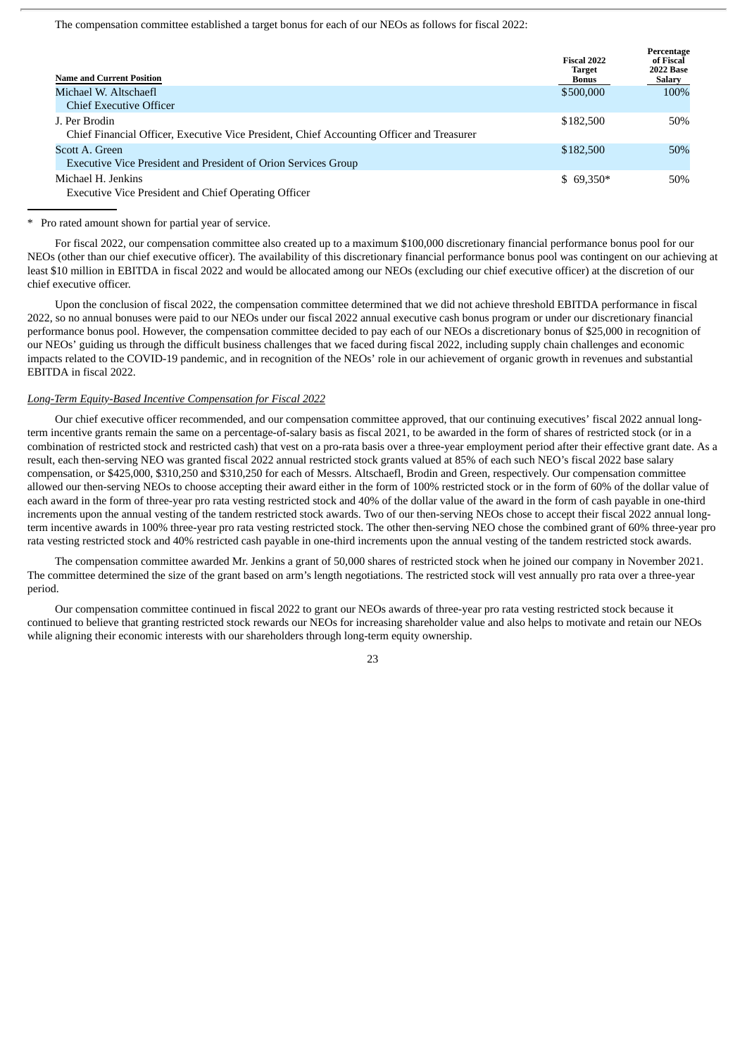The compensation committee established a target bonus for each of our NEOs as follows for fiscal 2022:

| <b>Name and Current Position</b>                                                                           | Fiscal 2022<br><b>Target</b><br><b>Bonus</b> | Percentage<br>of Fiscal<br><b>2022 Base</b><br>Salary |
|------------------------------------------------------------------------------------------------------------|----------------------------------------------|-------------------------------------------------------|
| Michael W. Altschaefl                                                                                      | \$500,000                                    | 100%                                                  |
| Chief Executive Officer                                                                                    |                                              |                                                       |
| J. Per Brodin<br>Chief Financial Officer, Executive Vice President, Chief Accounting Officer and Treasurer | \$182,500                                    | 50%                                                   |
| Scott A. Green<br>Executive Vice President and President of Orion Services Group                           | \$182,500                                    | 50%                                                   |
| Michael H. Jenkins<br><b>Executive Vice President and Chief Operating Officer</b>                          | $$69,350*$                                   | 50%                                                   |

Pro rated amount shown for partial year of service.

For fiscal 2022, our compensation committee also created up to a maximum \$100,000 discretionary financial performance bonus pool for our NEOs (other than our chief executive officer). The availability of this discretionary financial performance bonus pool was contingent on our achieving at least \$10 million in EBITDA in fiscal 2022 and would be allocated among our NEOs (excluding our chief executive officer) at the discretion of our chief executive officer.

Upon the conclusion of fiscal 2022, the compensation committee determined that we did not achieve threshold EBITDA performance in fiscal 2022, so no annual bonuses were paid to our NEOs under our fiscal 2022 annual executive cash bonus program or under our discretionary financial performance bonus pool. However, the compensation committee decided to pay each of our NEOs a discretionary bonus of \$25,000 in recognition of our NEOs' guiding us through the difficult business challenges that we faced during fiscal 2022, including supply chain challenges and economic impacts related to the COVID-19 pandemic, and in recognition of the NEOs' role in our achievement of organic growth in revenues and substantial EBITDA in fiscal 2022.

#### *Long-Term Equity-Based Incentive Compensation for Fiscal 2022*

Our chief executive officer recommended, and our compensation committee approved, that our continuing executives' fiscal 2022 annual longterm incentive grants remain the same on a percentage-of-salary basis as fiscal 2021, to be awarded in the form of shares of restricted stock (or in a combination of restricted stock and restricted cash) that vest on a pro-rata basis over a three-year employment period after their effective grant date. As a result, each then-serving NEO was granted fiscal 2022 annual restricted stock grants valued at 85% of each such NEO's fiscal 2022 base salary compensation, or \$425,000, \$310,250 and \$310,250 for each of Messrs. Altschaefl, Brodin and Green, respectively. Our compensation committee allowed our then-serving NEOs to choose accepting their award either in the form of 100% restricted stock or in the form of 60% of the dollar value of each award in the form of three-year pro rata vesting restricted stock and 40% of the dollar value of the award in the form of cash payable in one-third increments upon the annual vesting of the tandem restricted stock awards. Two of our then-serving NEOs chose to accept their fiscal 2022 annual longterm incentive awards in 100% three-year pro rata vesting restricted stock. The other then-serving NEO chose the combined grant of 60% three-year pro rata vesting restricted stock and 40% restricted cash payable in one-third increments upon the annual vesting of the tandem restricted stock awards.

The compensation committee awarded Mr. Jenkins a grant of 50,000 shares of restricted stock when he joined our company in November 2021. The committee determined the size of the grant based on arm's length negotiations. The restricted stock will vest annually pro rata over a three-year period.

Our compensation committee continued in fiscal 2022 to grant our NEOs awards of three-year pro rata vesting restricted stock because it continued to believe that granting restricted stock rewards our NEOs for increasing shareholder value and also helps to motivate and retain our NEOs while aligning their economic interests with our shareholders through long-term equity ownership.

 $2<sub>2</sub>$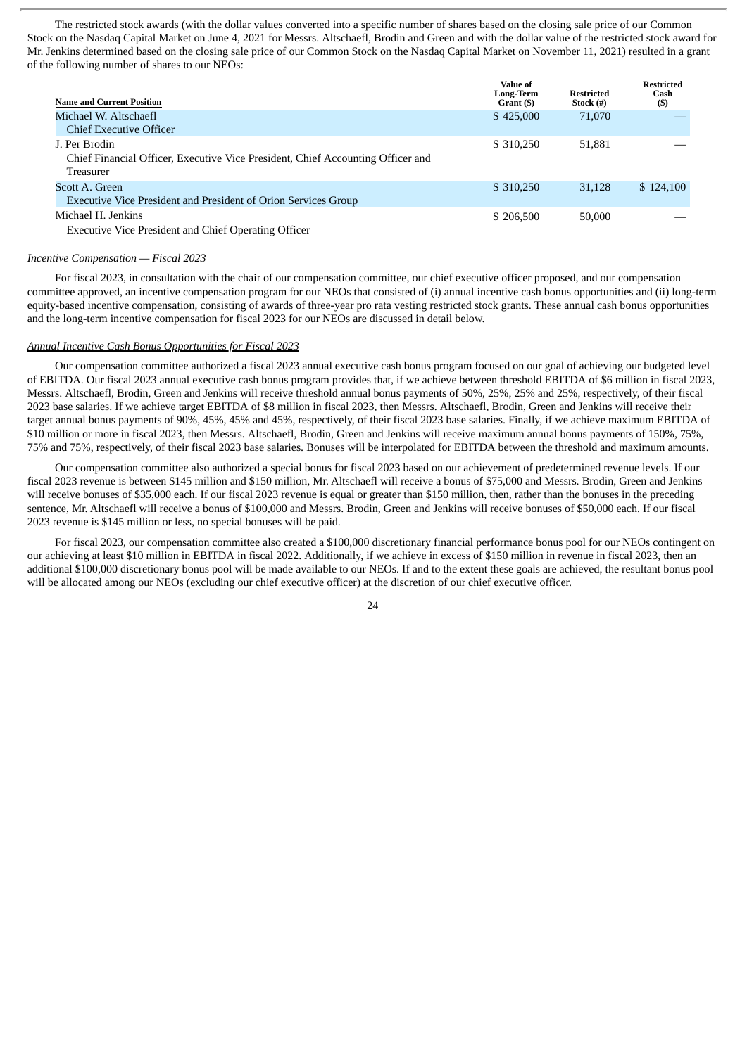The restricted stock awards (with the dollar values converted into a specific number of shares based on the closing sale price of our Common Stock on the Nasdaq Capital Market on June 4, 2021 for Messrs. Altschaefl, Brodin and Green and with the dollar value of the restricted stock award for Mr. Jenkins determined based on the closing sale price of our Common Stock on the Nasdaq Capital Market on November 11, 2021) resulted in a grant of the following number of shares to our NEOs:

| <b>Name and Current Position</b>                                                                                                                                                                                                 | Value of<br><b>Long-Term</b><br>Grant (\$) | <b>Restricted</b><br>Stock (#) | <b>Restricted</b><br>Cash<br>(\$) |
|----------------------------------------------------------------------------------------------------------------------------------------------------------------------------------------------------------------------------------|--------------------------------------------|--------------------------------|-----------------------------------|
| Michael W. Altschaefl<br><b>Chief Executive Officer</b>                                                                                                                                                                          | \$425,000                                  | 71,070                         |                                   |
| J. Per Brodin<br>Chief Financial Officer, Executive Vice President, Chief Accounting Officer and<br>Treasurer                                                                                                                    | \$ 310,250                                 | 51,881                         |                                   |
| Scott A. Green<br>Executive Vice President and President of Orion Services Group                                                                                                                                                 | \$ 310,250                                 | 31,128                         | \$124,100                         |
| Michael H. Jenkins<br>$E_{\text{max}}$ $\mathbf{V}_{\text{max}}$ $\mathbf{V}_{\text{max}}$ $\mathbf{V}_{\text{max}}$ $\mathbf{V}_{\text{max}}$ and $\mathbf{V}_{\text{max}}$ $\mathbf{V}_{\text{max}}$ $\mathbf{V}_{\text{max}}$ | \$206,500                                  | 50,000                         |                                   |

Executive Vice President and Chief Operating Officer

#### *Incentive Compensation — Fiscal 2023*

For fiscal 2023, in consultation with the chair of our compensation committee, our chief executive officer proposed, and our compensation committee approved, an incentive compensation program for our NEOs that consisted of (i) annual incentive cash bonus opportunities and (ii) long-term equity-based incentive compensation, consisting of awards of three-year pro rata vesting restricted stock grants. These annual cash bonus opportunities and the long-term incentive compensation for fiscal 2023 for our NEOs are discussed in detail below.

#### *Annual Incentive Cash Bonus Opportunities for Fiscal 2023*

Our compensation committee authorized a fiscal 2023 annual executive cash bonus program focused on our goal of achieving our budgeted level of EBITDA. Our fiscal 2023 annual executive cash bonus program provides that, if we achieve between threshold EBITDA of \$6 million in fiscal 2023, Messrs. Altschaefl, Brodin, Green and Jenkins will receive threshold annual bonus payments of 50%, 25%, 25% and 25%, respectively, of their fiscal 2023 base salaries. If we achieve target EBITDA of \$8 million in fiscal 2023, then Messrs. Altschaefl, Brodin, Green and Jenkins will receive their target annual bonus payments of 90%, 45%, 45% and 45%, respectively, of their fiscal 2023 base salaries. Finally, if we achieve maximum EBITDA of \$10 million or more in fiscal 2023, then Messrs. Altschaefl, Brodin, Green and Jenkins will receive maximum annual bonus payments of 150%, 75%, 75% and 75%, respectively, of their fiscal 2023 base salaries. Bonuses will be interpolated for EBITDA between the threshold and maximum amounts.

Our compensation committee also authorized a special bonus for fiscal 2023 based on our achievement of predetermined revenue levels. If our fiscal 2023 revenue is between \$145 million and \$150 million, Mr. Altschaefl will receive a bonus of \$75,000 and Messrs. Brodin, Green and Jenkins will receive bonuses of \$35,000 each. If our fiscal 2023 revenue is equal or greater than \$150 million, then, rather than the bonuses in the preceding sentence, Mr. Altschaefl will receive a bonus of \$100,000 and Messrs. Brodin, Green and Jenkins will receive bonuses of \$50,000 each. If our fiscal 2023 revenue is \$145 million or less, no special bonuses will be paid.

For fiscal 2023, our compensation committee also created a \$100,000 discretionary financial performance bonus pool for our NEOs contingent on our achieving at least \$10 million in EBITDA in fiscal 2022. Additionally, if we achieve in excess of \$150 million in revenue in fiscal 2023, then an additional \$100,000 discretionary bonus pool will be made available to our NEOs. If and to the extent these goals are achieved, the resultant bonus pool will be allocated among our NEOs (excluding our chief executive officer) at the discretion of our chief executive officer.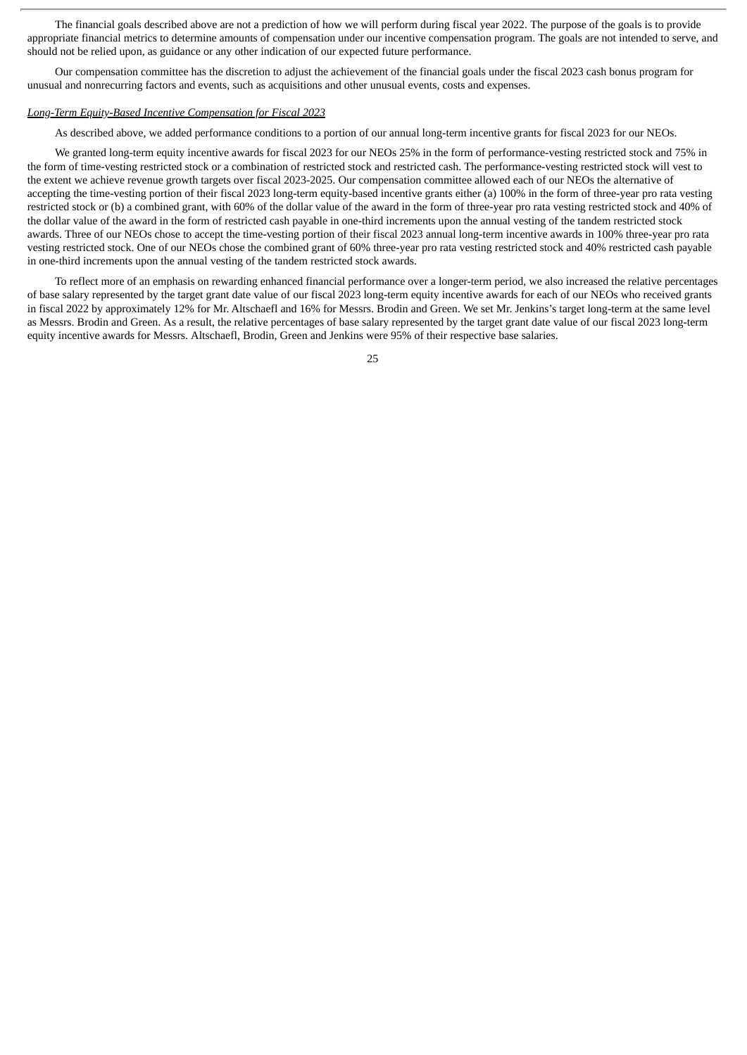The financial goals described above are not a prediction of how we will perform during fiscal year 2022. The purpose of the goals is to provide appropriate financial metrics to determine amounts of compensation under our incentive compensation program. The goals are not intended to serve, and should not be relied upon, as guidance or any other indication of our expected future performance.

Our compensation committee has the discretion to adjust the achievement of the financial goals under the fiscal 2023 cash bonus program for unusual and nonrecurring factors and events, such as acquisitions and other unusual events, costs and expenses.

#### *Long-Term Equity-Based Incentive Compensation for Fiscal 2023*

As described above, we added performance conditions to a portion of our annual long-term incentive grants for fiscal 2023 for our NEOs.

We granted long-term equity incentive awards for fiscal 2023 for our NEOs 25% in the form of performance-vesting restricted stock and 75% in the form of time-vesting restricted stock or a combination of restricted stock and restricted cash. The performance-vesting restricted stock will vest to the extent we achieve revenue growth targets over fiscal 2023-2025. Our compensation committee allowed each of our NEOs the alternative of accepting the time-vesting portion of their fiscal 2023 long-term equity-based incentive grants either (a) 100% in the form of three-year pro rata vesting restricted stock or (b) a combined grant, with 60% of the dollar value of the award in the form of three-year pro rata vesting restricted stock and 40% of the dollar value of the award in the form of restricted cash payable in one-third increments upon the annual vesting of the tandem restricted stock awards. Three of our NEOs chose to accept the time-vesting portion of their fiscal 2023 annual long-term incentive awards in 100% three-year pro rata vesting restricted stock. One of our NEOs chose the combined grant of 60% three-year pro rata vesting restricted stock and 40% restricted cash payable in one-third increments upon the annual vesting of the tandem restricted stock awards.

To reflect more of an emphasis on rewarding enhanced financial performance over a longer-term period, we also increased the relative percentages of base salary represented by the target grant date value of our fiscal 2023 long-term equity incentive awards for each of our NEOs who received grants in fiscal 2022 by approximately 12% for Mr. Altschaefl and 16% for Messrs. Brodin and Green. We set Mr. Jenkins's target long-term at the same level as Messrs. Brodin and Green. As a result, the relative percentages of base salary represented by the target grant date value of our fiscal 2023 long-term equity incentive awards for Messrs. Altschaefl, Brodin, Green and Jenkins were 95% of their respective base salaries.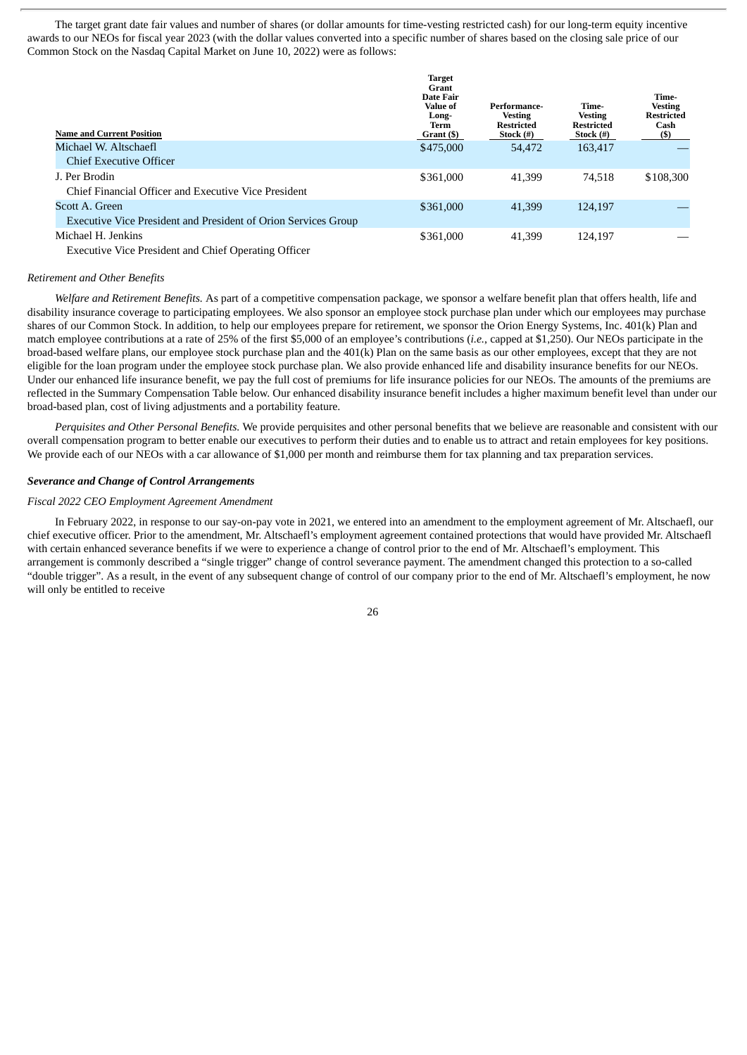The target grant date fair values and number of shares (or dollar amounts for time-vesting restricted cash) for our long-term equity incentive awards to our NEOs for fiscal year 2023 (with the dollar values converted into a specific number of shares based on the closing sale price of our Common Stock on the Nasdaq Capital Market on June 10, 2022) were as follows:

| <b>Name and Current Position</b>                                                 | <b>Target</b><br>Grant<br><b>Date Fair</b><br><b>Value of</b><br>Long-<br>Term<br>Grant (\$) | Performance-<br><b>Vesting</b><br><b>Restricted</b><br>Stock $(\#)$ | Time-<br><b>Vesting</b><br><b>Restricted</b><br>Stock $(\#)$ | Time-<br><b>Vesting</b><br><b>Restricted</b><br>Cash<br>$($)$ |
|----------------------------------------------------------------------------------|----------------------------------------------------------------------------------------------|---------------------------------------------------------------------|--------------------------------------------------------------|---------------------------------------------------------------|
| Michael W. Altschaefl<br>Chief Executive Officer                                 | \$475,000                                                                                    | 54,472                                                              | 163,417                                                      |                                                               |
| J. Per Brodin<br>Chief Financial Officer and Executive Vice President            | \$361,000                                                                                    | 41.399                                                              | 74.518                                                       | \$108,300                                                     |
| Scott A. Green<br>Executive Vice President and President of Orion Services Group | \$361,000                                                                                    | 41,399                                                              | 124,197                                                      |                                                               |
| Michael H. Jenkins                                                               | \$361,000                                                                                    | 41,399                                                              | 124.197                                                      |                                                               |

Executive Vice President and Chief Operating Officer

#### *Retirement and Other Benefits*

*Welfare and Retirement Benefits.* As part of a competitive compensation package, we sponsor a welfare benefit plan that offers health, life and disability insurance coverage to participating employees. We also sponsor an employee stock purchase plan under which our employees may purchase shares of our Common Stock. In addition, to help our employees prepare for retirement, we sponsor the Orion Energy Systems, Inc. 401(k) Plan and match employee contributions at a rate of 25% of the first \$5,000 of an employee's contributions (*i.e.*, capped at \$1,250). Our NEOs participate in the broad-based welfare plans, our employee stock purchase plan and the 401(k) Plan on the same basis as our other employees, except that they are not eligible for the loan program under the employee stock purchase plan. We also provide enhanced life and disability insurance benefits for our NEOs. Under our enhanced life insurance benefit, we pay the full cost of premiums for life insurance policies for our NEOs. The amounts of the premiums are reflected in the Summary Compensation Table below. Our enhanced disability insurance benefit includes a higher maximum benefit level than under our broad-based plan, cost of living adjustments and a portability feature.

*Perquisites and Other Personal Benefits.* We provide perquisites and other personal benefits that we believe are reasonable and consistent with our overall compensation program to better enable our executives to perform their duties and to enable us to attract and retain employees for key positions. We provide each of our NEOs with a car allowance of \$1,000 per month and reimburse them for tax planning and tax preparation services.

#### *Severance and Change of Control Arrangements*

#### *Fiscal 2022 CEO Employment Agreement Amendment*

In February 2022, in response to our say-on-pay vote in 2021, we entered into an amendment to the employment agreement of Mr. Altschaefl, our chief executive officer. Prior to the amendment, Mr. Altschaefl's employment agreement contained protections that would have provided Mr. Altschaefl with certain enhanced severance benefits if we were to experience a change of control prior to the end of Mr. Altschaefl's employment. This arrangement is commonly described a "single trigger" change of control severance payment. The amendment changed this protection to a so-called "double trigger". As a result, in the event of any subsequent change of control of our company prior to the end of Mr. Altschaefl's employment, he now will only be entitled to receive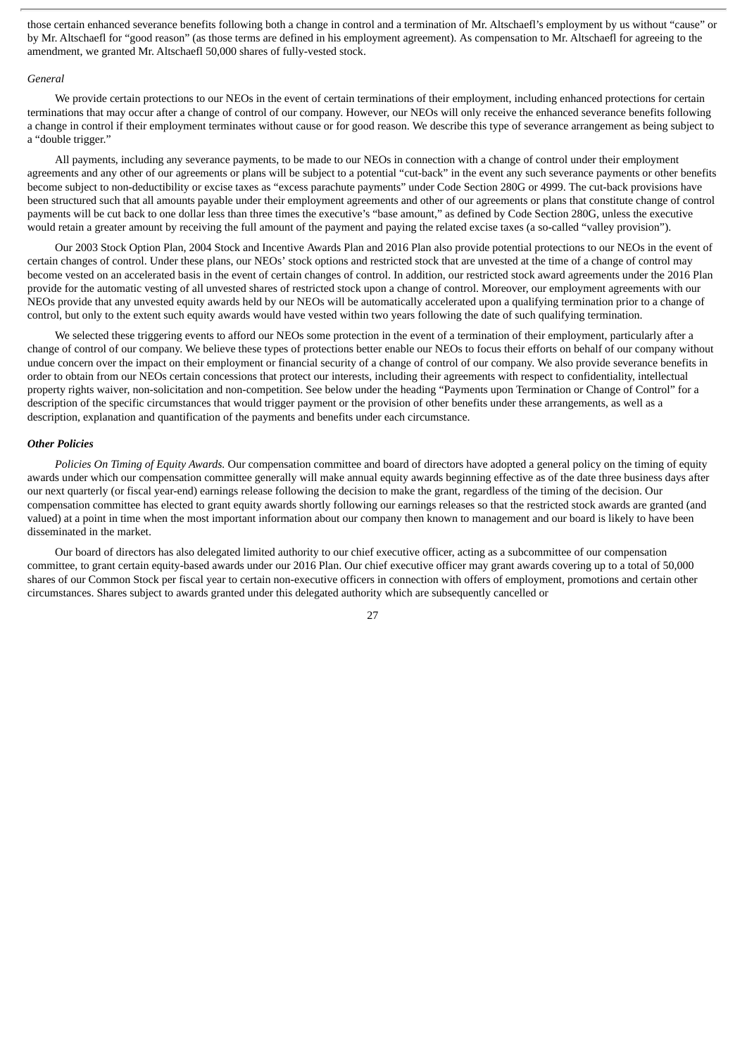those certain enhanced severance benefits following both a change in control and a termination of Mr. Altschaefl's employment by us without "cause" or by Mr. Altschaefl for "good reason" (as those terms are defined in his employment agreement). As compensation to Mr. Altschaefl for agreeing to the amendment, we granted Mr. Altschaefl 50,000 shares of fully-vested stock.

#### *General*

We provide certain protections to our NEOs in the event of certain terminations of their employment, including enhanced protections for certain terminations that may occur after a change of control of our company. However, our NEOs will only receive the enhanced severance benefits following a change in control if their employment terminates without cause or for good reason. We describe this type of severance arrangement as being subject to a "double trigger."

All payments, including any severance payments, to be made to our NEOs in connection with a change of control under their employment agreements and any other of our agreements or plans will be subject to a potential "cut-back" in the event any such severance payments or other benefits become subject to non-deductibility or excise taxes as "excess parachute payments" under Code Section 280G or 4999. The cut-back provisions have been structured such that all amounts payable under their employment agreements and other of our agreements or plans that constitute change of control payments will be cut back to one dollar less than three times the executive's "base amount," as defined by Code Section 280G, unless the executive would retain a greater amount by receiving the full amount of the payment and paying the related excise taxes (a so-called "valley provision").

Our 2003 Stock Option Plan, 2004 Stock and Incentive Awards Plan and 2016 Plan also provide potential protections to our NEOs in the event of certain changes of control. Under these plans, our NEOs' stock options and restricted stock that are unvested at the time of a change of control may become vested on an accelerated basis in the event of certain changes of control. In addition, our restricted stock award agreements under the 2016 Plan provide for the automatic vesting of all unvested shares of restricted stock upon a change of control. Moreover, our employment agreements with our NEOs provide that any unvested equity awards held by our NEOs will be automatically accelerated upon a qualifying termination prior to a change of control, but only to the extent such equity awards would have vested within two years following the date of such qualifying termination.

We selected these triggering events to afford our NEOs some protection in the event of a termination of their employment, particularly after a change of control of our company. We believe these types of protections better enable our NEOs to focus their efforts on behalf of our company without undue concern over the impact on their employment or financial security of a change of control of our company. We also provide severance benefits in order to obtain from our NEOs certain concessions that protect our interests, including their agreements with respect to confidentiality, intellectual property rights waiver, non-solicitation and non-competition. See below under the heading "Payments upon Termination or Change of Control" for a description of the specific circumstances that would trigger payment or the provision of other benefits under these arrangements, as well as a description, explanation and quantification of the payments and benefits under each circumstance.

#### *Other Policies*

*Policies On Timing of Equity Awards.* Our compensation committee and board of directors have adopted a general policy on the timing of equity awards under which our compensation committee generally will make annual equity awards beginning effective as of the date three business days after our next quarterly (or fiscal year-end) earnings release following the decision to make the grant, regardless of the timing of the decision. Our compensation committee has elected to grant equity awards shortly following our earnings releases so that the restricted stock awards are granted (and valued) at a point in time when the most important information about our company then known to management and our board is likely to have been disseminated in the market.

Our board of directors has also delegated limited authority to our chief executive officer, acting as a subcommittee of our compensation committee, to grant certain equity-based awards under our 2016 Plan. Our chief executive officer may grant awards covering up to a total of 50,000 shares of our Common Stock per fiscal year to certain non-executive officers in connection with offers of employment, promotions and certain other circumstances. Shares subject to awards granted under this delegated authority which are subsequently cancelled or

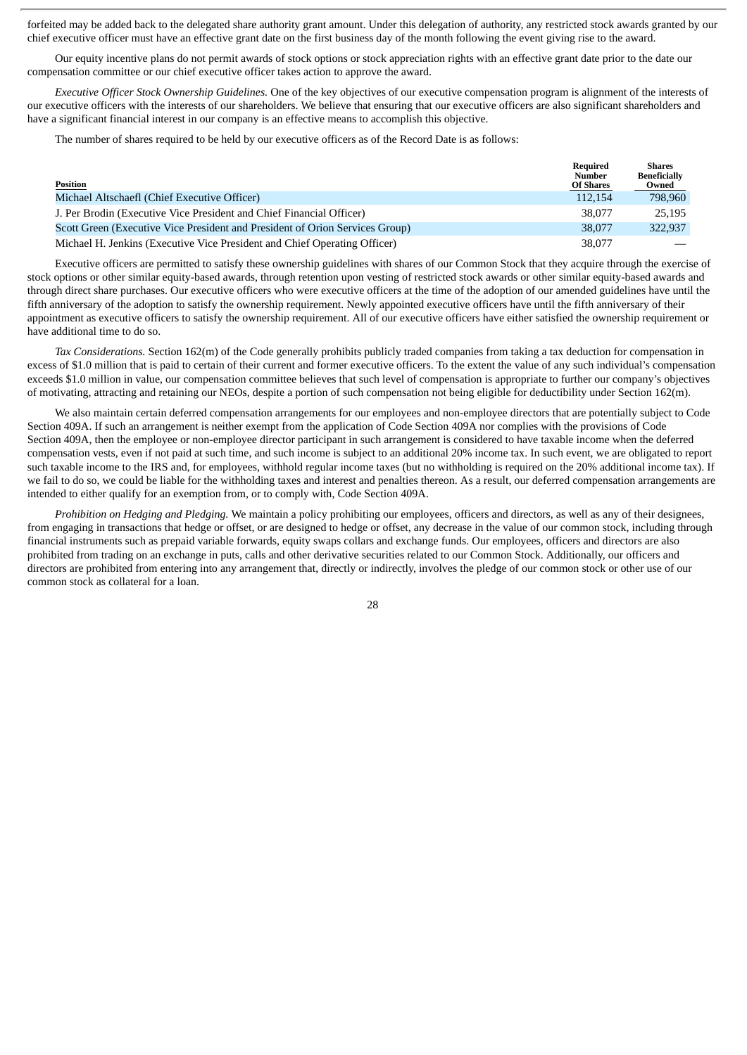forfeited may be added back to the delegated share authority grant amount. Under this delegation of authority, any restricted stock awards granted by our chief executive officer must have an effective grant date on the first business day of the month following the event giving rise to the award.

Our equity incentive plans do not permit awards of stock options or stock appreciation rights with an effective grant date prior to the date our compensation committee or our chief executive officer takes action to approve the award.

*Executive Officer Stock Ownership Guidelines.* One of the key objectives of our executive compensation program is alignment of the interests of our executive officers with the interests of our shareholders. We believe that ensuring that our executive officers are also significant shareholders and have a significant financial interest in our company is an effective means to accomplish this objective.

The number of shares required to be held by our executive officers as of the Record Date is as follows:

| Position                                                                     | Required<br>Number<br><b>Of Shares</b> | Shares<br><b>Beneficially</b><br>Owned |
|------------------------------------------------------------------------------|----------------------------------------|----------------------------------------|
| Michael Altschaefl (Chief Executive Officer)                                 | 112,154                                | 798,960                                |
| J. Per Brodin (Executive Vice President and Chief Financial Officer)         | 38,077                                 | 25,195                                 |
| Scott Green (Executive Vice President and President of Orion Services Group) | 38,077                                 | 322.937                                |
| Michael H. Jenkins (Executive Vice President and Chief Operating Officer)    | 38,077                                 |                                        |

Executive officers are permitted to satisfy these ownership guidelines with shares of our Common Stock that they acquire through the exercise of stock options or other similar equity-based awards, through retention upon vesting of restricted stock awards or other similar equity-based awards and through direct share purchases. Our executive officers who were executive officers at the time of the adoption of our amended guidelines have until the fifth anniversary of the adoption to satisfy the ownership requirement. Newly appointed executive officers have until the fifth anniversary of their appointment as executive officers to satisfy the ownership requirement. All of our executive officers have either satisfied the ownership requirement or have additional time to do so.

*Tax Considerations.* Section 162(m) of the Code generally prohibits publicly traded companies from taking a tax deduction for compensation in excess of \$1.0 million that is paid to certain of their current and former executive officers. To the extent the value of any such individual's compensation exceeds \$1.0 million in value, our compensation committee believes that such level of compensation is appropriate to further our company's objectives of motivating, attracting and retaining our NEOs, despite a portion of such compensation not being eligible for deductibility under Section 162(m).

We also maintain certain deferred compensation arrangements for our employees and non-employee directors that are potentially subject to Code Section 409A. If such an arrangement is neither exempt from the application of Code Section 409A nor complies with the provisions of Code Section 409A, then the employee or non-employee director participant in such arrangement is considered to have taxable income when the deferred compensation vests, even if not paid at such time, and such income is subject to an additional 20% income tax. In such event, we are obligated to report such taxable income to the IRS and, for employees, withhold regular income taxes (but no withholding is required on the 20% additional income tax). If we fail to do so, we could be liable for the withholding taxes and interest and penalties thereon. As a result, our deferred compensation arrangements are intended to either qualify for an exemption from, or to comply with, Code Section 409A.

*Prohibition on Hedging and Pledging.* We maintain a policy prohibiting our employees, officers and directors, as well as any of their designees, from engaging in transactions that hedge or offset, or are designed to hedge or offset, any decrease in the value of our common stock, including through financial instruments such as prepaid variable forwards, equity swaps collars and exchange funds. Our employees, officers and directors are also prohibited from trading on an exchange in puts, calls and other derivative securities related to our Common Stock. Additionally, our officers and directors are prohibited from entering into any arrangement that, directly or indirectly, involves the pledge of our common stock or other use of our common stock as collateral for a loan.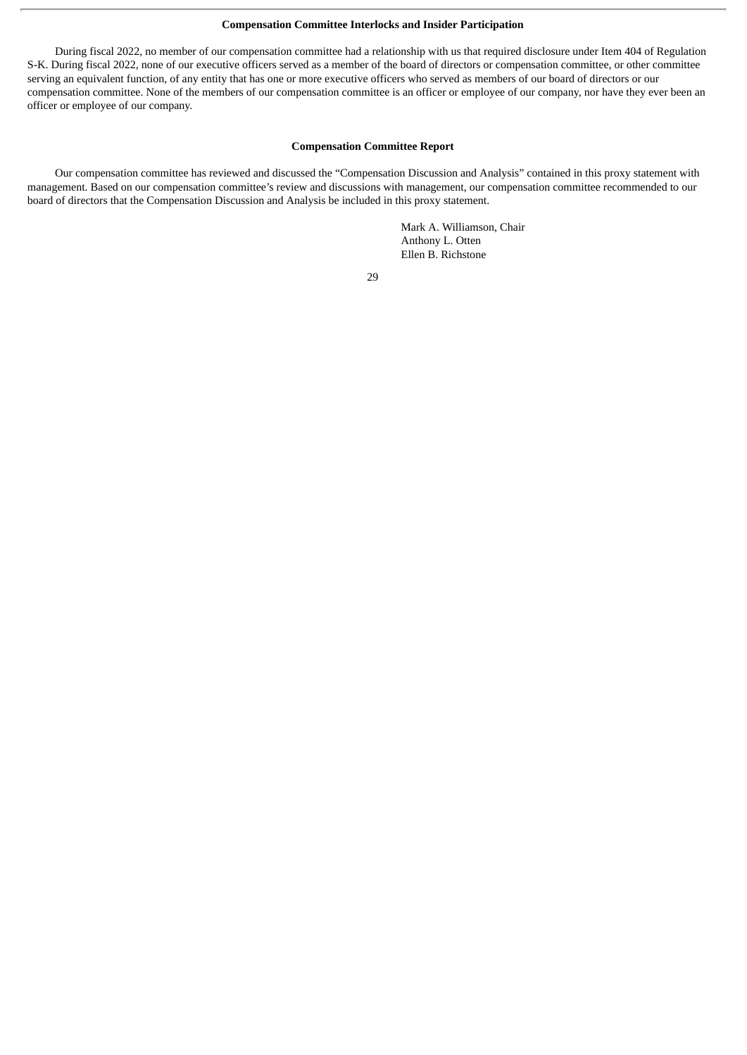#### **Compensation Committee Interlocks and Insider Participation**

During fiscal 2022, no member of our compensation committee had a relationship with us that required disclosure under Item 404 of Regulation S-K. During fiscal 2022, none of our executive officers served as a member of the board of directors or compensation committee, or other committee serving an equivalent function, of any entity that has one or more executive officers who served as members of our board of directors or our compensation committee. None of the members of our compensation committee is an officer or employee of our company, nor have they ever been an officer or employee of our company.

#### **Compensation Committee Report**

Our compensation committee has reviewed and discussed the "Compensation Discussion and Analysis" contained in this proxy statement with management. Based on our compensation committee's review and discussions with management, our compensation committee recommended to our board of directors that the Compensation Discussion and Analysis be included in this proxy statement.

> Mark A. Williamson, Chair Anthony L. Otten Ellen B. Richstone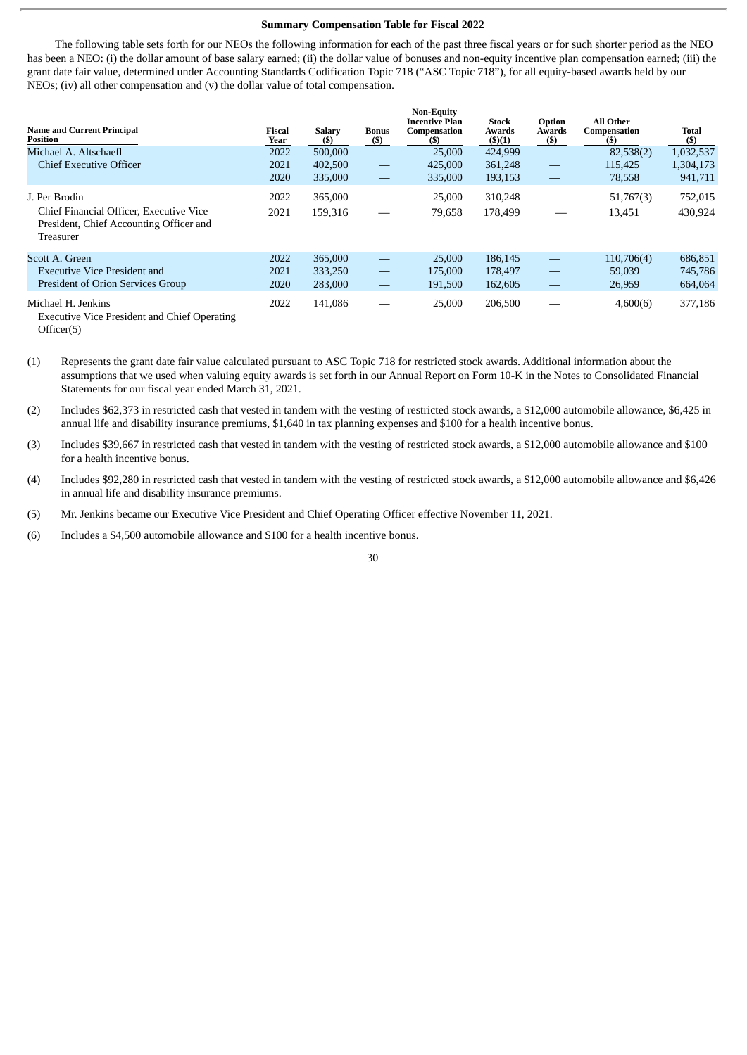#### **Summary Compensation Table for Fiscal 2022**

The following table sets forth for our NEOs the following information for each of the past three fiscal years or for such shorter period as the NEO has been a NEO: (i) the dollar amount of base salary earned; (ii) the dollar value of bonuses and non-equity incentive plan compensation earned; (iii) the grant date fair value, determined under Accounting Standards Codification Topic 718 ("ASC Topic 718"), for all equity-based awards held by our NEOs; (iv) all other compensation and (v) the dollar value of total compensation.

**Non-Equity**

| <b>Name and Current Principal</b><br><b>Position</b>                                            | Fiscal<br>Year | <b>Salary</b><br>(S) | Bonus<br>$($)$                            | ічон-едицу<br><b>Incentive Plan</b><br>Compensation<br>(S) | <b>Stock</b><br>Awards<br>(5)(1) | Option<br>Awards<br>$($ \$) | <b>All Other</b><br>Compensation<br>(S) | Total<br>(S) |
|-------------------------------------------------------------------------------------------------|----------------|----------------------|-------------------------------------------|------------------------------------------------------------|----------------------------------|-----------------------------|-----------------------------------------|--------------|
| Michael A. Altschaefl                                                                           | 2022           | 500,000              | $\hspace{0.05cm}$                         | 25,000                                                     | 424,999                          | $\frac{1}{2}$               | 82,538(2)                               | 1,032,537    |
| <b>Chief Executive Officer</b>                                                                  | 2021           | 402,500              | $\qquad \qquad \overline{\qquad \qquad }$ | 425,000                                                    | 361,248                          | $\overline{\phantom{0}}$    | 115,425                                 | 1,304,173    |
|                                                                                                 | 2020           | 335,000              |                                           | 335,000                                                    | 193,153                          | —                           | 78,558                                  | 941,711      |
| J. Per Brodin                                                                                   | 2022           | 365,000              | $\overbrace{\phantom{aaaaa}}^{x}$         | 25,000                                                     | 310,248                          |                             | 51,767(3)                               | 752,015      |
| Chief Financial Officer, Executive Vice<br>President, Chief Accounting Officer and<br>Treasurer | 2021           | 159,316              |                                           | 79,658                                                     | 178,499                          |                             | 13,451                                  | 430,924      |
| Scott A. Green                                                                                  | 2022           | 365,000              | $\qquad \qquad -$                         | 25,000                                                     | 186,145                          | $\overline{\phantom{0}}$    | 110,706(4)                              | 686,851      |
| Executive Vice President and                                                                    | 2021           | 333,250              | $\qquad \qquad \overbrace{ }^{ }$         | 175,000                                                    | 178,497                          |                             | 59,039                                  | 745,786      |
| President of Orion Services Group                                                               | 2020           | 283,000              | $\overline{\phantom{m}}$                  | 191,500                                                    | 162,605                          | $\qquad \qquad$             | 26,959                                  | 664,064      |
| Michael H. Jenkins<br><b>Executive Vice President and Chief Operating</b>                       | 2022           | 141,086              |                                           | 25,000                                                     | 206,500                          |                             | 4,600(6)                                | 377,186      |

Officer(5)

(1) Represents the grant date fair value calculated pursuant to ASC Topic 718 for restricted stock awards. Additional information about the assumptions that we used when valuing equity awards is set forth in our Annual Report on Form 10-K in the Notes to Consolidated Financial Statements for our fiscal year ended March 31, 2021.

(2) Includes \$62,373 in restricted cash that vested in tandem with the vesting of restricted stock awards, a \$12,000 automobile allowance, \$6,425 in annual life and disability insurance premiums, \$1,640 in tax planning expenses and \$100 for a health incentive bonus.

(3) Includes \$39,667 in restricted cash that vested in tandem with the vesting of restricted stock awards, a \$12,000 automobile allowance and \$100 for a health incentive bonus.

(4) Includes \$92,280 in restricted cash that vested in tandem with the vesting of restricted stock awards, a \$12,000 automobile allowance and \$6,426 in annual life and disability insurance premiums.

(5) Mr. Jenkins became our Executive Vice President and Chief Operating Officer effective November 11, 2021.

(6) Includes a \$4,500 automobile allowance and \$100 for a health incentive bonus.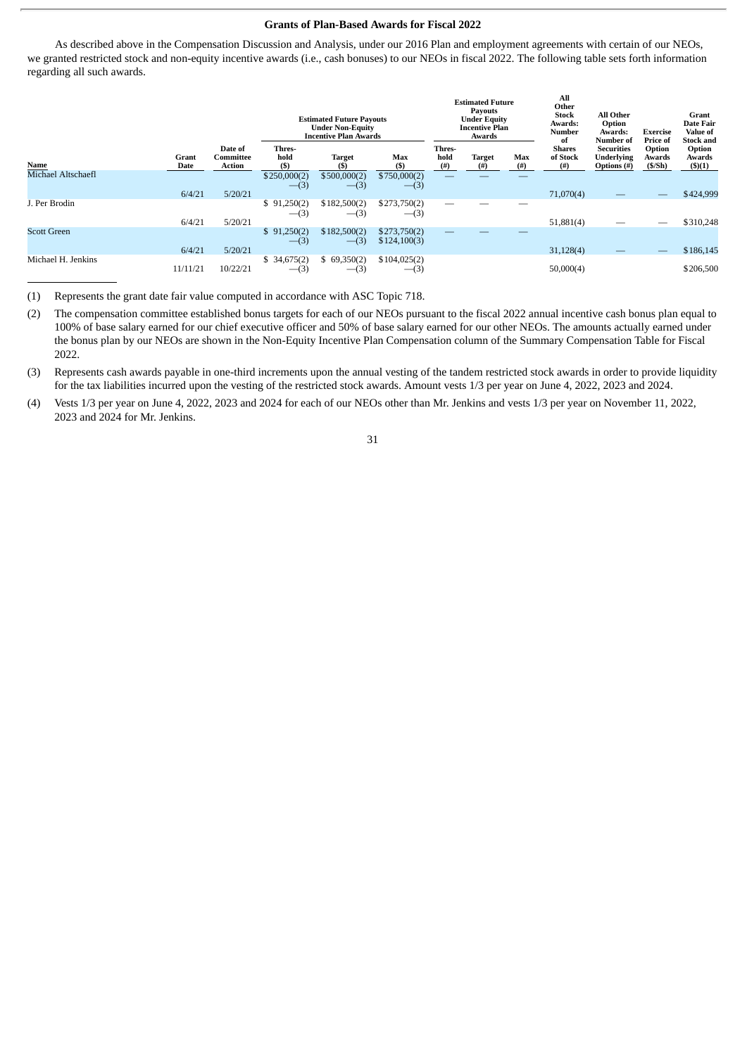#### **Grants of Plan-Based Awards for Fiscal 2022**

As described above in the Compensation Discussion and Analysis, under our 2016 Plan and employment agreements with certain of our NEOs, we granted restricted stock and non-equity incentive awards (i.e., cash bonuses) to our NEOs in fiscal 2022. The following table sets forth information regarding all such awards.

|                    |               |                                | <b>Estimated Future Payouts</b><br><b>Under Non-Equity</b><br><b>Incentive Plan Awards</b> |                         | <b>Estimated Future</b><br><b>Payouts</b><br><b>Under Equity</b><br><b>Incentive Plan</b><br>Awards |                        |                       | All<br>Other<br><b>Stock</b><br>Awards:<br><b>Number</b><br>of | <b>All Other</b><br>Option<br>Awards:<br>Number of | <b>Exercise</b><br>Price of                    | Grant<br>Date Fair<br>Value of<br><b>Stock and</b> |                                   |
|--------------------|---------------|--------------------------------|--------------------------------------------------------------------------------------------|-------------------------|-----------------------------------------------------------------------------------------------------|------------------------|-----------------------|----------------------------------------------------------------|----------------------------------------------------|------------------------------------------------|----------------------------------------------------|-----------------------------------|
| Name               | Grant<br>Date | Date of<br>Committee<br>Action | Thres-<br>hold<br>(S)                                                                      | <b>Target</b><br>(S)    | Max<br>$($ \$                                                                                       | Thres-<br>hold<br>(# ) | <b>Target</b><br>(# ) | Max<br>$($ # $)$                                               | <b>Shares</b><br>of Stock<br>(#)                   | <b>Securities</b><br>Underlying<br>Options (#) | Option<br>Awards<br>(S/Sh)                         | Option<br>Awards<br>$($ \$ $)(1)$ |
| Michael Altschaefl | 6/4/21        | 5/20/21                        | \$250,000(2)<br>$-$ (3)                                                                    | \$500,000(2)<br>$-$ (3) | \$750,000(2)<br>$-(3)$                                                                              |                        |                       |                                                                | 71,070(4)                                          |                                                | $\qquad \qquad -$                                  | \$424,999                         |
| . Per Brodin       | 6/4/21        | 5/20/21                        | \$91,250(2)<br>$-$ (3)                                                                     | \$182,500(2)<br>$-(3)$  | \$273,750(2)<br>$-(3)$                                                                              |                        |                       |                                                                | 51,881(4)                                          |                                                | —                                                  | \$310,248                         |
| <b>Scott Green</b> | 6/4/21        | 5/20/21                        | \$91,250(2)<br>$-$ (3)                                                                     | \$182,500(2)<br>$-$ (3) | \$273,750(2)<br>\$124,100(3)                                                                        |                        |                       |                                                                | 31,128(4)                                          |                                                | $\overline{\phantom{m}}$                           | \$186,145                         |
| Michael H. Jenkins | 11/11/21      | 10/22/21                       | \$34,675(2)<br>$-(3)$                                                                      | \$69,350(2)<br>$-(3)$   | \$104,025(2)<br>$-(3)$                                                                              |                        |                       |                                                                | 50,000(4)                                          |                                                |                                                    | \$206,500                         |

(1) Represents the grant date fair value computed in accordance with ASC Topic 718.

(2) The compensation committee established bonus targets for each of our NEOs pursuant to the fiscal 2022 annual incentive cash bonus plan equal to 100% of base salary earned for our chief executive officer and 50% of base salary earned for our other NEOs. The amounts actually earned under the bonus plan by our NEOs are shown in the Non-Equity Incentive Plan Compensation column of the Summary Compensation Table for Fiscal 2022.

(3) Represents cash awards payable in one-third increments upon the annual vesting of the tandem restricted stock awards in order to provide liquidity for the tax liabilities incurred upon the vesting of the restricted stock awards. Amount vests 1/3 per year on June 4, 2022, 2023 and 2024.

(4) Vests 1/3 per year on June 4, 2022, 2023 and 2024 for each of our NEOs other than Mr. Jenkins and vests 1/3 per year on November 11, 2022, 2023 and 2024 for Mr. Jenkins.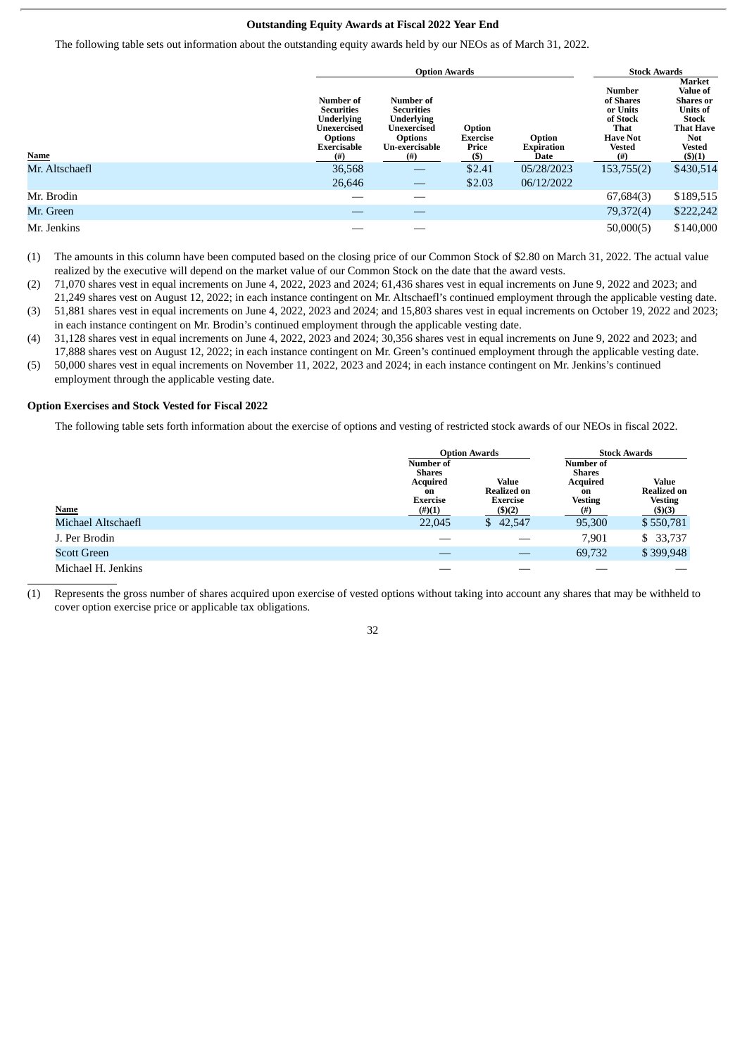#### **Outstanding Equity Awards at Fiscal 2022 Year End**

The following table sets out information about the outstanding equity awards held by our NEOs as of March 31, 2022.

|                |                                                                                                                        | <b>Option Awards</b>                                                                                           | <b>Stock Awards</b>                  |                                     |                                                                                                          |                                                                                                                                                      |
|----------------|------------------------------------------------------------------------------------------------------------------------|----------------------------------------------------------------------------------------------------------------|--------------------------------------|-------------------------------------|----------------------------------------------------------------------------------------------------------|------------------------------------------------------------------------------------------------------------------------------------------------------|
| Name           | Number of<br><b>Securities</b><br><b>Underlying</b><br>Unexercised<br><b>Options</b><br><b>Exercisable</b><br>$^{(#)}$ | Number of<br><b>Securities</b><br><b>Underlying</b><br>Unexercised<br><b>Options</b><br>Un-exercisable<br>(# ) | Option<br>Exercise<br>Price<br>$($)$ | Option<br><b>Expiration</b><br>Date | <b>Number</b><br>of Shares<br>or Units<br>of Stock<br>That<br><b>Have Not</b><br><b>Vested</b><br>$($ #) | Market<br><b>Value of</b><br><b>Shares</b> or<br><b>Units of</b><br><b>Stock</b><br><b>That Have</b><br><b>Not</b><br><b>Vested</b><br>$($ \$ $)(1)$ |
| Mr. Altschaefl | 36,568<br>26,646                                                                                                       |                                                                                                                | \$2.41<br>\$2.03                     | 05/28/2023<br>06/12/2022            | 153,755(2)                                                                                               | \$430,514                                                                                                                                            |
| Mr. Brodin     |                                                                                                                        |                                                                                                                |                                      |                                     | 67,684(3)                                                                                                | \$189,515                                                                                                                                            |
| Mr. Green      |                                                                                                                        |                                                                                                                |                                      |                                     | 79,372(4)                                                                                                | \$222,242                                                                                                                                            |
| Mr. Jenkins    |                                                                                                                        |                                                                                                                |                                      |                                     | 50,000(5)                                                                                                | \$140,000                                                                                                                                            |

<sup>(1)</sup> The amounts in this column have been computed based on the closing price of our Common Stock of \$2.80 on March 31, 2022. The actual value realized by the executive will depend on the market value of our Common Stock on the date that the award vests.

- 21,249 shares vest on August 12, 2022; in each instance contingent on Mr. Altschaefl's continued employment through the applicable vesting date. (3) 51,881 shares vest in equal increments on June 4, 2022, 2023 and 2024; and 15,803 shares vest in equal increments on October 19, 2022 and 2023; in each instance contingent on Mr. Brodin's continued employment through the applicable vesting date.
- (4) 31,128 shares vest in equal increments on June 4, 2022, 2023 and 2024; 30,356 shares vest in equal increments on June 9, 2022 and 2023; and 17,888 shares vest on August 12, 2022; in each instance contingent on Mr. Green's continued employment through the applicable vesting date.
- (5) 50,000 shares vest in equal increments on November 11, 2022, 2023 and 2024; in each instance contingent on Mr. Jenkins's continued employment through the applicable vesting date.

#### **Option Exercises and Stock Vested for Fiscal 2022**

The following table sets forth information about the exercise of options and vesting of restricted stock awards of our NEOs in fiscal 2022.

|                    |                                                                              | <b>Option Awards</b>                                         | <b>Stock Awards</b>                                                               |                                                                    |  |
|--------------------|------------------------------------------------------------------------------|--------------------------------------------------------------|-----------------------------------------------------------------------------------|--------------------------------------------------------------------|--|
| <b>Name</b>        | <b>Number of</b><br>Shares<br>Acquired<br>on<br><b>Exercise</b><br>$(\#)(1)$ | Value<br><b>Realized on</b><br><b>Exercise</b><br>$($ \$)(2) | Number of<br><b>Shares</b><br><b>Acquired</b><br>on<br><b>Vesting</b><br>$^{(#)}$ | <b>Value</b><br><b>Realized on</b><br><b>Vesting</b><br>$($ \$)(3) |  |
| Michael Altschaefl | 22,045                                                                       | \$42,547                                                     | 95,300                                                                            | \$550,781                                                          |  |
| J. Per Brodin      |                                                                              |                                                              | 7,901                                                                             | \$ 33,737                                                          |  |
| <b>Scott Green</b> |                                                                              |                                                              | 69,732                                                                            | \$399,948                                                          |  |
| Michael H. Jenkins |                                                                              |                                                              |                                                                                   |                                                                    |  |

(1) Represents the gross number of shares acquired upon exercise of vested options without taking into account any shares that may be withheld to cover option exercise price or applicable tax obligations.

<sup>(2)</sup> 71,070 shares vest in equal increments on June 4, 2022, 2023 and 2024; 61,436 shares vest in equal increments on June 9, 2022 and 2023; and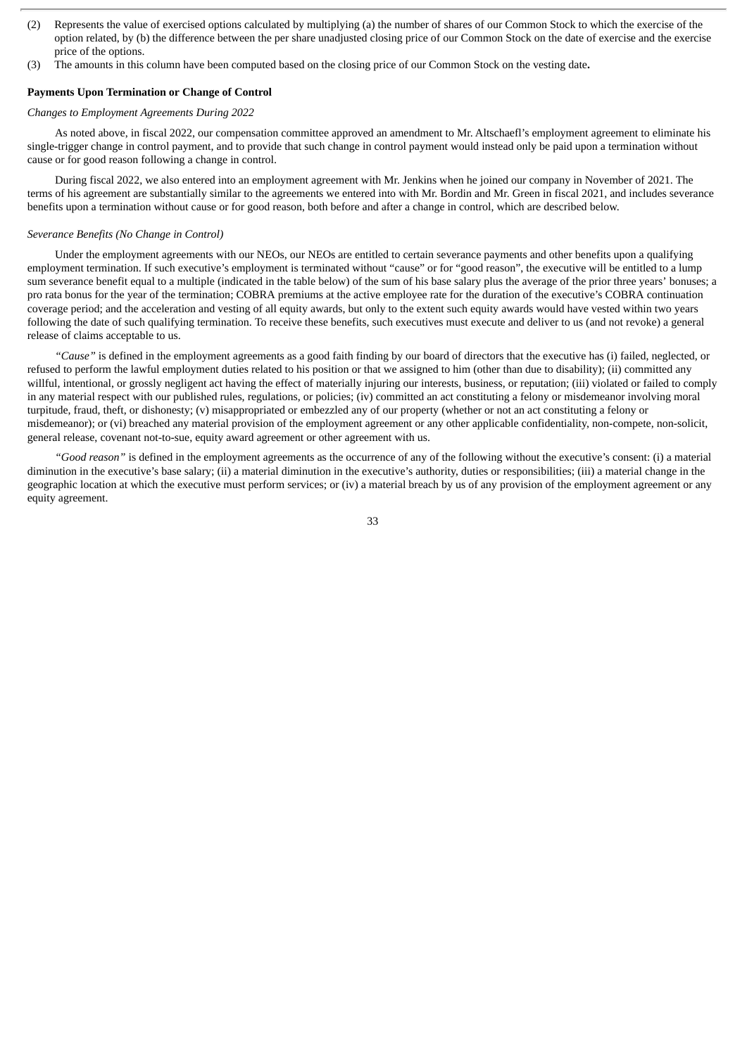- (2) Represents the value of exercised options calculated by multiplying (a) the number of shares of our Common Stock to which the exercise of the option related, by (b) the difference between the per share unadjusted closing price of our Common Stock on the date of exercise and the exercise price of the options.
- (3) The amounts in this column have been computed based on the closing price of our Common Stock on the vesting date**.**

#### **Payments Upon Termination or Change of Control**

#### *Changes to Employment Agreements During 2022*

As noted above, in fiscal 2022, our compensation committee approved an amendment to Mr. Altschaefl's employment agreement to eliminate his single-trigger change in control payment, and to provide that such change in control payment would instead only be paid upon a termination without cause or for good reason following a change in control.

During fiscal 2022, we also entered into an employment agreement with Mr. Jenkins when he joined our company in November of 2021. The terms of his agreement are substantially similar to the agreements we entered into with Mr. Bordin and Mr. Green in fiscal 2021, and includes severance benefits upon a termination without cause or for good reason, both before and after a change in control, which are described below.

#### *Severance Benefits (No Change in Control)*

Under the employment agreements with our NEOs, our NEOs are entitled to certain severance payments and other benefits upon a qualifying employment termination. If such executive's employment is terminated without "cause" or for "good reason", the executive will be entitled to a lump sum severance benefit equal to a multiple (indicated in the table below) of the sum of his base salary plus the average of the prior three years' bonuses; a pro rata bonus for the year of the termination; COBRA premiums at the active employee rate for the duration of the executive's COBRA continuation coverage period; and the acceleration and vesting of all equity awards, but only to the extent such equity awards would have vested within two years following the date of such qualifying termination. To receive these benefits, such executives must execute and deliver to us (and not revoke) a general release of claims acceptable to us.

*"Cause"* is defined in the employment agreements as a good faith finding by our board of directors that the executive has (i) failed, neglected, or refused to perform the lawful employment duties related to his position or that we assigned to him (other than due to disability); (ii) committed any willful, intentional, or grossly negligent act having the effect of materially injuring our interests, business, or reputation; (iii) violated or failed to comply in any material respect with our published rules, regulations, or policies; (iv) committed an act constituting a felony or misdemeanor involving moral turpitude, fraud, theft, or dishonesty; (v) misappropriated or embezzled any of our property (whether or not an act constituting a felony or misdemeanor); or (vi) breached any material provision of the employment agreement or any other applicable confidentiality, non-compete, non-solicit, general release, covenant not-to-sue, equity award agreement or other agreement with us.

*"Good reason"* is defined in the employment agreements as the occurrence of any of the following without the executive's consent: (i) a material diminution in the executive's base salary; (ii) a material diminution in the executive's authority, duties or responsibilities; (iii) a material change in the geographic location at which the executive must perform services; or (iv) a material breach by us of any provision of the employment agreement or any equity agreement.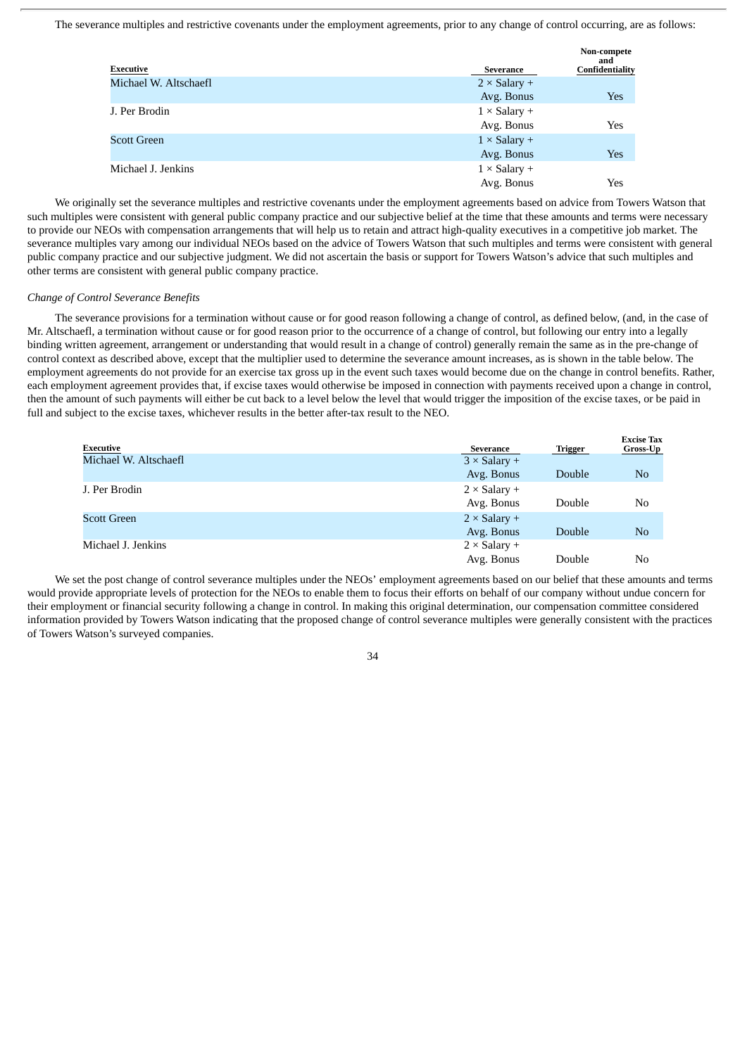The severance multiples and restrictive covenants under the employment agreements, prior to any change of control occurring, are as follows:

|                       |                     | Non-compete<br>and |
|-----------------------|---------------------|--------------------|
| Executive             | Severance           | Confidentiality    |
| Michael W. Altschaefl | $2 \times$ Salary + |                    |
|                       | Avg. Bonus          | Yes                |
| J. Per Brodin         | $1 \times$ Salary + |                    |
|                       | Avg. Bonus          | Yes                |
| <b>Scott Green</b>    | $1 \times$ Salary + |                    |
|                       | Avg. Bonus          | Yes                |
| Michael J. Jenkins    | $1 \times$ Salary + |                    |
|                       | Avg. Bonus          | Yes                |

We originally set the severance multiples and restrictive covenants under the employment agreements based on advice from Towers Watson that such multiples were consistent with general public company practice and our subjective belief at the time that these amounts and terms were necessary to provide our NEOs with compensation arrangements that will help us to retain and attract high-quality executives in a competitive job market. The severance multiples vary among our individual NEOs based on the advice of Towers Watson that such multiples and terms were consistent with general public company practice and our subjective judgment. We did not ascertain the basis or support for Towers Watson's advice that such multiples and other terms are consistent with general public company practice.

#### *Change of Control Severance Benefits*

The severance provisions for a termination without cause or for good reason following a change of control, as defined below, (and, in the case of Mr. Altschaefl, a termination without cause or for good reason prior to the occurrence of a change of control, but following our entry into a legally binding written agreement, arrangement or understanding that would result in a change of control) generally remain the same as in the pre-change of control context as described above, except that the multiplier used to determine the severance amount increases, as is shown in the table below. The employment agreements do not provide for an exercise tax gross up in the event such taxes would become due on the change in control benefits. Rather, each employment agreement provides that, if excise taxes would otherwise be imposed in connection with payments received upon a change in control, then the amount of such payments will either be cut back to a level below the level that would trigger the imposition of the excise taxes, or be paid in full and subject to the excise taxes, whichever results in the better after-tax result to the NEO.

| <b>Executive</b>      | <b>Severance</b>    | <b>Trigger</b> | <b>Excise Tax</b><br>Gross-Up |
|-----------------------|---------------------|----------------|-------------------------------|
| Michael W. Altschaefl | $3 \times$ Salary + |                |                               |
|                       | Avg. Bonus          | Double         | No                            |
| J. Per Brodin         | $2 \times$ Salary + |                |                               |
|                       | Avg. Bonus          | Double         | No                            |
| <b>Scott Green</b>    | $2 \times$ Salary + |                |                               |
|                       | Avg. Bonus          | Double         | No                            |
| Michael J. Jenkins    | $2 \times$ Salary + |                |                               |
|                       | Avg. Bonus          | Double         | No                            |

We set the post change of control severance multiples under the NEOs' employment agreements based on our belief that these amounts and terms would provide appropriate levels of protection for the NEOs to enable them to focus their efforts on behalf of our company without undue concern for their employment or financial security following a change in control. In making this original determination, our compensation committee considered information provided by Towers Watson indicating that the proposed change of control severance multiples were generally consistent with the practices of Towers Watson's surveyed companies.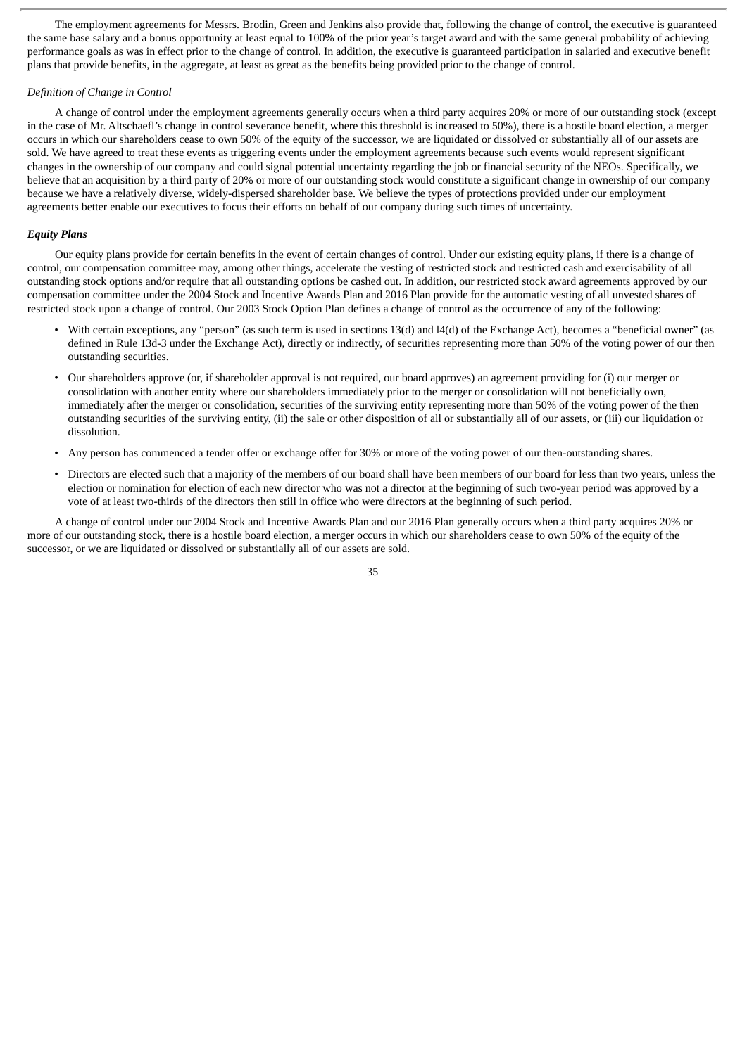The employment agreements for Messrs. Brodin, Green and Jenkins also provide that, following the change of control, the executive is guaranteed the same base salary and a bonus opportunity at least equal to 100% of the prior year's target award and with the same general probability of achieving performance goals as was in effect prior to the change of control. In addition, the executive is guaranteed participation in salaried and executive benefit plans that provide benefits, in the aggregate, at least as great as the benefits being provided prior to the change of control.

#### *Definition of Change in Control*

A change of control under the employment agreements generally occurs when a third party acquires 20% or more of our outstanding stock (except in the case of Mr. Altschaefl's change in control severance benefit, where this threshold is increased to 50%), there is a hostile board election, a merger occurs in which our shareholders cease to own 50% of the equity of the successor, we are liquidated or dissolved or substantially all of our assets are sold. We have agreed to treat these events as triggering events under the employment agreements because such events would represent significant changes in the ownership of our company and could signal potential uncertainty regarding the job or financial security of the NEOs. Specifically, we believe that an acquisition by a third party of 20% or more of our outstanding stock would constitute a significant change in ownership of our company because we have a relatively diverse, widely-dispersed shareholder base. We believe the types of protections provided under our employment agreements better enable our executives to focus their efforts on behalf of our company during such times of uncertainty.

#### *Equity Plans*

Our equity plans provide for certain benefits in the event of certain changes of control. Under our existing equity plans, if there is a change of control, our compensation committee may, among other things, accelerate the vesting of restricted stock and restricted cash and exercisability of all outstanding stock options and/or require that all outstanding options be cashed out. In addition, our restricted stock award agreements approved by our compensation committee under the 2004 Stock and Incentive Awards Plan and 2016 Plan provide for the automatic vesting of all unvested shares of restricted stock upon a change of control. Our 2003 Stock Option Plan defines a change of control as the occurrence of any of the following:

- With certain exceptions, any "person" (as such term is used in sections 13(d) and l4(d) of the Exchange Act), becomes a "beneficial owner" (as defined in Rule 13d-3 under the Exchange Act), directly or indirectly, of securities representing more than 50% of the voting power of our then outstanding securities.
- Our shareholders approve (or, if shareholder approval is not required, our board approves) an agreement providing for (i) our merger or consolidation with another entity where our shareholders immediately prior to the merger or consolidation will not beneficially own, immediately after the merger or consolidation, securities of the surviving entity representing more than 50% of the voting power of the then outstanding securities of the surviving entity, (ii) the sale or other disposition of all or substantially all of our assets, or (iii) our liquidation or dissolution.
- Any person has commenced a tender offer or exchange offer for 30% or more of the voting power of our then-outstanding shares.
- Directors are elected such that a majority of the members of our board shall have been members of our board for less than two years, unless the election or nomination for election of each new director who was not a director at the beginning of such two-year period was approved by a vote of at least two-thirds of the directors then still in office who were directors at the beginning of such period.

A change of control under our 2004 Stock and Incentive Awards Plan and our 2016 Plan generally occurs when a third party acquires 20% or more of our outstanding stock, there is a hostile board election, a merger occurs in which our shareholders cease to own 50% of the equity of the successor, or we are liquidated or dissolved or substantially all of our assets are sold.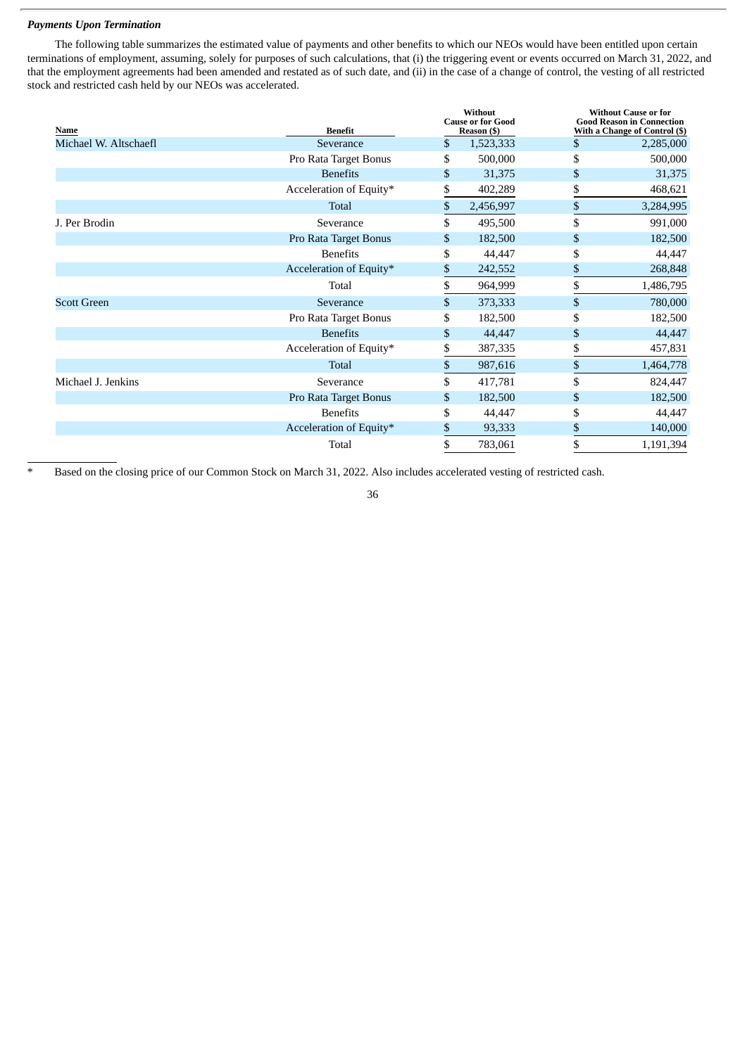#### *Payments Upon Termination*

The following table summarizes the estimated value of payments and other benefits to which our NEOs would have been entitled upon certain terminations of employment, assuming, solely for purposes of such calculations, that (i) the triggering event or events occurred on March 31, 2022, and that the employment agreements had been amended and restated as of such date, and (ii) in the case of a change of control, the vesting of all restricted stock and restricted cash held by our NEOs was accelerated.

| <b>Name</b>           | <b>Benefit</b>          | Without<br><b>Cause or for Good</b><br>Reason (\$) | <b>Without Cause or for</b><br><b>Good Reason in Connection</b><br>With a Change of Control (\$) |
|-----------------------|-------------------------|----------------------------------------------------|--------------------------------------------------------------------------------------------------|
| Michael W. Altschaefl | Severance               | \$<br>1,523,333                                    | \$<br>2,285,000                                                                                  |
|                       | Pro Rata Target Bonus   | \$<br>500,000                                      | \$<br>500,000                                                                                    |
|                       | <b>Benefits</b>         | \$<br>31,375                                       | \$<br>31,375                                                                                     |
|                       | Acceleration of Equity* | \$<br>402,289                                      | \$<br>468,621                                                                                    |
|                       | Total                   | \$<br>2,456,997                                    | \$<br>3,284,995                                                                                  |
| J. Per Brodin         | Severance               | \$<br>495,500                                      | \$<br>991,000                                                                                    |
|                       | Pro Rata Target Bonus   | \$<br>182,500                                      | \$<br>182,500                                                                                    |
|                       | <b>Benefits</b>         | \$<br>44,447                                       | \$<br>44,447                                                                                     |
|                       | Acceleration of Equity* | \$<br>242,552                                      | \$<br>268,848                                                                                    |
|                       | Total                   | \$<br>964,999                                      | \$<br>1,486,795                                                                                  |
| <b>Scott Green</b>    | Severance               | \$<br>373,333                                      | \$<br>780,000                                                                                    |
|                       | Pro Rata Target Bonus   | \$<br>182,500                                      | \$<br>182,500                                                                                    |
|                       | <b>Benefits</b>         | \$<br>44,447                                       | \$<br>44,447                                                                                     |
|                       | Acceleration of Equity* | \$<br>387,335                                      | \$<br>457,831                                                                                    |
|                       | <b>Total</b>            | \$<br>987,616                                      | \$<br>1,464,778                                                                                  |
| Michael J. Jenkins    | Severance               | \$<br>417,781                                      | \$<br>824,447                                                                                    |
|                       | Pro Rata Target Bonus   | \$<br>182,500                                      | \$<br>182,500                                                                                    |
|                       | <b>Benefits</b>         | \$<br>44,447                                       | \$<br>44,447                                                                                     |
|                       | Acceleration of Equity* | \$<br>93,333                                       | \$<br>140,000                                                                                    |
|                       | Total                   | \$<br>783,061                                      | \$<br>1,191,394                                                                                  |

Based on the closing price of our Common Stock on March 31, 2022. Also includes accelerated vesting of restricted cash.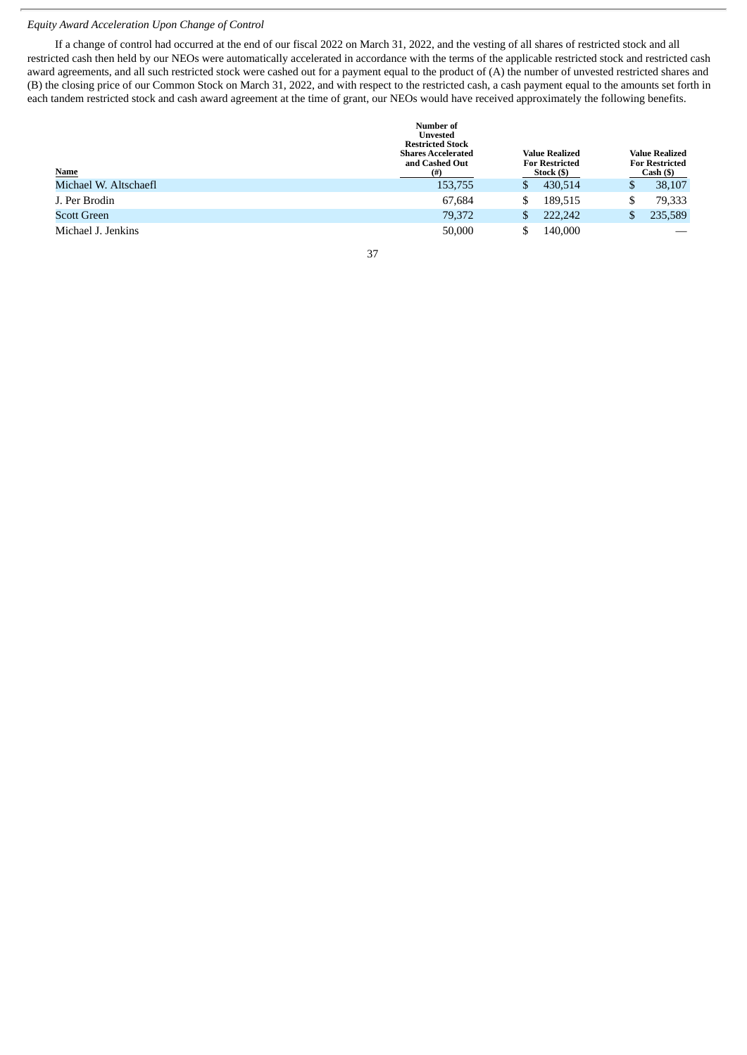#### *Equity Award Acceleration Upon Change of Control*

If a change of control had occurred at the end of our fiscal 2022 on March 31, 2022, and the vesting of all shares of restricted stock and all restricted cash then held by our NEOs were automatically accelerated in accordance with the terms of the applicable restricted stock and restricted cash award agreements, and all such restricted stock were cashed out for a payment equal to the product of (A) the number of unvested restricted shares and (B) the closing price of our Common Stock on March 31, 2022, and with respect to the restricted cash, a cash payment equal to the amounts set forth in each tandem restricted stock and cash award agreement at the time of grant, our NEOs would have received approximately the following benefits.

| <b>Name</b>           | Number of<br>Unvested<br><b>Restricted Stock</b><br><b>Shares Accelerated</b><br>and Cashed Out<br>$^{(#)}$ |   | <b>Value Realized</b><br><b>For Restricted</b><br>Stock (\$) |     | <b>Value Realized</b><br><b>For Restricted</b><br>Cash ( <sub>9</sub> ) |
|-----------------------|-------------------------------------------------------------------------------------------------------------|---|--------------------------------------------------------------|-----|-------------------------------------------------------------------------|
| Michael W. Altschaefl | 153,755                                                                                                     | S | 430.514                                                      | \$  | 38,107                                                                  |
| J. Per Brodin         | 67,684                                                                                                      | S | 189,515                                                      | \$. | 79,333                                                                  |
| <b>Scott Green</b>    | 79,372                                                                                                      | S | 222,242                                                      | \$  | 235,589                                                                 |
| Michael J. Jenkins    | 50,000                                                                                                      |   | 140,000                                                      |     |                                                                         |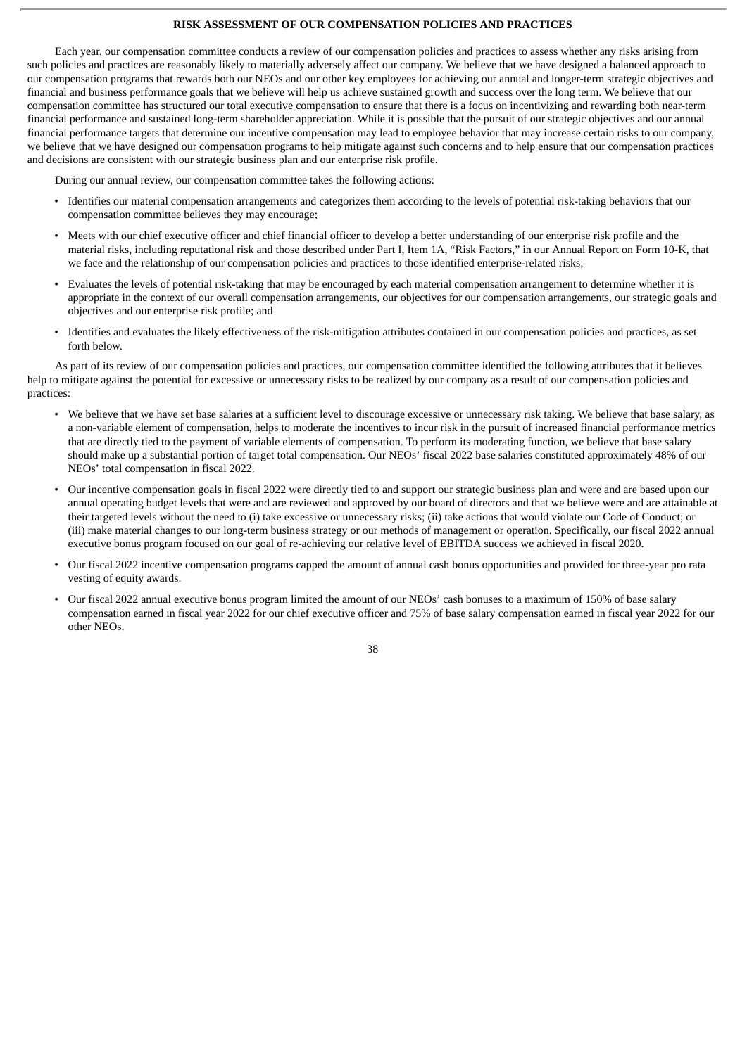#### **RISK ASSESSMENT OF OUR COMPENSATION POLICIES AND PRACTICES**

Each year, our compensation committee conducts a review of our compensation policies and practices to assess whether any risks arising from such policies and practices are reasonably likely to materially adversely affect our company. We believe that we have designed a balanced approach to our compensation programs that rewards both our NEOs and our other key employees for achieving our annual and longer-term strategic objectives and financial and business performance goals that we believe will help us achieve sustained growth and success over the long term. We believe that our compensation committee has structured our total executive compensation to ensure that there is a focus on incentivizing and rewarding both near-term financial performance and sustained long-term shareholder appreciation. While it is possible that the pursuit of our strategic objectives and our annual financial performance targets that determine our incentive compensation may lead to employee behavior that may increase certain risks to our company, we believe that we have designed our compensation programs to help mitigate against such concerns and to help ensure that our compensation practices and decisions are consistent with our strategic business plan and our enterprise risk profile.

During our annual review, our compensation committee takes the following actions:

- Identifies our material compensation arrangements and categorizes them according to the levels of potential risk-taking behaviors that our compensation committee believes they may encourage;
- Meets with our chief executive officer and chief financial officer to develop a better understanding of our enterprise risk profile and the material risks, including reputational risk and those described under Part I, Item 1A, "Risk Factors," in our Annual Report on Form 10-K, that we face and the relationship of our compensation policies and practices to those identified enterprise-related risks;
- Evaluates the levels of potential risk-taking that may be encouraged by each material compensation arrangement to determine whether it is appropriate in the context of our overall compensation arrangements, our objectives for our compensation arrangements, our strategic goals and objectives and our enterprise risk profile; and
- Identifies and evaluates the likely effectiveness of the risk-mitigation attributes contained in our compensation policies and practices, as set forth below.

As part of its review of our compensation policies and practices, our compensation committee identified the following attributes that it believes help to mitigate against the potential for excessive or unnecessary risks to be realized by our company as a result of our compensation policies and practices:

- We believe that we have set base salaries at a sufficient level to discourage excessive or unnecessary risk taking. We believe that base salary, as a non-variable element of compensation, helps to moderate the incentives to incur risk in the pursuit of increased financial performance metrics that are directly tied to the payment of variable elements of compensation. To perform its moderating function, we believe that base salary should make up a substantial portion of target total compensation. Our NEOs' fiscal 2022 base salaries constituted approximately 48% of our NEOs' total compensation in fiscal 2022.
- Our incentive compensation goals in fiscal 2022 were directly tied to and support our strategic business plan and were and are based upon our annual operating budget levels that were and are reviewed and approved by our board of directors and that we believe were and are attainable at their targeted levels without the need to (i) take excessive or unnecessary risks; (ii) take actions that would violate our Code of Conduct; or (iii) make material changes to our long-term business strategy or our methods of management or operation. Specifically, our fiscal 2022 annual executive bonus program focused on our goal of re-achieving our relative level of EBITDA success we achieved in fiscal 2020.
- Our fiscal 2022 incentive compensation programs capped the amount of annual cash bonus opportunities and provided for three-year pro rata vesting of equity awards.
- Our fiscal 2022 annual executive bonus program limited the amount of our NEOs' cash bonuses to a maximum of 150% of base salary compensation earned in fiscal year 2022 for our chief executive officer and 75% of base salary compensation earned in fiscal year 2022 for our other NEOs.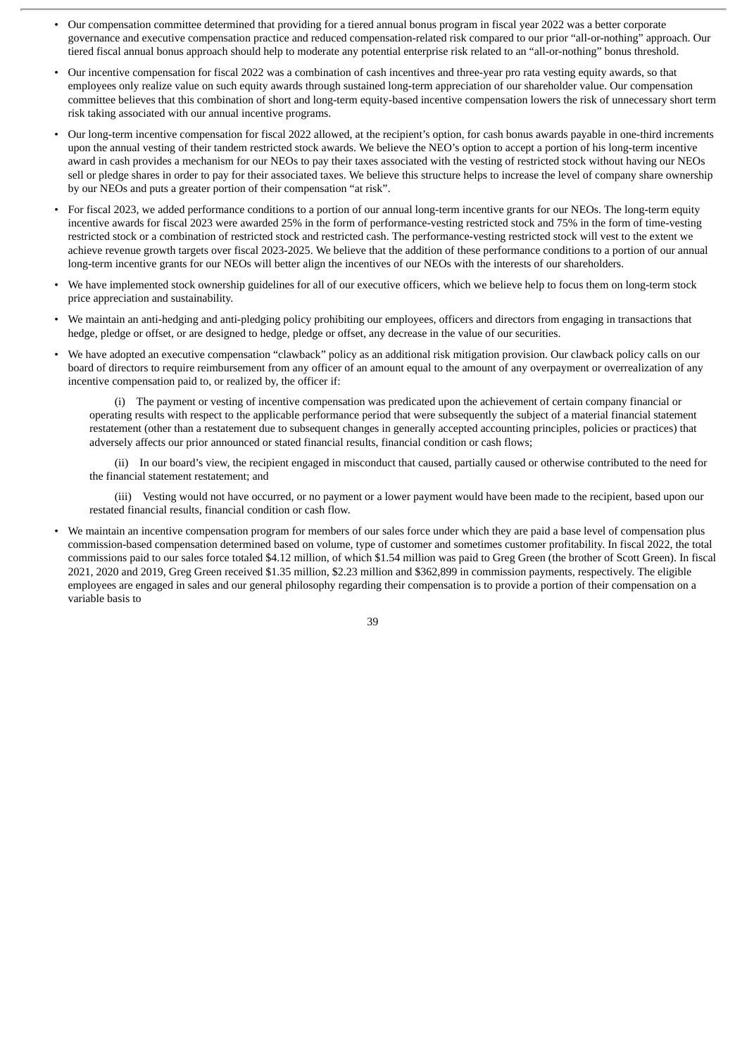- Our compensation committee determined that providing for a tiered annual bonus program in fiscal year 2022 was a better corporate governance and executive compensation practice and reduced compensation-related risk compared to our prior "all-or-nothing" approach. Our tiered fiscal annual bonus approach should help to moderate any potential enterprise risk related to an "all-or-nothing" bonus threshold.
- Our incentive compensation for fiscal 2022 was a combination of cash incentives and three-year pro rata vesting equity awards, so that employees only realize value on such equity awards through sustained long-term appreciation of our shareholder value. Our compensation committee believes that this combination of short and long-term equity-based incentive compensation lowers the risk of unnecessary short term risk taking associated with our annual incentive programs.
- Our long-term incentive compensation for fiscal 2022 allowed, at the recipient's option, for cash bonus awards payable in one-third increments upon the annual vesting of their tandem restricted stock awards. We believe the NEO's option to accept a portion of his long-term incentive award in cash provides a mechanism for our NEOs to pay their taxes associated with the vesting of restricted stock without having our NEOs sell or pledge shares in order to pay for their associated taxes. We believe this structure helps to increase the level of company share ownership by our NEOs and puts a greater portion of their compensation "at risk".
- For fiscal 2023, we added performance conditions to a portion of our annual long-term incentive grants for our NEOs. The long-term equity incentive awards for fiscal 2023 were awarded 25% in the form of performance-vesting restricted stock and 75% in the form of time-vesting restricted stock or a combination of restricted stock and restricted cash. The performance-vesting restricted stock will vest to the extent we achieve revenue growth targets over fiscal 2023-2025. We believe that the addition of these performance conditions to a portion of our annual long-term incentive grants for our NEOs will better align the incentives of our NEOs with the interests of our shareholders.
- We have implemented stock ownership guidelines for all of our executive officers, which we believe help to focus them on long-term stock price appreciation and sustainability.
- We maintain an anti-hedging and anti-pledging policy prohibiting our employees, officers and directors from engaging in transactions that hedge, pledge or offset, or are designed to hedge, pledge or offset, any decrease in the value of our securities.
- We have adopted an executive compensation "clawback" policy as an additional risk mitigation provision. Our clawback policy calls on our board of directors to require reimbursement from any officer of an amount equal to the amount of any overpayment or overrealization of any incentive compensation paid to, or realized by, the officer if:

(i) The payment or vesting of incentive compensation was predicated upon the achievement of certain company financial or operating results with respect to the applicable performance period that were subsequently the subject of a material financial statement restatement (other than a restatement due to subsequent changes in generally accepted accounting principles, policies or practices) that adversely affects our prior announced or stated financial results, financial condition or cash flows;

(ii) In our board's view, the recipient engaged in misconduct that caused, partially caused or otherwise contributed to the need for the financial statement restatement; and

(iii) Vesting would not have occurred, or no payment or a lower payment would have been made to the recipient, based upon our restated financial results, financial condition or cash flow.

• We maintain an incentive compensation program for members of our sales force under which they are paid a base level of compensation plus commission-based compensation determined based on volume, type of customer and sometimes customer profitability. In fiscal 2022, the total commissions paid to our sales force totaled \$4.12 million, of which \$1.54 million was paid to Greg Green (the brother of Scott Green). In fiscal 2021, 2020 and 2019, Greg Green received \$1.35 million, \$2.23 million and \$362,899 in commission payments, respectively. The eligible employees are engaged in sales and our general philosophy regarding their compensation is to provide a portion of their compensation on a variable basis to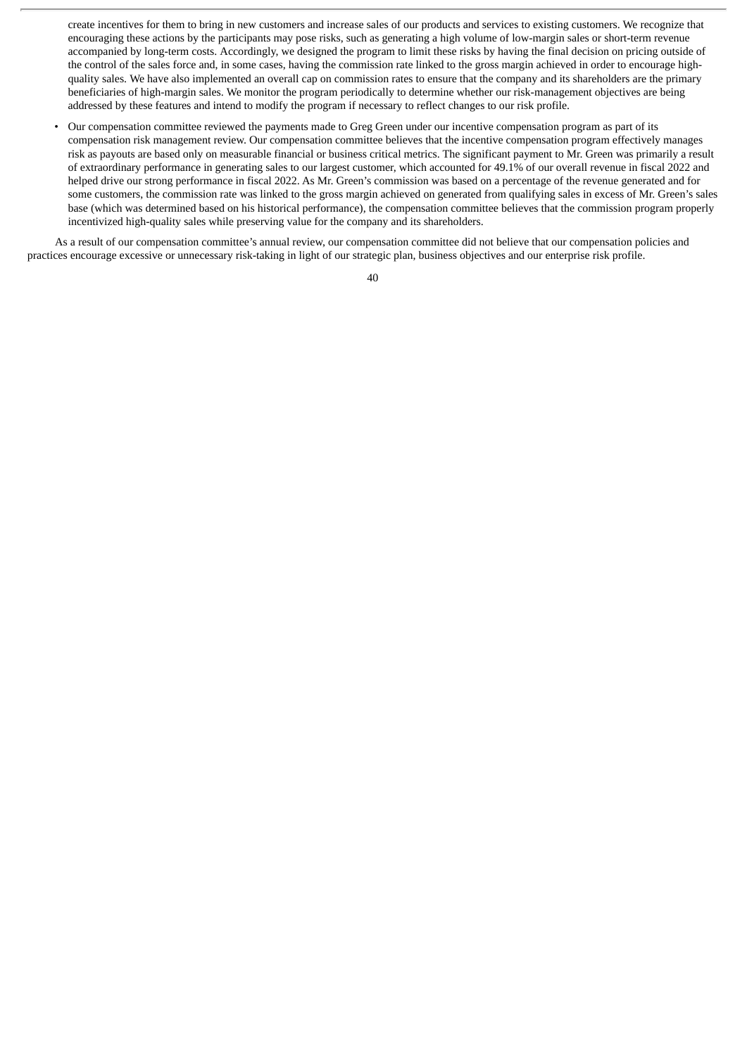create incentives for them to bring in new customers and increase sales of our products and services to existing customers. We recognize that encouraging these actions by the participants may pose risks, such as generating a high volume of low-margin sales or short-term revenue accompanied by long-term costs. Accordingly, we designed the program to limit these risks by having the final decision on pricing outside of the control of the sales force and, in some cases, having the commission rate linked to the gross margin achieved in order to encourage highquality sales. We have also implemented an overall cap on commission rates to ensure that the company and its shareholders are the primary beneficiaries of high-margin sales. We monitor the program periodically to determine whether our risk-management objectives are being addressed by these features and intend to modify the program if necessary to reflect changes to our risk profile.

• Our compensation committee reviewed the payments made to Greg Green under our incentive compensation program as part of its compensation risk management review. Our compensation committee believes that the incentive compensation program effectively manages risk as payouts are based only on measurable financial or business critical metrics. The significant payment to Mr. Green was primarily a result of extraordinary performance in generating sales to our largest customer, which accounted for 49.1% of our overall revenue in fiscal 2022 and helped drive our strong performance in fiscal 2022. As Mr. Green's commission was based on a percentage of the revenue generated and for some customers, the commission rate was linked to the gross margin achieved on generated from qualifying sales in excess of Mr. Green's sales base (which was determined based on his historical performance), the compensation committee believes that the commission program properly incentivized high-quality sales while preserving value for the company and its shareholders.

As a result of our compensation committee's annual review, our compensation committee did not believe that our compensation policies and practices encourage excessive or unnecessary risk-taking in light of our strategic plan, business objectives and our enterprise risk profile.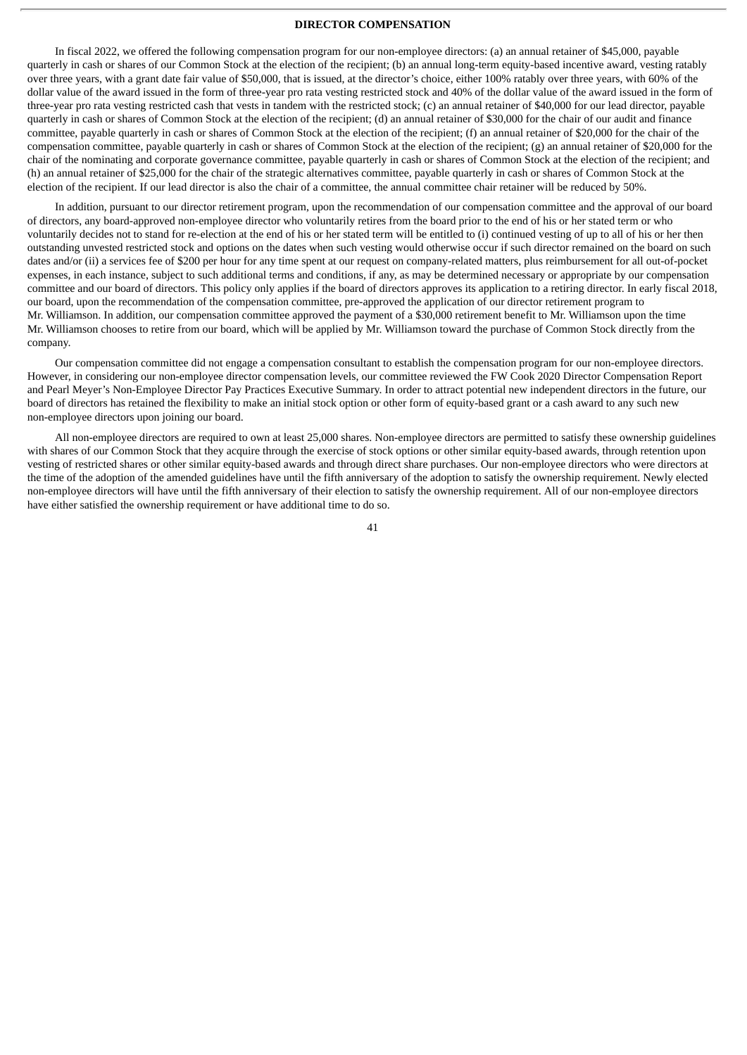#### **DIRECTOR COMPENSATION**

In fiscal 2022, we offered the following compensation program for our non-employee directors: (a) an annual retainer of \$45,000, payable quarterly in cash or shares of our Common Stock at the election of the recipient; (b) an annual long-term equity-based incentive award, vesting ratably over three years, with a grant date fair value of \$50,000, that is issued, at the director's choice, either 100% ratably over three years, with 60% of the dollar value of the award issued in the form of three-year pro rata vesting restricted stock and 40% of the dollar value of the award issued in the form of three-year pro rata vesting restricted cash that vests in tandem with the restricted stock; (c) an annual retainer of \$40,000 for our lead director, payable quarterly in cash or shares of Common Stock at the election of the recipient; (d) an annual retainer of \$30,000 for the chair of our audit and finance committee, payable quarterly in cash or shares of Common Stock at the election of the recipient; (f) an annual retainer of \$20,000 for the chair of the compensation committee, payable quarterly in cash or shares of Common Stock at the election of the recipient; (g) an annual retainer of \$20,000 for the chair of the nominating and corporate governance committee, payable quarterly in cash or shares of Common Stock at the election of the recipient; and (h) an annual retainer of \$25,000 for the chair of the strategic alternatives committee, payable quarterly in cash or shares of Common Stock at the election of the recipient. If our lead director is also the chair of a committee, the annual committee chair retainer will be reduced by 50%.

In addition, pursuant to our director retirement program, upon the recommendation of our compensation committee and the approval of our board of directors, any board-approved non-employee director who voluntarily retires from the board prior to the end of his or her stated term or who voluntarily decides not to stand for re-election at the end of his or her stated term will be entitled to (i) continued vesting of up to all of his or her then outstanding unvested restricted stock and options on the dates when such vesting would otherwise occur if such director remained on the board on such dates and/or (ii) a services fee of \$200 per hour for any time spent at our request on company-related matters, plus reimbursement for all out-of-pocket expenses, in each instance, subject to such additional terms and conditions, if any, as may be determined necessary or appropriate by our compensation committee and our board of directors. This policy only applies if the board of directors approves its application to a retiring director. In early fiscal 2018, our board, upon the recommendation of the compensation committee, pre-approved the application of our director retirement program to Mr. Williamson. In addition, our compensation committee approved the payment of a \$30,000 retirement benefit to Mr. Williamson upon the time Mr. Williamson chooses to retire from our board, which will be applied by Mr. Williamson toward the purchase of Common Stock directly from the company.

Our compensation committee did not engage a compensation consultant to establish the compensation program for our non-employee directors. However, in considering our non-employee director compensation levels, our committee reviewed the FW Cook 2020 Director Compensation Report and Pearl Meyer's Non-Employee Director Pay Practices Executive Summary. In order to attract potential new independent directors in the future, our board of directors has retained the flexibility to make an initial stock option or other form of equity-based grant or a cash award to any such new non-employee directors upon joining our board.

All non-employee directors are required to own at least 25,000 shares. Non-employee directors are permitted to satisfy these ownership guidelines with shares of our Common Stock that they acquire through the exercise of stock options or other similar equity-based awards, through retention upon vesting of restricted shares or other similar equity-based awards and through direct share purchases. Our non-employee directors who were directors at the time of the adoption of the amended guidelines have until the fifth anniversary of the adoption to satisfy the ownership requirement. Newly elected non-employee directors will have until the fifth anniversary of their election to satisfy the ownership requirement. All of our non-employee directors have either satisfied the ownership requirement or have additional time to do so.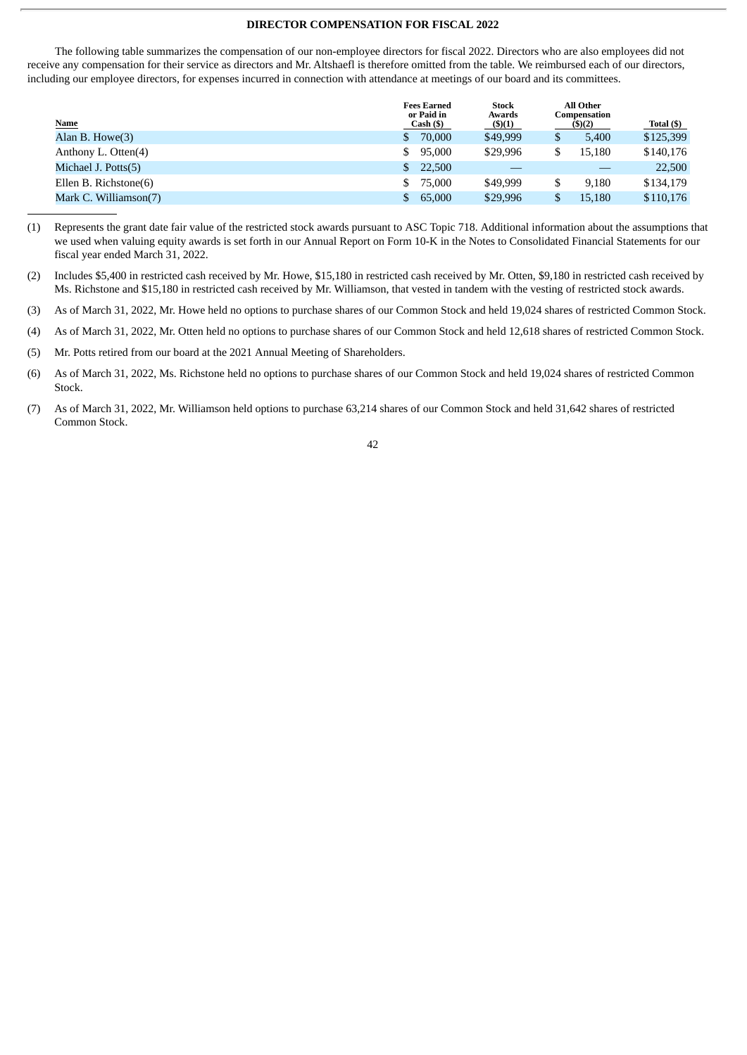#### **DIRECTOR COMPENSATION FOR FISCAL 2022**

The following table summarizes the compensation of our non-employee directors for fiscal 2022. Directors who are also employees did not receive any compensation for their service as directors and Mr. Altshaefl is therefore omitted from the table. We reimbursed each of our directors, including our employee directors, for expenses incurred in connection with attendance at meetings of our board and its committees.

| <b>Fees Earned</b><br>or Paid in<br>Cash (\$) | <b>Stock</b><br>Awards<br>$($ \$)(1) |             | Total (\$)                          |
|-----------------------------------------------|--------------------------------------|-------------|-------------------------------------|
| 70,000<br>S.                                  | \$49,999                             | \$<br>5.400 | \$125,399                           |
| 95,000<br>\$.                                 | \$29,996                             | 15.180      | \$140,176                           |
| 22,500<br>S.                                  |                                      |             | 22,500                              |
| 75,000<br>\$.                                 | \$49,999                             | 9.180       | \$134,179                           |
| 65,000                                        | \$29,996                             | 15,180      | \$110,176                           |
|                                               |                                      |             | All Other<br>Compensation<br>(5)(2) |

- (1) Represents the grant date fair value of the restricted stock awards pursuant to ASC Topic 718. Additional information about the assumptions that we used when valuing equity awards is set forth in our Annual Report on Form 10-K in the Notes to Consolidated Financial Statements for our fiscal year ended March 31, 2022.
- (2) Includes \$5,400 in restricted cash received by Mr. Howe, \$15,180 in restricted cash received by Mr. Otten, \$9,180 in restricted cash received by Ms. Richstone and \$15,180 in restricted cash received by Mr. Williamson, that vested in tandem with the vesting of restricted stock awards.
- (3) As of March 31, 2022, Mr. Howe held no options to purchase shares of our Common Stock and held 19,024 shares of restricted Common Stock.
- (4) As of March 31, 2022, Mr. Otten held no options to purchase shares of our Common Stock and held 12,618 shares of restricted Common Stock.
- (5) Mr. Potts retired from our board at the 2021 Annual Meeting of Shareholders.
- (6) As of March 31, 2022, Ms. Richstone held no options to purchase shares of our Common Stock and held 19,024 shares of restricted Common Stock.
- (7) As of March 31, 2022, Mr. Williamson held options to purchase 63,214 shares of our Common Stock and held 31,642 shares of restricted Common Stock.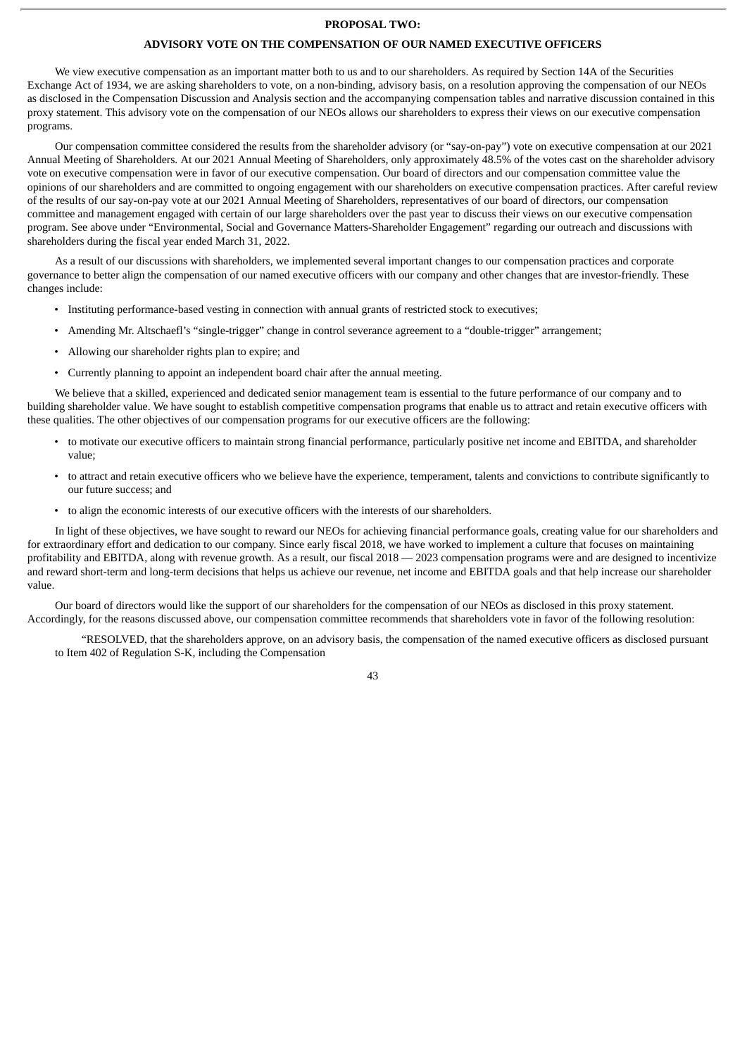#### **PROPOSAL TWO:**

#### **ADVISORY VOTE ON THE COMPENSATION OF OUR NAMED EXECUTIVE OFFICERS**

We view executive compensation as an important matter both to us and to our shareholders. As required by Section 14A of the Securities Exchange Act of 1934, we are asking shareholders to vote, on a non-binding, advisory basis, on a resolution approving the compensation of our NEOs as disclosed in the Compensation Discussion and Analysis section and the accompanying compensation tables and narrative discussion contained in this proxy statement. This advisory vote on the compensation of our NEOs allows our shareholders to express their views on our executive compensation programs.

Our compensation committee considered the results from the shareholder advisory (or "say-on-pay") vote on executive compensation at our 2021 Annual Meeting of Shareholders. At our 2021 Annual Meeting of Shareholders, only approximately 48.5% of the votes cast on the shareholder advisory vote on executive compensation were in favor of our executive compensation. Our board of directors and our compensation committee value the opinions of our shareholders and are committed to ongoing engagement with our shareholders on executive compensation practices. After careful review of the results of our say-on-pay vote at our 2021 Annual Meeting of Shareholders, representatives of our board of directors, our compensation committee and management engaged with certain of our large shareholders over the past year to discuss their views on our executive compensation program. See above under "Environmental, Social and Governance Matters-Shareholder Engagement" regarding our outreach and discussions with shareholders during the fiscal year ended March 31, 2022.

As a result of our discussions with shareholders, we implemented several important changes to our compensation practices and corporate governance to better align the compensation of our named executive officers with our company and other changes that are investor-friendly. These changes include:

- Instituting performance-based vesting in connection with annual grants of restricted stock to executives;
- Amending Mr. Altschaefl's "single-trigger" change in control severance agreement to a "double-trigger" arrangement;
- Allowing our shareholder rights plan to expire; and
- Currently planning to appoint an independent board chair after the annual meeting.

We believe that a skilled, experienced and dedicated senior management team is essential to the future performance of our company and to building shareholder value. We have sought to establish competitive compensation programs that enable us to attract and retain executive officers with these qualities. The other objectives of our compensation programs for our executive officers are the following:

- to motivate our executive officers to maintain strong financial performance, particularly positive net income and EBITDA, and shareholder value;
- to attract and retain executive officers who we believe have the experience, temperament, talents and convictions to contribute significantly to our future success; and
- to align the economic interests of our executive officers with the interests of our shareholders.

In light of these objectives, we have sought to reward our NEOs for achieving financial performance goals, creating value for our shareholders and for extraordinary effort and dedication to our company. Since early fiscal 2018, we have worked to implement a culture that focuses on maintaining profitability and EBITDA, along with revenue growth. As a result, our fiscal 2018 — 2023 compensation programs were and are designed to incentivize and reward short-term and long-term decisions that helps us achieve our revenue, net income and EBITDA goals and that help increase our shareholder value.

Our board of directors would like the support of our shareholders for the compensation of our NEOs as disclosed in this proxy statement. Accordingly, for the reasons discussed above, our compensation committee recommends that shareholders vote in favor of the following resolution:

"RESOLVED, that the shareholders approve, on an advisory basis, the compensation of the named executive officers as disclosed pursuant to Item 402 of Regulation S-K, including the Compensation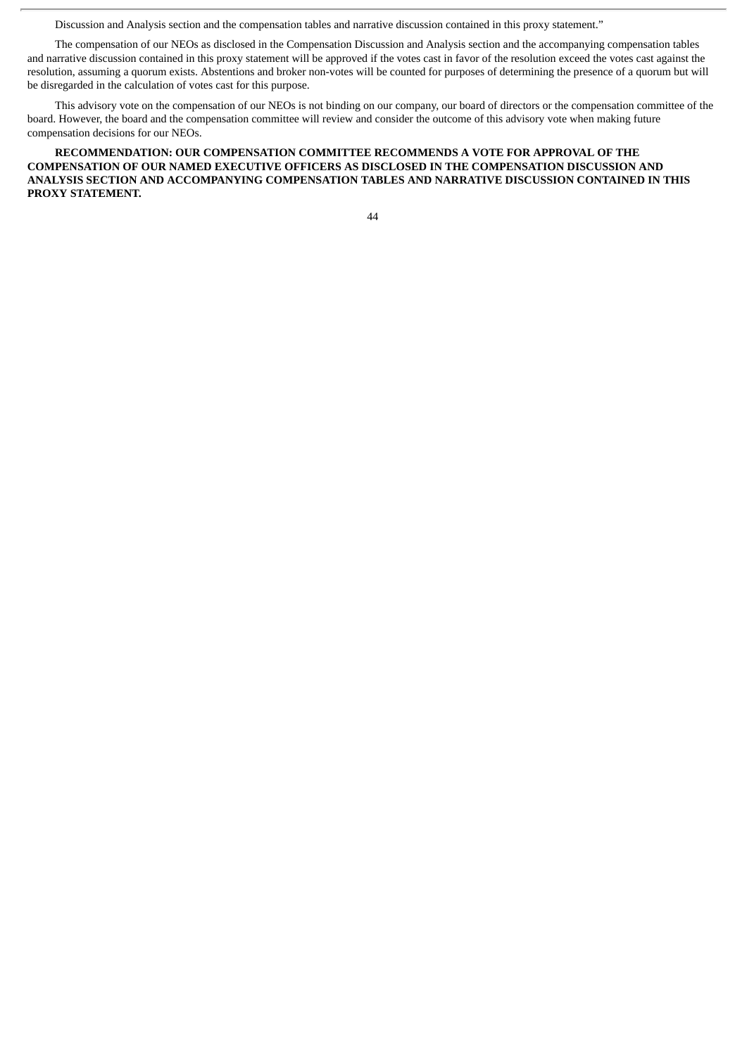Discussion and Analysis section and the compensation tables and narrative discussion contained in this proxy statement."

The compensation of our NEOs as disclosed in the Compensation Discussion and Analysis section and the accompanying compensation tables and narrative discussion contained in this proxy statement will be approved if the votes cast in favor of the resolution exceed the votes cast against the resolution, assuming a quorum exists. Abstentions and broker non-votes will be counted for purposes of determining the presence of a quorum but will be disregarded in the calculation of votes cast for this purpose.

This advisory vote on the compensation of our NEOs is not binding on our company, our board of directors or the compensation committee of the board. However, the board and the compensation committee will review and consider the outcome of this advisory vote when making future compensation decisions for our NEOs.

**RECOMMENDATION: OUR COMPENSATION COMMITTEE RECOMMENDS A VOTE FOR APPROVAL OF THE COMPENSATION OF OUR NAMED EXECUTIVE OFFICERS AS DISCLOSED IN THE COMPENSATION DISCUSSION AND ANALYSIS SECTION AND ACCOMPANYING COMPENSATION TABLES AND NARRATIVE DISCUSSION CONTAINED IN THIS PROXY STATEMENT.**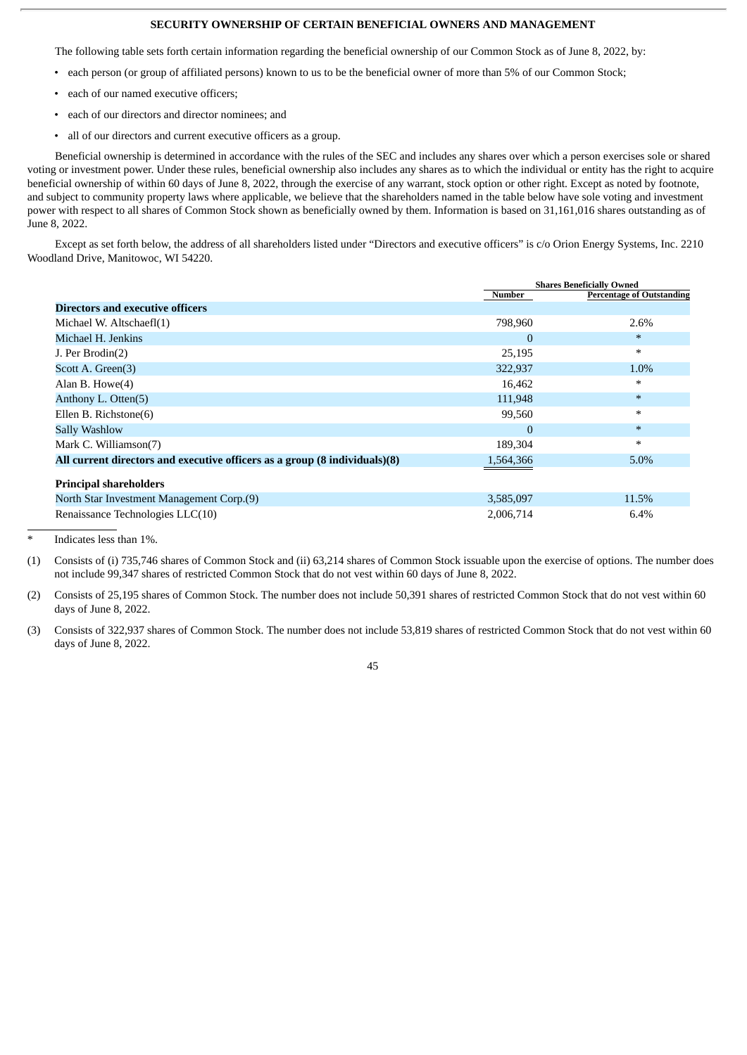#### **SECURITY OWNERSHIP OF CERTAIN BENEFICIAL OWNERS AND MANAGEMENT**

The following table sets forth certain information regarding the beneficial ownership of our Common Stock as of June 8, 2022, by:

- each person (or group of affiliated persons) known to us to be the beneficial owner of more than 5% of our Common Stock;
- each of our named executive officers;
- each of our directors and director nominees; and
- all of our directors and current executive officers as a group.

Beneficial ownership is determined in accordance with the rules of the SEC and includes any shares over which a person exercises sole or shared voting or investment power. Under these rules, beneficial ownership also includes any shares as to which the individual or entity has the right to acquire beneficial ownership of within 60 days of June 8, 2022, through the exercise of any warrant, stock option or other right. Except as noted by footnote, and subject to community property laws where applicable, we believe that the shareholders named in the table below have sole voting and investment power with respect to all shares of Common Stock shown as beneficially owned by them. Information is based on 31,161,016 shares outstanding as of June 8, 2022.

Except as set forth below, the address of all shareholders listed under "Directors and executive officers" is c/o Orion Energy Systems, Inc. 2210 Woodland Drive, Manitowoc, WI 54220.

|                                                                            |                | <b>Shares Beneficially Owned</b> |
|----------------------------------------------------------------------------|----------------|----------------------------------|
|                                                                            | Number         | <b>Percentage of Outstanding</b> |
| <b>Directors and executive officers</b>                                    |                |                                  |
| Michael W. Altschaefl(1)                                                   | 798,960        | 2.6%                             |
| Michael H. Jenkins                                                         | $\mathbf{0}$   | $\ast$                           |
| J. Per Brodin(2)                                                           | 25,195         | $\ast$                           |
| Scott A. Green(3)                                                          | 322,937        | 1.0%                             |
| Alan B. Howe(4)                                                            | 16,462         | $\ast$                           |
| Anthony L. Otten(5)                                                        | 111,948        | $\ast$                           |
| Ellen B. Richstone(6)                                                      | 99,560         | $\ast$                           |
| Sally Washlow                                                              | $\overline{0}$ | $\ast$                           |
| Mark C. Williamson(7)                                                      | 189,304        | ∗                                |
| All current directors and executive officers as a group (8 individuals)(8) | 1,564,366      | 5.0%                             |
| <b>Principal shareholders</b>                                              |                |                                  |
| North Star Investment Management Corp.(9)                                  | 3,585,097      | 11.5%                            |
| Renaissance Technologies LLC(10)                                           | 2,006,714      | 6.4%                             |

Indicates less than 1%.

- (1) Consists of (i) 735,746 shares of Common Stock and (ii) 63,214 shares of Common Stock issuable upon the exercise of options. The number does not include 99,347 shares of restricted Common Stock that do not vest within 60 days of June 8, 2022.
- (2) Consists of 25,195 shares of Common Stock. The number does not include 50,391 shares of restricted Common Stock that do not vest within 60 days of June 8, 2022.
- (3) Consists of 322,937 shares of Common Stock. The number does not include 53,819 shares of restricted Common Stock that do not vest within 60 days of June 8, 2022.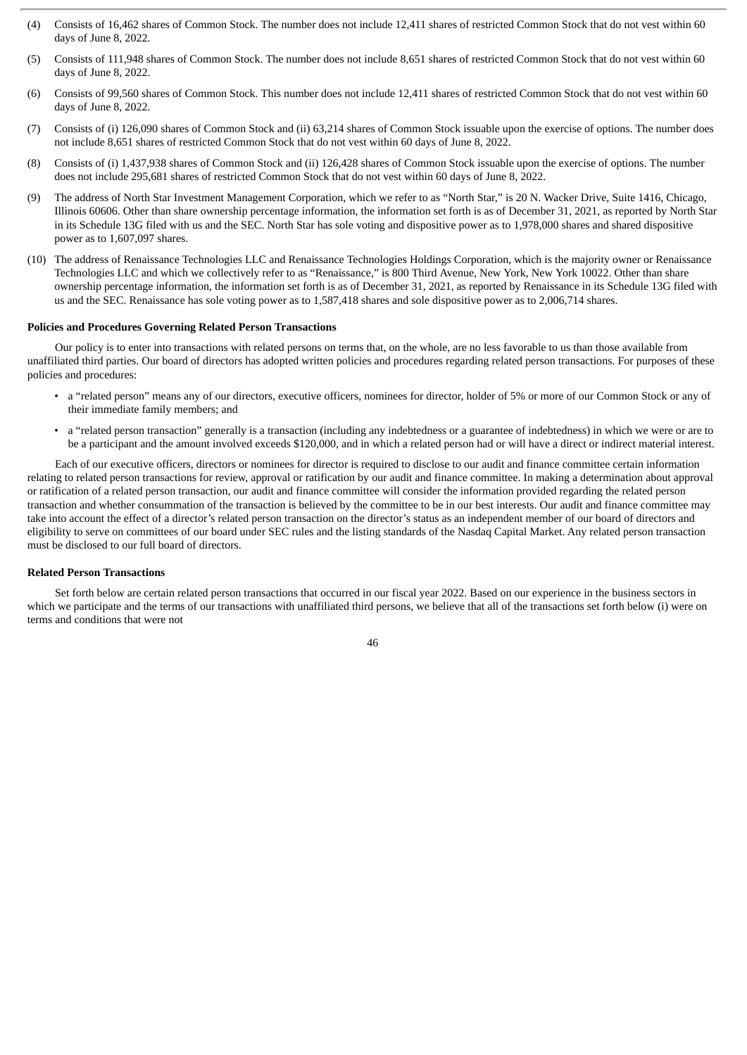- (4) Consists of 16,462 shares of Common Stock. The number does not include 12,411 shares of restricted Common Stock that do not vest within 60 days of June 8, 2022.
- (5) Consists of 111,948 shares of Common Stock. The number does not include 8,651 shares of restricted Common Stock that do not vest within 60 days of June 8, 2022.
- (6) Consists of 99,560 shares of Common Stock. This number does not include 12,411 shares of restricted Common Stock that do not vest within 60 days of June 8, 2022.
- (7) Consists of (i) 126,090 shares of Common Stock and (ii) 63,214 shares of Common Stock issuable upon the exercise of options. The number does not include 8,651 shares of restricted Common Stock that do not vest within 60 days of June 8, 2022.
- (8) Consists of (i) 1,437,938 shares of Common Stock and (ii) 126,428 shares of Common Stock issuable upon the exercise of options. The number does not include 295,681 shares of restricted Common Stock that do not vest within 60 days of June 8, 2022.
- (9) The address of North Star Investment Management Corporation, which we refer to as "North Star," is 20 N. Wacker Drive, Suite 1416, Chicago, Illinois 60606. Other than share ownership percentage information, the information set forth is as of December 31, 2021, as reported by North Star in its Schedule 13G filed with us and the SEC. North Star has sole voting and dispositive power as to 1,978,000 shares and shared dispositive power as to 1,607,097 shares.
- (10) The address of Renaissance Technologies LLC and Renaissance Technologies Holdings Corporation, which is the majority owner or Renaissance Technologies LLC and which we collectively refer to as "Renaissance," is 800 Third Avenue, New York, New York 10022. Other than share ownership percentage information, the information set forth is as of December 31, 2021, as reported by Renaissance in its Schedule 13G filed with us and the SEC. Renaissance has sole voting power as to 1,587,418 shares and sole dispositive power as to 2,006,714 shares.

#### **Policies and Procedures Governing Related Person Transactions**

Our policy is to enter into transactions with related persons on terms that, on the whole, are no less favorable to us than those available from unaffiliated third parties. Our board of directors has adopted written policies and procedures regarding related person transactions. For purposes of these policies and procedures:

- a "related person" means any of our directors, executive officers, nominees for director, holder of 5% or more of our Common Stock or any of their immediate family members; and
- a "related person transaction" generally is a transaction (including any indebtedness or a guarantee of indebtedness) in which we were or are to be a participant and the amount involved exceeds \$120,000, and in which a related person had or will have a direct or indirect material interest.

Each of our executive officers, directors or nominees for director is required to disclose to our audit and finance committee certain information relating to related person transactions for review, approval or ratification by our audit and finance committee. In making a determination about approval or ratification of a related person transaction, our audit and finance committee will consider the information provided regarding the related person transaction and whether consummation of the transaction is believed by the committee to be in our best interests. Our audit and finance committee may take into account the effect of a director's related person transaction on the director's status as an independent member of our board of directors and eligibility to serve on committees of our board under SEC rules and the listing standards of the Nasdaq Capital Market. Any related person transaction must be disclosed to our full board of directors.

#### **Related Person Transactions**

Set forth below are certain related person transactions that occurred in our fiscal year 2022. Based on our experience in the business sectors in which we participate and the terms of our transactions with unaffiliated third persons, we believe that all of the transactions set forth below (i) were on terms and conditions that were not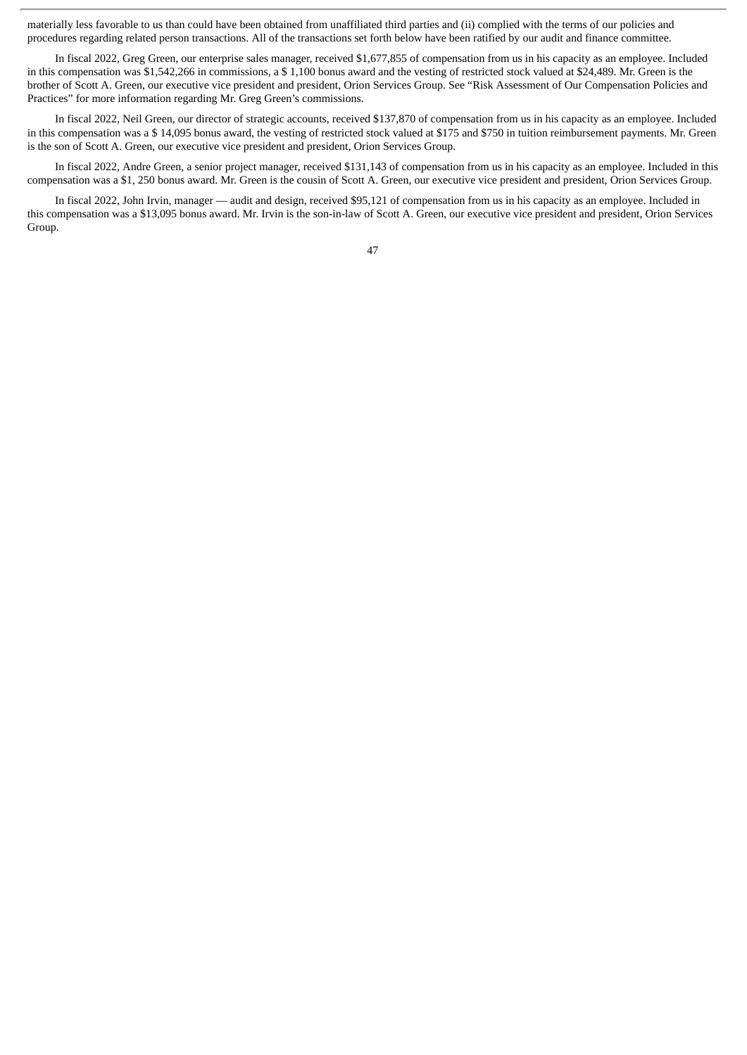materially less favorable to us than could have been obtained from unaffiliated third parties and (ii) complied with the terms of our policies and procedures regarding related person transactions. All of the transactions set forth below have been ratified by our audit and finance committee.

In fiscal 2022, Greg Green, our enterprise sales manager, received \$1,677,855 of compensation from us in his capacity as an employee. Included in this compensation was \$1,542,266 in commissions, a \$ 1,100 bonus award and the vesting of restricted stock valued at \$24,489. Mr. Green is the brother of Scott A. Green, our executive vice president and president, Orion Services Group. See "Risk Assessment of Our Compensation Policies and Practices" for more information regarding Mr. Greg Green's commissions.

In fiscal 2022, Neil Green, our director of strategic accounts, received \$137,870 of compensation from us in his capacity as an employee. Included in this compensation was a \$ 14,095 bonus award, the vesting of restricted stock valued at \$175 and \$750 in tuition reimbursement payments. Mr. Green is the son of Scott A. Green, our executive vice president and president, Orion Services Group.

In fiscal 2022, Andre Green, a senior project manager, received \$131,143 of compensation from us in his capacity as an employee. Included in this compensation was a \$1, 250 bonus award. Mr. Green is the cousin of Scott A. Green, our executive vice president and president, Orion Services Group.

In fiscal 2022, John Irvin, manager — audit and design, received \$95,121 of compensation from us in his capacity as an employee. Included in this compensation was a \$13,095 bonus award. Mr. Irvin is the son-in-law of Scott A. Green, our executive vice president and president, Orion Services Group.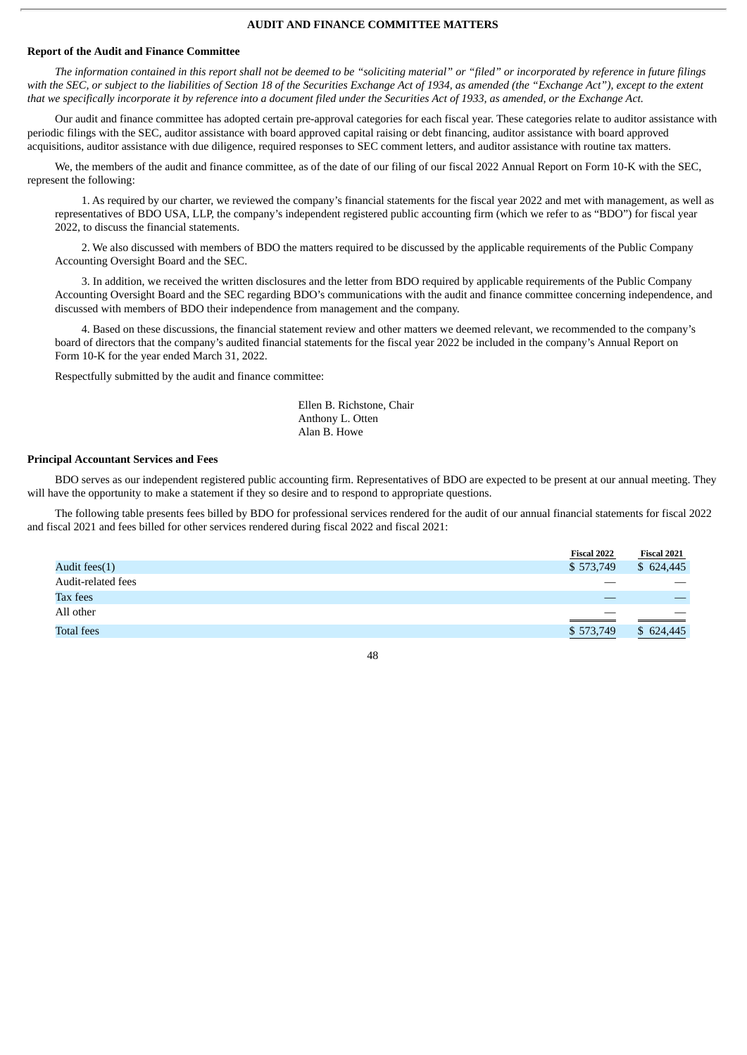#### **AUDIT AND FINANCE COMMITTEE MATTERS**

#### **Report of the Audit and Finance Committee**

The information contained in this report shall not be deemed to be "soliciting material" or "filed" or incorporated by reference in future filings with the SEC, or subject to the liabilities of Section 18 of the Securities Exchange Act of 1934, as amended (the "Exchange Act"), except to the extent that we specifically incorporate it by reference into a document filed under the Securities Act of 1933, as amended, or the Exchange Act.

Our audit and finance committee has adopted certain pre-approval categories for each fiscal year. These categories relate to auditor assistance with periodic filings with the SEC, auditor assistance with board approved capital raising or debt financing, auditor assistance with board approved acquisitions, auditor assistance with due diligence, required responses to SEC comment letters, and auditor assistance with routine tax matters.

We, the members of the audit and finance committee, as of the date of our filing of our fiscal 2022 Annual Report on Form 10-K with the SEC, represent the following:

1. As required by our charter, we reviewed the company's financial statements for the fiscal year 2022 and met with management, as well as representatives of BDO USA, LLP, the company's independent registered public accounting firm (which we refer to as "BDO") for fiscal year 2022, to discuss the financial statements.

2. We also discussed with members of BDO the matters required to be discussed by the applicable requirements of the Public Company Accounting Oversight Board and the SEC.

3. In addition, we received the written disclosures and the letter from BDO required by applicable requirements of the Public Company Accounting Oversight Board and the SEC regarding BDO's communications with the audit and finance committee concerning independence, and discussed with members of BDO their independence from management and the company.

4. Based on these discussions, the financial statement review and other matters we deemed relevant, we recommended to the company's board of directors that the company's audited financial statements for the fiscal year 2022 be included in the company's Annual Report on Form 10-K for the year ended March 31, 2022.

Respectfully submitted by the audit and finance committee:

Ellen B. Richstone, Chair Anthony L. Otten Alan B. Howe

#### **Principal Accountant Services and Fees**

BDO serves as our independent registered public accounting firm. Representatives of BDO are expected to be present at our annual meeting. They will have the opportunity to make a statement if they so desire and to respond to appropriate questions.

The following table presents fees billed by BDO for professional services rendered for the audit of our annual financial statements for fiscal 2022 and fiscal 2021 and fees billed for other services rendered during fiscal 2022 and fiscal 2021:

|                    | Fiscal 2022 | Fiscal 2021              |
|--------------------|-------------|--------------------------|
| Audit fees(1)      | \$573,749   | \$624,445                |
| Audit-related fees |             |                          |
| Tax fees           |             |                          |
| All other          | __          | $\overline{\phantom{a}}$ |
| <b>Total fees</b>  | \$573,749   | \$624.445                |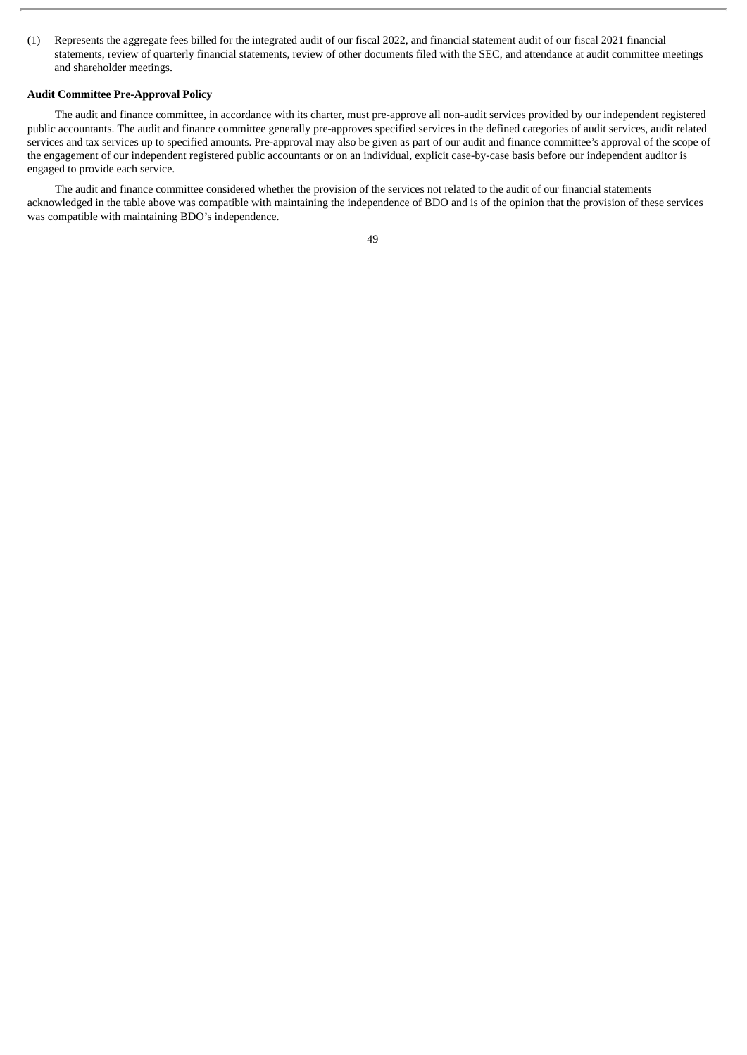(1) Represents the aggregate fees billed for the integrated audit of our fiscal 2022, and financial statement audit of our fiscal 2021 financial statements, review of quarterly financial statements, review of other documents filed with the SEC, and attendance at audit committee meetings and shareholder meetings.

#### **Audit Committee Pre-Approval Policy**

The audit and finance committee, in accordance with its charter, must pre-approve all non-audit services provided by our independent registered public accountants. The audit and finance committee generally pre-approves specified services in the defined categories of audit services, audit related services and tax services up to specified amounts. Pre-approval may also be given as part of our audit and finance committee's approval of the scope of the engagement of our independent registered public accountants or on an individual, explicit case-by-case basis before our independent auditor is engaged to provide each service.

The audit and finance committee considered whether the provision of the services not related to the audit of our financial statements acknowledged in the table above was compatible with maintaining the independence of BDO and is of the opinion that the provision of these services was compatible with maintaining BDO's independence.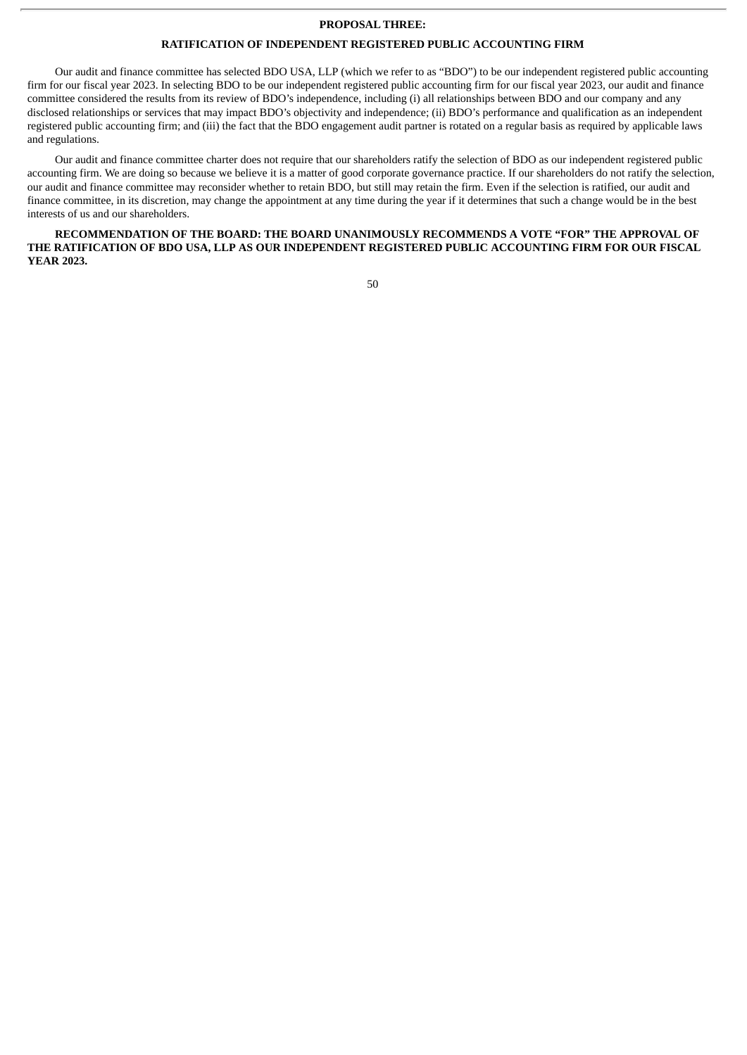#### **PROPOSAL THREE:**

#### **RATIFICATION OF INDEPENDENT REGISTERED PUBLIC ACCOUNTING FIRM**

Our audit and finance committee has selected BDO USA, LLP (which we refer to as "BDO") to be our independent registered public accounting firm for our fiscal year 2023. In selecting BDO to be our independent registered public accounting firm for our fiscal year 2023, our audit and finance committee considered the results from its review of BDO's independence, including (i) all relationships between BDO and our company and any disclosed relationships or services that may impact BDO's objectivity and independence; (ii) BDO's performance and qualification as an independent registered public accounting firm; and (iii) the fact that the BDO engagement audit partner is rotated on a regular basis as required by applicable laws and regulations.

Our audit and finance committee charter does not require that our shareholders ratify the selection of BDO as our independent registered public accounting firm. We are doing so because we believe it is a matter of good corporate governance practice. If our shareholders do not ratify the selection, our audit and finance committee may reconsider whether to retain BDO, but still may retain the firm. Even if the selection is ratified, our audit and finance committee, in its discretion, may change the appointment at any time during the year if it determines that such a change would be in the best interests of us and our shareholders.

**RECOMMENDATION OF THE BOARD: THE BOARD UNANIMOUSLY RECOMMENDS A VOTE "FOR" THE APPROVAL OF THE RATIFICATION OF BDO USA, LLP AS OUR INDEPENDENT REGISTERED PUBLIC ACCOUNTING FIRM FOR OUR FISCAL YEAR 2023.**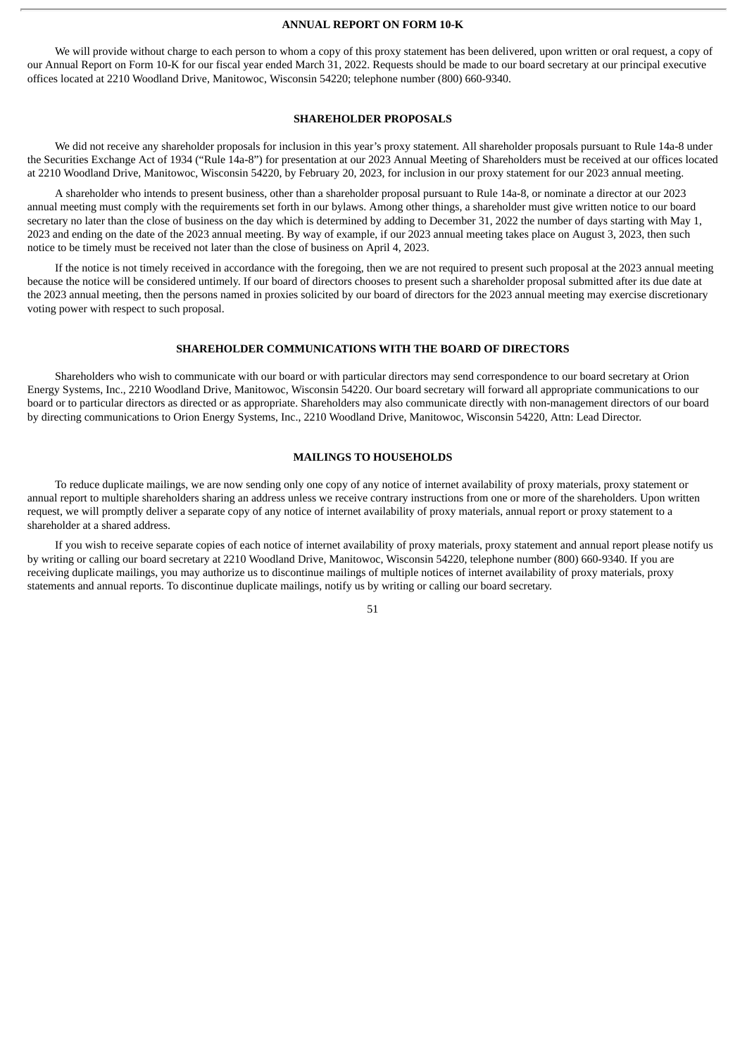#### **ANNUAL REPORT ON FORM 10-K**

We will provide without charge to each person to whom a copy of this proxy statement has been delivered, upon written or oral request, a copy of our Annual Report on Form 10-K for our fiscal year ended March 31, 2022. Requests should be made to our board secretary at our principal executive offices located at 2210 Woodland Drive, Manitowoc, Wisconsin 54220; telephone number (800) 660-9340.

#### **SHAREHOLDER PROPOSALS**

We did not receive any shareholder proposals for inclusion in this year's proxy statement. All shareholder proposals pursuant to Rule 14a-8 under the Securities Exchange Act of 1934 ("Rule 14a-8") for presentation at our 2023 Annual Meeting of Shareholders must be received at our offices located at 2210 Woodland Drive, Manitowoc, Wisconsin 54220, by February 20, 2023, for inclusion in our proxy statement for our 2023 annual meeting.

A shareholder who intends to present business, other than a shareholder proposal pursuant to Rule 14a-8, or nominate a director at our 2023 annual meeting must comply with the requirements set forth in our bylaws. Among other things, a shareholder must give written notice to our board secretary no later than the close of business on the day which is determined by adding to December 31, 2022 the number of days starting with May 1, 2023 and ending on the date of the 2023 annual meeting. By way of example, if our 2023 annual meeting takes place on August 3, 2023, then such notice to be timely must be received not later than the close of business on April 4, 2023.

If the notice is not timely received in accordance with the foregoing, then we are not required to present such proposal at the 2023 annual meeting because the notice will be considered untimely. If our board of directors chooses to present such a shareholder proposal submitted after its due date at the 2023 annual meeting, then the persons named in proxies solicited by our board of directors for the 2023 annual meeting may exercise discretionary voting power with respect to such proposal.

#### **SHAREHOLDER COMMUNICATIONS WITH THE BOARD OF DIRECTORS**

Shareholders who wish to communicate with our board or with particular directors may send correspondence to our board secretary at Orion Energy Systems, Inc., 2210 Woodland Drive, Manitowoc, Wisconsin 54220. Our board secretary will forward all appropriate communications to our board or to particular directors as directed or as appropriate. Shareholders may also communicate directly with non-management directors of our board by directing communications to Orion Energy Systems, Inc., 2210 Woodland Drive, Manitowoc, Wisconsin 54220, Attn: Lead Director.

#### **MAILINGS TO HOUSEHOLDS**

To reduce duplicate mailings, we are now sending only one copy of any notice of internet availability of proxy materials, proxy statement or annual report to multiple shareholders sharing an address unless we receive contrary instructions from one or more of the shareholders. Upon written request, we will promptly deliver a separate copy of any notice of internet availability of proxy materials, annual report or proxy statement to a shareholder at a shared address.

If you wish to receive separate copies of each notice of internet availability of proxy materials, proxy statement and annual report please notify us by writing or calling our board secretary at 2210 Woodland Drive, Manitowoc, Wisconsin 54220, telephone number (800) 660-9340. If you are receiving duplicate mailings, you may authorize us to discontinue mailings of multiple notices of internet availability of proxy materials, proxy statements and annual reports. To discontinue duplicate mailings, notify us by writing or calling our board secretary.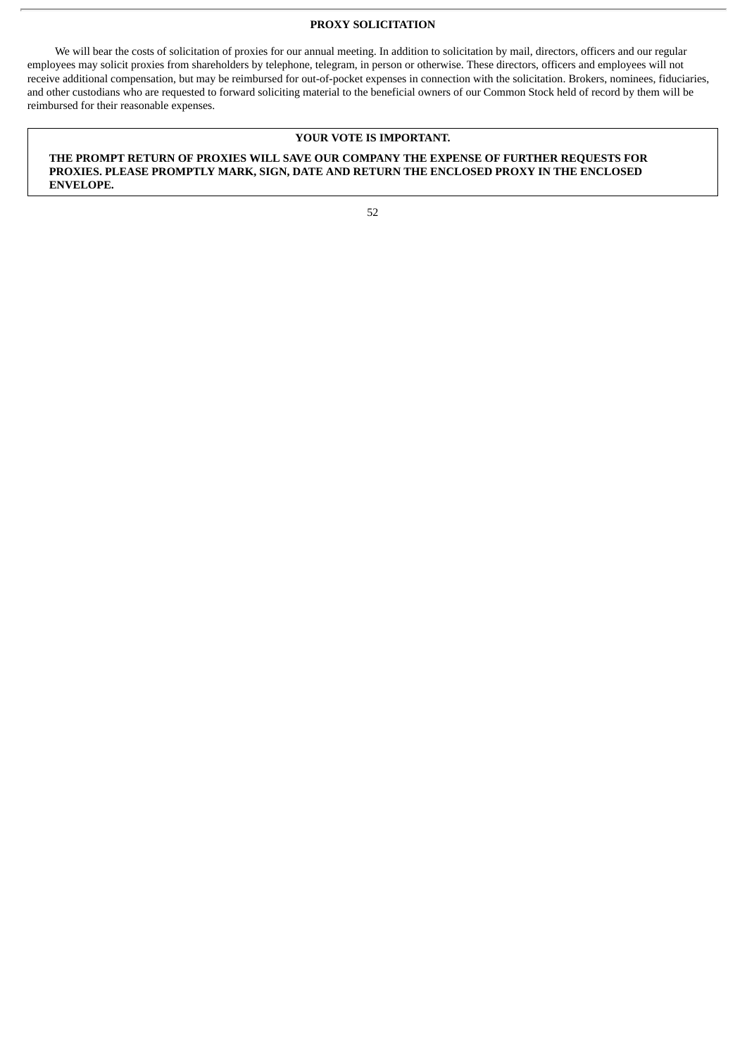#### **PROXY SOLICITATION**

We will bear the costs of solicitation of proxies for our annual meeting. In addition to solicitation by mail, directors, officers and our regular employees may solicit proxies from shareholders by telephone, telegram, in person or otherwise. These directors, officers and employees will not receive additional compensation, but may be reimbursed for out-of-pocket expenses in connection with the solicitation. Brokers, nominees, fiduciaries, and other custodians who are requested to forward soliciting material to the beneficial owners of our Common Stock held of record by them will be reimbursed for their reasonable expenses.

#### **YOUR VOTE IS IMPORTANT.**

**THE PROMPT RETURN OF PROXIES WILL SAVE OUR COMPANY THE EXPENSE OF FURTHER REQUESTS FOR PROXIES. PLEASE PROMPTLY MARK, SIGN, DATE AND RETURN THE ENCLOSED PROXY IN THE ENCLOSED ENVELOPE.**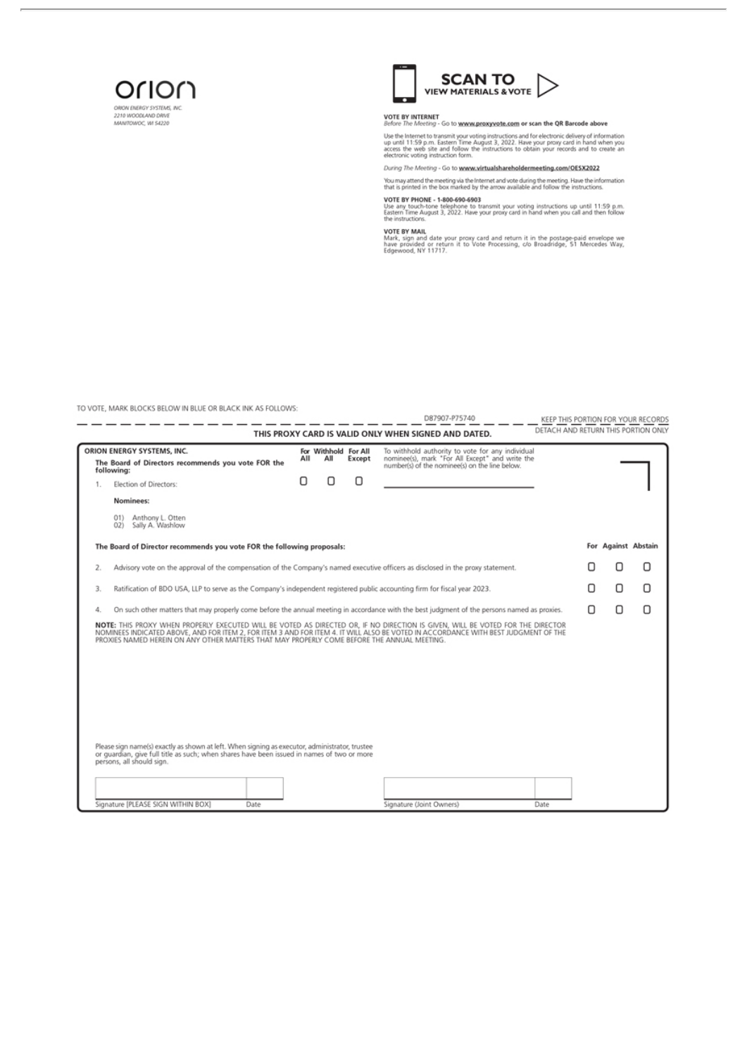



# VOTE BY INTERNET<br>Before The Meeting - Go to www.proxyvote.com or scan the QR Barcode above<br>The the laternative transmit unuruntion instructions and for electronic delivers of inform

Use the Internet to transmit your voting instructions and for electronic delivery of information<br>up until 11:59 p.m. Eastern Time August 3, 2022. Have your proxy card in hand when you<br>access the web site and follow the ins

#### During The Meeting - Go to www.virtualshareholdermeeting.com/OESX2022

You may attend the meeting via the Internet and vote during the meeting. Have the information<br>that is printed in the box marked by the arrow available and follow the instructions.

VOTE BY PHONE - 1-800-690-6903<br>Use any touch-tone telephone to transmit your voting instructions up until 11:59 p.m.<br>Eastern Time August 3, 2022. Have your proxy card in hand when you call and then follow<br>the instructions.

VOTE BY MAIL<br>Mark, sign and date your proxy card and return it in the postage-paid envelope we<br>have provided or return it to Vote Processing, c/o Broadridge, 51 Mercedes Way,<br>Edgewood, NY 11717.

TO VOTE, MARK BLOCKS BELOW IN BLUE OR BLACK INK AS FOLLOWS:

|                                                                                                                                                                                                                                                                                                                                                                     |     |                             |        | D87907-P75740                                                                                                                                         | KEEP THIS PORTION FOR YOUR RECORDS  |   |                     |   |
|---------------------------------------------------------------------------------------------------------------------------------------------------------------------------------------------------------------------------------------------------------------------------------------------------------------------------------------------------------------------|-----|-----------------------------|--------|-------------------------------------------------------------------------------------------------------------------------------------------------------|-------------------------------------|---|---------------------|---|
|                                                                                                                                                                                                                                                                                                                                                                     |     |                             |        | THIS PROXY CARD IS VALID ONLY WHEN SIGNED AND DATED.                                                                                                  | DETACH AND RETURN THIS PORTION ONLY |   |                     |   |
| ORION ENERGY SYSTEMS, INC.<br>The Board of Directors recommends you vote FOR the<br>following:                                                                                                                                                                                                                                                                      | All | For Withhold For All<br>All | Except | To withhold authority to vote for any individual<br>nominee(s), mark "For All Except" and write the<br>number(s) of the nominee(s) on the line below. |                                     |   |                     |   |
| Election of Directors:                                                                                                                                                                                                                                                                                                                                              | ο   | П                           | П      |                                                                                                                                                       |                                     |   |                     |   |
| Nominees:                                                                                                                                                                                                                                                                                                                                                           |     |                             |        |                                                                                                                                                       |                                     |   |                     |   |
| Anthony L. Otten<br>01<br>Sally A. Washlow<br>021                                                                                                                                                                                                                                                                                                                   |     |                             |        |                                                                                                                                                       |                                     |   |                     |   |
| The Board of Director recommends you vote FOR the following proposals:                                                                                                                                                                                                                                                                                              |     |                             |        |                                                                                                                                                       |                                     |   | For Against Abstain |   |
| Advisory vote on the approval of the compensation of the Company's named executive officers as disclosed in the proxy statement.<br>2.                                                                                                                                                                                                                              |     |                             |        |                                                                                                                                                       |                                     |   | О                   | О |
| Ratification of BDO USA, LLP to serve as the Company's independent registered public accounting firm for fiscal year 2023.<br>3.                                                                                                                                                                                                                                    |     |                             |        |                                                                                                                                                       |                                     | Π | Ω                   | Ο |
| On such other matters that may properly come before the annual meeting in accordance with the best judgment of the persons named as proxies.<br>4.                                                                                                                                                                                                                  |     |                             |        |                                                                                                                                                       |                                     | П | О                   | Ο |
| NOTE: THIS PROXY WHEN PROPERLY EXECUTED WILL BE VOTED AS DIRECTED OR, IF NO DIRECTION IS GIVEN, WILL BE VOTED FOR THE DIRECTOR<br>NOMINEES INDICATED ABOVE, AND FOR ITEM 2, FOR ITEM 3 AND FOR ITEM 4. IT WILL ALSO BE VOTED IN ACCORDANCE WITH BEST JUDGMENT OF THE<br>PROXIES NAMED HEREIN ON ANY OTHER MATTERS THAT MAY PROPERLY COME BEFORE THE ANNUAL MEETING. |     |                             |        |                                                                                                                                                       |                                     |   |                     |   |
| Please sign name(s) exactly as shown at left. When signing as executor, administrator, trustee<br>or guardian, give full title as such; when shares have been issued in names of two or more<br>persons, all should sign.                                                                                                                                           |     |                             |        |                                                                                                                                                       |                                     |   |                     |   |
| Signature [PLEASE SIGN WITHIN BOX]<br>Date                                                                                                                                                                                                                                                                                                                          |     |                             |        | Signature (Joint Owners)                                                                                                                              | Date                                |   |                     |   |